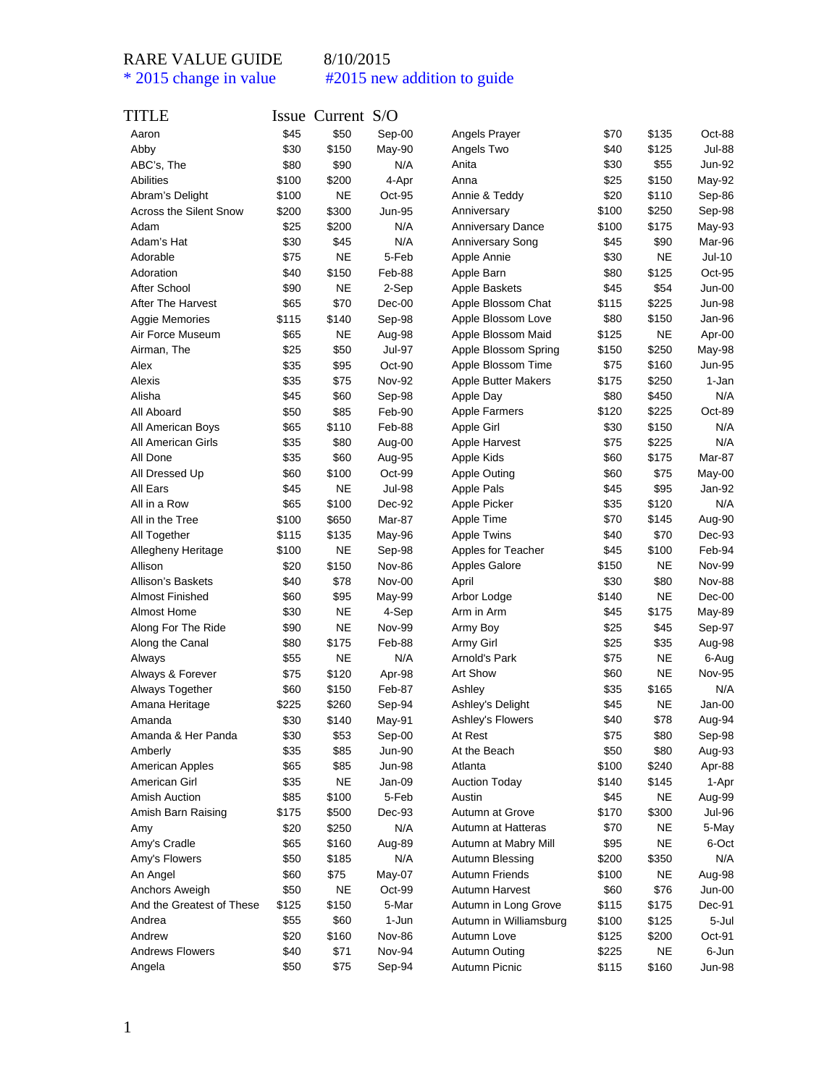| TITLE                     |       | Issue Current S/O |               |                            |       |           |               |
|---------------------------|-------|-------------------|---------------|----------------------------|-------|-----------|---------------|
| Aaron                     | \$45  | \$50              | Sep-00        | Angels Prayer              | \$70  | \$135     | Oct-88        |
| Abby                      | \$30  | \$150             | May-90        | Angels Two                 | \$40  | \$125     | Jul-88        |
| ABC's, The                | \$80  | \$90              | N/A           | Anita                      | \$30  | \$55      | Jun-92        |
| Abilities                 | \$100 | \$200             | 4-Apr         | Anna                       | \$25  | \$150     | May-92        |
| Abram's Delight           | \$100 | NE                | Oct-95        | Annie & Teddy              | \$20  | \$110     | Sep-86        |
| Across the Silent Snow    | \$200 | \$300             | Jun-95        | Anniversary                | \$100 | \$250     | Sep-98        |
| Adam                      | \$25  | \$200             | N/A           | <b>Anniversary Dance</b>   | \$100 | \$175     | May-93        |
| Adam's Hat                | \$30  | \$45              | N/A           | <b>Anniversary Song</b>    | \$45  | \$90      | Mar-96        |
| Adorable                  | \$75  | NE                | 5-Feb         | Apple Annie                | \$30  | <b>NE</b> | Jul-10        |
| Adoration                 | \$40  | \$150             | Feb-88        | Apple Barn                 | \$80  | \$125     | Oct-95        |
| After School              | \$90  | NE                | 2-Sep         | Apple Baskets              | \$45  | \$54      | Jun-00        |
| <b>After The Harvest</b>  | \$65  | \$70              | $Dec-00$      | Apple Blossom Chat         | \$115 | \$225     | <b>Jun-98</b> |
| Aggie Memories            | \$115 | \$140             | Sep-98        | Apple Blossom Love         | \$80  | \$150     | Jan-96        |
| Air Force Museum          | \$65  | <b>NE</b>         | Aug-98        | Apple Blossom Maid         | \$125 | <b>NE</b> | Apr-00        |
| Airman, The               | \$25  | \$50              | <b>Jul-97</b> | Apple Blossom Spring       | \$150 | \$250     | May-98        |
| Alex                      | \$35  | \$95              | Oct-90        | Apple Blossom Time         | \$75  | \$160     | Jun-95        |
| Alexis                    | \$35  | \$75              | Nov-92        | <b>Apple Butter Makers</b> | \$175 | \$250     | 1-Jan         |
| Alisha                    | \$45  | \$60              | Sep-98        | Apple Day                  | \$80  | \$450     | N/A           |
| All Aboard                | \$50  | \$85              | Feb-90        | <b>Apple Farmers</b>       | \$120 | \$225     | Oct-89        |
| All American Boys         | \$65  | \$110             | Feb-88        | Apple Girl                 | \$30  | \$150     | N/A           |
| <b>All American Girls</b> | \$35  | \$80              | Aug-00        | Apple Harvest              | \$75  | \$225     | N/A           |
| All Done                  | \$35  | \$60              | Aug-95        | Apple Kids                 | \$60  | \$175     | Mar-87        |
| All Dressed Up            | \$60  | \$100             | Oct-99        | Apple Outing               | \$60  | \$75      | May-00        |
| All Ears                  | \$45  | <b>NE</b>         | <b>Jul-98</b> | <b>Apple Pals</b>          | \$45  | \$95      | Jan-92        |
| All in a Row              | \$65  | \$100             | Dec-92        | Apple Picker               | \$35  | \$120     | N/A           |
| All in the Tree           | \$100 | \$650             | Mar-87        | Apple Time                 | \$70  | \$145     | Aug-90        |
| All Together              | \$115 | \$135             | May-96        | <b>Apple Twins</b>         | \$40  | \$70      | Dec-93        |
| Allegheny Heritage        | \$100 | <b>NE</b>         | Sep-98        | Apples for Teacher         | \$45  | \$100     | Feb-94        |
| Allison                   | \$20  | \$150             | Nov-86        | <b>Apples Galore</b>       | \$150 | NE        | Nov-99        |
| <b>Allison's Baskets</b>  | \$40  | \$78              | <b>Nov-00</b> | April                      | \$30  | \$80      | <b>Nov-88</b> |
| <b>Almost Finished</b>    | \$60  | \$95              | May-99        | Arbor Lodge                | \$140 | NE        | Dec-00        |
| Almost Home               | \$30  | <b>NE</b>         | 4-Sep         | Arm in Arm                 | \$45  | \$175     | May-89        |
| Along For The Ride        | \$90  | NE                | <b>Nov-99</b> | Army Boy                   | \$25  | \$45      | Sep-97        |
| Along the Canal           | \$80  | \$175             | Feb-88        | Army Girl                  | \$25  | \$35      | Aug-98        |
| Always                    | \$55  | NE                | N/A           | Arnold's Park              | \$75  | <b>NE</b> | 6-Aug         |
| Always & Forever          | \$75  | \$120             | Apr-98        | Art Show                   | \$60  | <b>NE</b> | <b>Nov-95</b> |
| Always Together           | \$60  | \$150             | Feb-87        | Ashley                     | \$35  | \$165     | N/A           |
| Amana Heritage            | \$225 | \$260             | Sep-94        | Ashley's Delight           | \$45  | <b>NE</b> | Jan-00        |
| Amanda                    | \$30  | \$140             | May-91        | Ashley's Flowers           | \$40  | \$78      | Aug-94        |
| Amanda & Her Panda        | \$30  | \$53              | Sep-00        | At Rest                    | \$75  | \$80      | Sep-98        |
| Amberly                   | \$35  | \$85              | <b>Jun-90</b> | At the Beach               | \$50  | \$80      | Aug-93        |
| American Apples           | \$65  | \$85              | <b>Jun-98</b> | Atlanta                    | \$100 | \$240     | Apr-88        |
| American Girl             | \$35  | NE                | Jan-09        | <b>Auction Today</b>       | \$140 | \$145     | 1-Apr         |
| Amish Auction             | \$85  | \$100             | 5-Feb         | Austin                     | \$45  | <b>NE</b> | Aug-99        |
| Amish Barn Raising        | \$175 | \$500             | Dec-93        | Autumn at Grove            | \$170 | \$300     | Jul-96        |
| Amy                       | \$20  | \$250             | N/A           | Autumn at Hatteras         | \$70  | <b>NE</b> | 5-May         |
| Amy's Cradle              | \$65  | \$160             | Aug-89        | Autumn at Mabry Mill       | \$95  | <b>NE</b> | 6-Oct         |
| Amy's Flowers             | \$50  | \$185             | N/A           | Autumn Blessing            | \$200 | \$350     | N/A           |
| An Angel                  | \$60  | \$75              | May-07        | Autumn Friends             | \$100 | NE        | Aug-98        |
| Anchors Aweigh            | \$50  | NE                | Oct-99        | Autumn Harvest             | \$60  | \$76      | Jun-00        |
| And the Greatest of These | \$125 | \$150             | 5-Mar         | Autumn in Long Grove       | \$115 | \$175     | Dec-91        |
| Andrea                    | \$55  | \$60              | 1-Jun         | Autumn in Williamsburg     | \$100 | \$125     | 5-Jul         |
| Andrew                    | \$20  | \$160             | <b>Nov-86</b> | Autumn Love                | \$125 | \$200     | Oct-91        |
| <b>Andrews Flowers</b>    | \$40  | \$71              | Nov-94        | Autumn Outing              | \$225 | <b>NE</b> | 6-Jun         |
| Angela                    | \$50  | \$75              | Sep-94        | Autumn Picnic              | \$115 | \$160     | Jun-98        |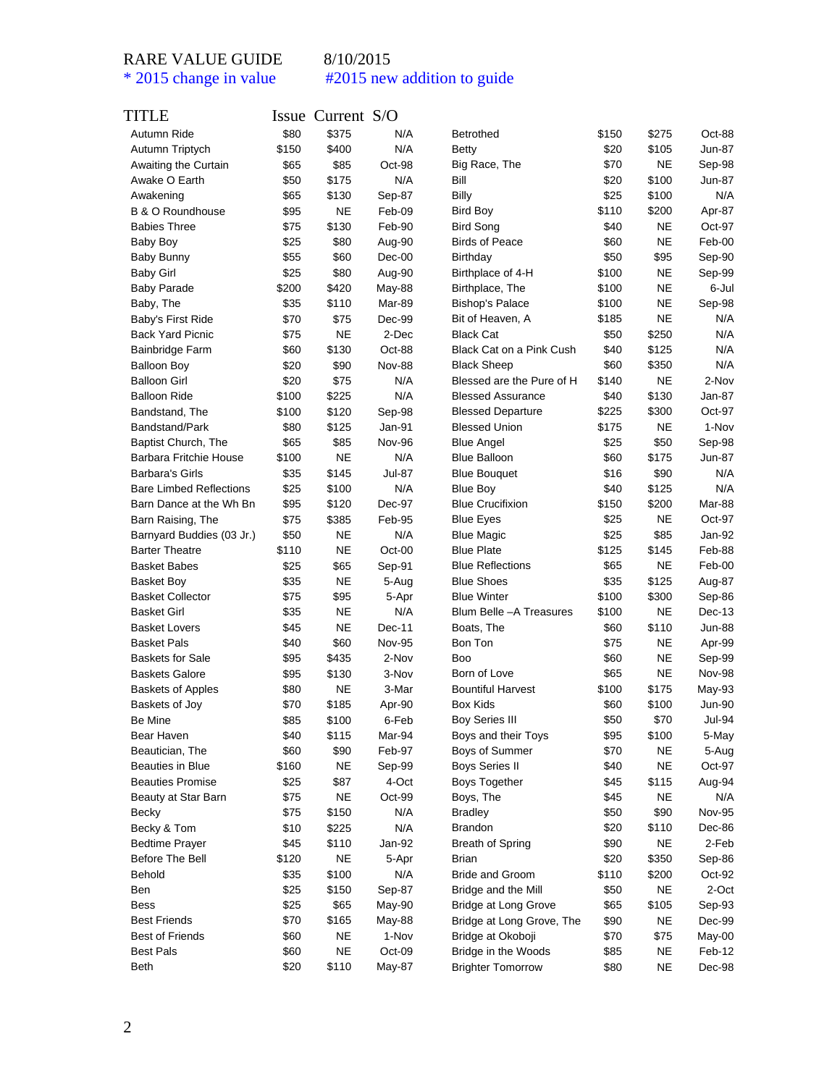| TITLE                                      |       | Issue Current S/O |               |                           |       |                |               |
|--------------------------------------------|-------|-------------------|---------------|---------------------------|-------|----------------|---------------|
| Autumn Ride                                | \$80  | \$375             | N/A           | <b>Betrothed</b>          | \$150 | \$275          | Oct-88        |
| Autumn Triptych                            | \$150 | \$400             | N/A           | <b>Betty</b>              | \$20  | \$105          | Jun-87        |
| Awaiting the Curtain                       | \$65  | \$85              | Oct-98        | Big Race, The             | \$70  | <b>NE</b>      | Sep-98        |
| Awake O Earth                              | \$50  | \$175             | N/A           | Bill                      | \$20  | \$100          | Jun-87        |
| Awakening                                  | \$65  | \$130             | Sep-87        | <b>Billy</b>              | \$25  | \$100          | N/A           |
| B & O Roundhouse                           | \$95  | <b>NE</b>         | Feb-09        | Bird Boy                  | \$110 | \$200          | Apr-87        |
| <b>Babies Three</b>                        | \$75  | \$130             | Feb-90        | <b>Bird Song</b>          | \$40  | <b>NE</b>      | Oct-97        |
| Baby Boy                                   | \$25  | \$80              | Aug-90        | <b>Birds of Peace</b>     | \$60  | <b>NE</b>      | Feb-00        |
| <b>Baby Bunny</b>                          | \$55  | \$60              | $Dec-00$      | Birthday                  | \$50  | \$95           | Sep-90        |
| <b>Baby Girl</b>                           | \$25  | \$80              | Aug-90        | Birthplace of 4-H         | \$100 | <b>NE</b>      | Sep-99        |
| <b>Baby Parade</b>                         | \$200 | \$420             | May-88        | Birthplace, The           | \$100 | NE             | 6-Jul         |
| Baby, The                                  | \$35  | \$110             | Mar-89        | <b>Bishop's Palace</b>    | \$100 | <b>NE</b>      | Sep-98        |
| Baby's First Ride                          | \$70  | \$75              | Dec-99        | Bit of Heaven, A          | \$185 | <b>NE</b>      | N/A           |
| <b>Back Yard Picnic</b>                    | \$75  | <b>NE</b>         | 2-Dec         | <b>Black Cat</b>          | \$50  | \$250          | N/A           |
| Bainbridge Farm                            | \$60  | \$130             | Oct-88        | Black Cat on a Pink Cush  | \$40  | \$125          | N/A           |
| <b>Balloon Boy</b>                         | \$20  | \$90              | <b>Nov-88</b> | <b>Black Sheep</b>        | \$60  | \$350          | N/A           |
| <b>Balloon Girl</b>                        | \$20  | \$75              | N/A           | Blessed are the Pure of H | \$140 | <b>NE</b>      | 2-Nov         |
| <b>Balloon Ride</b>                        | \$100 | \$225             | N/A           | <b>Blessed Assurance</b>  | \$40  | \$130          | Jan-87        |
| Bandstand, The                             | \$100 | \$120             | Sep-98        | <b>Blessed Departure</b>  | \$225 | \$300          | $Oct-97$      |
| Bandstand/Park                             | \$80  | \$125             | Jan-91        | <b>Blessed Union</b>      | \$175 | <b>NE</b>      | 1-Nov         |
| Baptist Church, The                        | \$65  | \$85              | <b>Nov-96</b> | <b>Blue Angel</b>         | \$25  | \$50           | Sep-98        |
| <b>Barbara Fritchie House</b>              | \$100 | <b>NE</b>         | N/A           | <b>Blue Balloon</b>       | \$60  | \$175          | Jun-87        |
| <b>Barbara's Girls</b>                     | \$35  | \$145             | Jul-87        | <b>Blue Bouquet</b>       | \$16  | \$90           | N/A           |
| <b>Bare Limbed Reflections</b>             | \$25  | \$100             | N/A           | <b>Blue Boy</b>           | \$40  | \$125          | N/A           |
| Barn Dance at the Wh Bn                    | \$95  | \$120             | Dec-97        | <b>Blue Crucifixion</b>   | \$150 | \$200          | Mar-88        |
| Barn Raising, The                          | \$75  | \$385             | Feb-95        | <b>Blue Eyes</b>          | \$25  | <b>NE</b>      | Oct-97        |
| Barnyard Buddies (03 Jr.)                  | \$50  | <b>NE</b>         | N/A           | <b>Blue Magic</b>         | \$25  | \$85           | Jan-92        |
| <b>Barter Theatre</b>                      | \$110 | <b>NE</b>         | Oct-00        | <b>Blue Plate</b>         | \$125 | \$145          | Feb-88        |
| <b>Basket Babes</b>                        | \$25  | \$65              | Sep-91        | <b>Blue Reflections</b>   | \$65  | <b>NE</b>      | Feb-00        |
| <b>Basket Boy</b>                          | \$35  | <b>NE</b>         | 5-Aug         | <b>Blue Shoes</b>         | \$35  | \$125          | Aug-87        |
| <b>Basket Collector</b>                    | \$75  | \$95              | 5-Apr         | <b>Blue Winter</b>        | \$100 | \$300          | Sep-86        |
| <b>Basket Girl</b>                         | \$35  | <b>NE</b>         | N/A           | Blum Belle - A Treasures  | \$100 | <b>NE</b>      | Dec-13        |
| <b>Basket Lovers</b>                       | \$45  | <b>NE</b>         | Dec-11        | Boats, The                | \$60  | \$110          | Jun-88        |
| <b>Basket Pals</b>                         | \$40  | \$60              | <b>Nov-95</b> | Bon Ton                   | \$75  | <b>NE</b>      | Apr-99        |
| <b>Baskets for Sale</b>                    | \$95  | \$435             | 2-Nov         | Boo                       | \$60  | <b>NE</b>      | Sep-99        |
| <b>Baskets Galore</b>                      | \$95  | \$130             | 3-Nov         | Born of Love              | \$65  | <b>NE</b>      | Nov-98        |
|                                            | \$80  | <b>NE</b>         | 3-Mar         | <b>Bountiful Harvest</b>  | \$100 |                | $May-93$      |
| <b>Baskets of Apples</b><br>Baskets of Joy | \$70  | \$185             |               | <b>Box Kids</b>           | \$60  | \$175<br>\$100 | Jun-90        |
|                                            |       |                   | Apr-90        | <b>Boy Series III</b>     |       |                |               |
| Be Mine                                    | \$85  | \$100             | 6-Feb         |                           | \$50  | \$70           | Jul-94        |
| Bear Haven                                 | \$40  | \$115             | Mar-94        | Boys and their Toys       | \$95  | \$100          | 5-May         |
| Beautician, The                            | \$60  | \$90              | Feb-97        | Boys of Summer            | \$70  | <b>NE</b>      | 5-Aug         |
| Beauties in Blue                           | \$160 | <b>NE</b>         | Sep-99        | <b>Boys Series II</b>     | \$40  | <b>NE</b>      | Oct-97        |
| <b>Beauties Promise</b>                    | \$25  | \$87              | 4-Oct         | Boys Together             | \$45  | \$115          | Aug-94        |
| Beauty at Star Barn                        | \$75  | <b>NE</b>         | Oct-99        | Boys, The                 | \$45  | <b>NE</b>      | N/A           |
| Becky                                      | \$75  | \$150             | N/A           | <b>Bradley</b>            | \$50  | \$90           | <b>Nov-95</b> |
| Becky & Tom                                | \$10  | \$225             | N/A           | <b>Brandon</b>            | \$20  | \$110          | Dec-86        |
| <b>Bedtime Prayer</b>                      | \$45  | \$110             | Jan-92        | Breath of Spring          | \$90  | <b>NE</b>      | 2-Feb         |
| Before The Bell                            | \$120 | <b>NE</b>         | 5-Apr         | <b>Brian</b>              | \$20  | \$350          | Sep-86        |
| Behold                                     | \$35  | \$100             | N/A           | Bride and Groom           | \$110 | \$200          | Oct-92        |
| Ben                                        | \$25  | \$150             | Sep-87        | Bridge and the Mill       | \$50  | <b>NE</b>      | 2-Oct         |
| Bess                                       | \$25  | \$65              | May-90        | Bridge at Long Grove      | \$65  | \$105          | Sep-93        |
| <b>Best Friends</b>                        | \$70  | \$165             | May-88        | Bridge at Long Grove, The | \$90  | <b>NE</b>      | Dec-99        |
| <b>Best of Friends</b>                     | \$60  | <b>NE</b>         | 1-Nov         | Bridge at Okoboji         | \$70  | \$75           | May-00        |
| <b>Best Pals</b>                           | \$60  | <b>NE</b>         | Oct-09        | Bridge in the Woods       | \$85  | NE             | Feb-12        |
| Beth                                       | \$20  | \$110             | May-87        | <b>Brighter Tomorrow</b>  | \$80  | <b>NE</b>      | Dec-98        |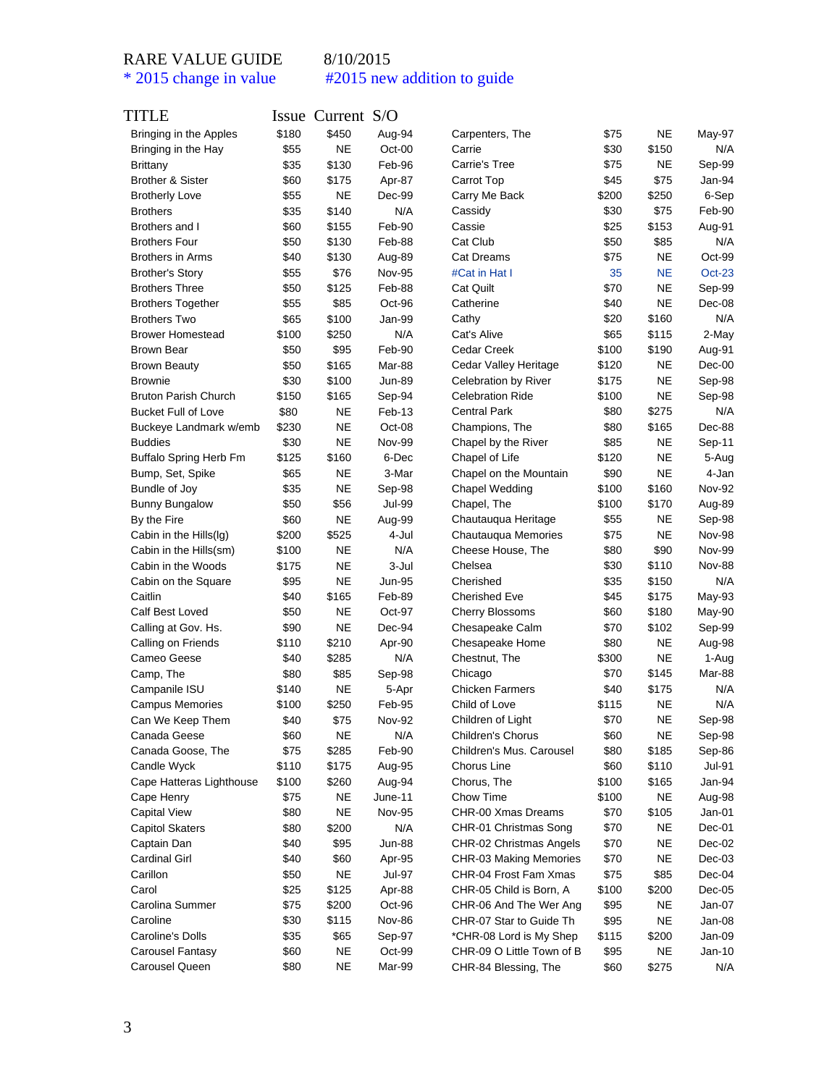| TITLE                         |       | Issue Current S/O |                 |                                            |       |            |                  |
|-------------------------------|-------|-------------------|-----------------|--------------------------------------------|-------|------------|------------------|
| Bringing in the Apples        | \$180 | \$450             | Aug-94          | Carpenters, The                            | \$75  | <b>NE</b>  | May-97           |
| Bringing in the Hay           | \$55  | <b>NE</b>         | Oct-00          | Carrie                                     | \$30  | \$150      | N/A              |
| <b>Brittany</b>               | \$35  | \$130             | Feb-96          | Carrie's Tree                              | \$75  | <b>NE</b>  | Sep-99           |
| <b>Brother &amp; Sister</b>   | \$60  | \$175             | Apr-87          | Carrot Top                                 | \$45  | \$75       | Jan-94           |
| <b>Brotherly Love</b>         | \$55  | NΕ                | Dec-99          | Carry Me Back                              | \$200 | \$250      | 6-Sep            |
| <b>Brothers</b>               | \$35  | \$140             | N/A             | Cassidy                                    | \$30  | \$75       | Feb-90           |
| Brothers and I                | \$60  | \$155             | Feb-90          | Cassie                                     | \$25  | \$153      | Aug-91           |
| <b>Brothers Four</b>          | \$50  | \$130             | Feb-88          | Cat Club                                   | \$50  | \$85       | N/A              |
| <b>Brothers in Arms</b>       | \$40  | \$130             | Aug-89          | <b>Cat Dreams</b>                          | \$75  | NE         | Oct-99           |
| <b>Brother's Story</b>        | \$55  | \$76              | <b>Nov-95</b>   | #Cat in Hat I                              | 35    | <b>NE</b>  | $Oct-23$         |
| <b>Brothers Three</b>         | \$50  | \$125             | Feb-88          | <b>Cat Quilt</b>                           | \$70  | <b>NE</b>  | Sep-99           |
| <b>Brothers Together</b>      | \$55  | \$85              | Oct-96          | Catherine                                  | \$40  | <b>NE</b>  | Dec-08           |
| <b>Brothers Two</b>           | \$65  | \$100             | Jan-99          | Cathy                                      | \$20  | \$160      | N/A              |
| <b>Brower Homestead</b>       | \$100 | \$250             | N/A             | Cat's Alive                                | \$65  | \$115      | 2-May            |
| <b>Brown Bear</b>             | \$50  | \$95              | Feb-90          | Cedar Creek                                | \$100 | \$190      | Aug-91           |
| <b>Brown Beauty</b>           | \$50  | \$165             | Mar-88          | Cedar Valley Heritage                      | \$120 | <b>NE</b>  | $Dec-00$         |
| <b>Brownie</b>                | \$30  | \$100             | <b>Jun-89</b>   | Celebration by River                       | \$175 | <b>NE</b>  | Sep-98           |
| <b>Bruton Parish Church</b>   | \$150 | \$165             | Sep-94          | <b>Celebration Ride</b>                    | \$100 | <b>NE</b>  | Sep-98           |
| <b>Bucket Full of Love</b>    | \$80  | <b>NE</b>         | Feb-13          | <b>Central Park</b>                        | \$80  | \$275      | N/A              |
| Buckeye Landmark w/emb        | \$230 | <b>NE</b>         | Oct-08          | Champions, The                             | \$80  | \$165      | Dec-88           |
| <b>Buddies</b>                | \$30  | NE                | <b>Nov-99</b>   | Chapel by the River                        | \$85  | NE         | Sep-11           |
| <b>Buffalo Spring Herb Fm</b> | \$125 | \$160             | 6-Dec           | Chapel of Life                             | \$120 | <b>NE</b>  | 5-Aug            |
| Bump, Set, Spike              | \$65  | NE                | 3-Mar           | Chapel on the Mountain                     | \$90  | <b>NE</b>  | 4-Jan            |
| Bundle of Joy                 | \$35  | <b>NE</b>         | Sep-98          | Chapel Wedding                             | \$100 | \$160      | Nov-92           |
| <b>Bunny Bungalow</b>         | \$50  | \$56              | Jul-99          | Chapel, The                                | \$100 | \$170      | Aug-89           |
|                               | \$60  | <b>NE</b>         |                 |                                            | \$55  | NE         |                  |
| By the Fire                   | \$200 | \$525             | Aug-99<br>4-Jul | Chautauqua Heritage<br>Chautauqua Memories | \$75  | <b>NE</b>  | Sep-98<br>Nov-98 |
| Cabin in the Hills(Ig)        |       |                   | N/A             |                                            |       |            |                  |
| Cabin in the Hills(sm)        | \$100 | NE                |                 | Cheese House, The                          | \$80  | \$90       | <b>Nov-99</b>    |
| Cabin in the Woods            | \$175 | <b>NE</b>         | 3-Jul           | Chelsea                                    | \$30  | \$110      | <b>Nov-88</b>    |
| Cabin on the Square           | \$95  | NE                | Jun-95          | Cherished                                  | \$35  | \$150      | N/A              |
| Caitlin                       | \$40  | \$165             | Feb-89          | <b>Cherished Eve</b>                       | \$45  | \$175      | May-93           |
| Calf Best Loved               | \$50  | ΝE                | Oct-97          | <b>Cherry Blossoms</b>                     | \$60  | \$180      | May-90           |
| Calling at Gov. Hs.           | \$90  | NE                | Dec-94          | Chesapeake Calm                            | \$70  | \$102      | Sep-99           |
| Calling on Friends            | \$110 | \$210             | Apr-90          | Chesapeake Home                            | \$80  | <b>NE</b>  | Aug-98           |
| Cameo Geese                   | \$40  | \$285             | N/A             | Chestnut, The                              | \$300 | <b>NE</b>  | 1-Aug            |
| Camp, The                     | \$80  | \$85              | Sep-98          | Chicago                                    | \$70  | \$145      | Mar-88           |
| Campanile ISU                 | \$140 | <b>NE</b>         | 5-Apr           | <b>Chicken Farmers</b>                     | \$40  | \$175      | N/A              |
| Campus Memories               | \$100 | \$250             | Feb-95          | Child of Love                              | \$115 | <b>NE</b>  | N/A              |
| Can We Keep Them              | \$40  | \$75              | <b>Nov-92</b>   | Children of Light                          | \$70  | <b>NE</b>  | Sep-98           |
| Canada Geese                  | \$60  | <b>NE</b>         | N/A             | Children's Chorus                          | \$60  | <b>NE</b>  | Sep-98           |
| Canada Goose, The             | \$75  | \$285             | Feb-90          | Children's Mus. Carousel                   | \$80  | \$185      | Sep-86           |
| Candle Wyck                   | \$110 | \$175             | Aug-95          | Chorus Line                                | \$60  | \$110      | Jul-91           |
| Cape Hatteras Lighthouse      | \$100 | \$260             | Aug-94          | Chorus, The                                | \$100 | \$165      | Jan-94           |
| Cape Henry                    | \$75  | NE                | June-11         | Chow Time                                  | \$100 | <b>NE</b>  | Aug-98           |
| Capital View                  | \$80  | NE                | <b>Nov-95</b>   | CHR-00 Xmas Dreams                         | \$70  | \$105      | Jan-01           |
| <b>Capitol Skaters</b>        | \$80  | \$200             | N/A             | CHR-01 Christmas Song                      | \$70  | NE         | Dec-01           |
| Captain Dan                   | \$40  | \$95              | <b>Jun-88</b>   | CHR-02 Christmas Angels                    | \$70  | ${\sf NE}$ | Dec-02           |
| <b>Cardinal Girl</b>          | \$40  | \$60              | Apr-95          | CHR-03 Making Memories                     | \$70  | <b>NE</b>  | $Dec-03$         |
| Carillon                      | \$50  | <b>NE</b>         | Jul-97          | CHR-04 Frost Fam Xmas                      | \$75  | \$85       | Dec-04           |
| Carol                         | \$25  | \$125             | Apr-88          | CHR-05 Child is Born, A                    | \$100 | \$200      | $Dec-05$         |
| Carolina Summer               | \$75  | \$200             | Oct-96          | CHR-06 And The Wer Ang                     | \$95  | <b>NE</b>  | Jan-07           |
| Caroline                      | \$30  | \$115             | Nov-86          | CHR-07 Star to Guide Th                    | \$95  | <b>NE</b>  | Jan-08           |
| Caroline's Dolls              | \$35  | \$65              | Sep-97          | *CHR-08 Lord is My Shep                    | \$115 | \$200      | Jan-09           |
| Carousel Fantasy              | \$60  | NE                | Oct-99          | CHR-09 O Little Town of B                  | \$95  | NE         | $Jan-10$         |
| Carousel Queen                | \$80  | NE                | Mar-99          | CHR-84 Blessing, The                       | \$60  | \$275      | N/A              |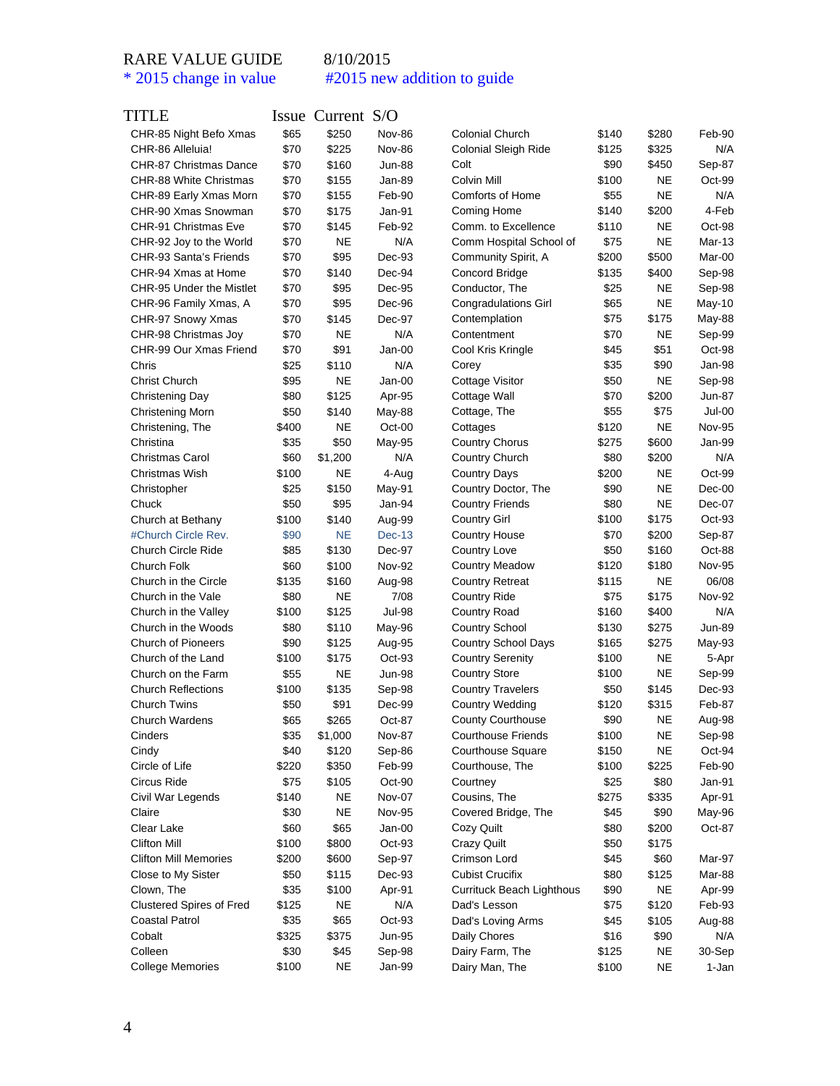| TITLE                           |       | Issue Current S/O |               |                             |       |           |               |
|---------------------------------|-------|-------------------|---------------|-----------------------------|-------|-----------|---------------|
| CHR-85 Night Befo Xmas          | \$65  | \$250             | <b>Nov-86</b> | <b>Colonial Church</b>      | \$140 | \$280     | Feb-90        |
| CHR-86 Alleluia!                | \$70  | \$225             | <b>Nov-86</b> | <b>Colonial Sleigh Ride</b> | \$125 | \$325     | N/A           |
| CHR-87 Christmas Dance          | \$70  | \$160             | <b>Jun-88</b> | Colt                        | \$90  | \$450     | Sep-87        |
| CHR-88 White Christmas          | \$70  | \$155             | Jan-89        | Colvin Mill                 | \$100 | <b>NE</b> | Oct-99        |
| CHR-89 Early Xmas Morn          | \$70  | \$155             | Feb-90        | <b>Comforts of Home</b>     | \$55  | <b>NE</b> | N/A           |
| CHR-90 Xmas Snowman             | \$70  | \$175             | Jan-91        | Coming Home                 | \$140 | \$200     | 4-Feb         |
| CHR-91 Christmas Eve            | \$70  | \$145             | Feb-92        | Comm. to Excellence         | \$110 | <b>NE</b> | Oct-98        |
| CHR-92 Joy to the World         | \$70  | <b>NE</b>         | N/A           | Comm Hospital School of     | \$75  | <b>NE</b> | $Mar-13$      |
| CHR-93 Santa's Friends          | \$70  | \$95              | Dec-93        | Community Spirit, A         | \$200 | \$500     | Mar-00        |
| CHR-94 Xmas at Home             | \$70  | \$140             | Dec-94        | <b>Concord Bridge</b>       | \$135 | \$400     | Sep-98        |
| CHR-95 Under the Mistlet        | \$70  | \$95              | Dec-95        | Conductor, The              | \$25  | <b>NE</b> | Sep-98        |
| CHR-96 Family Xmas, A           | \$70  | \$95              | Dec-96        | <b>Congradulations Girl</b> | \$65  | <b>NE</b> | May-10        |
| CHR-97 Snowy Xmas               | \$70  | \$145             | Dec-97        | Contemplation               | \$75  | \$175     | May-88        |
| CHR-98 Christmas Joy            | \$70  | NE                | N/A           | Contentment                 | \$70  | <b>NE</b> | Sep-99        |
| CHR-99 Our Xmas Friend          | \$70  | \$91              | Jan-00        | Cool Kris Kringle           | \$45  | \$51      | Oct-98        |
| Chris                           | \$25  | \$110             | N/A           | Corey                       | \$35  | \$90      | Jan-98        |
| <b>Christ Church</b>            | \$95  | NE                | Jan-00        | Cottage Visitor             | \$50  | <b>NE</b> | Sep-98        |
| Christening Day                 | \$80  | \$125             | Apr-95        | Cottage Wall                | \$70  | \$200     | Jun-87        |
| Christening Morn                | \$50  | \$140             | May-88        | Cottage, The                | \$55  | \$75      | Jul-00        |
| Christening, The                | \$400 | <b>NE</b>         | Oct-00        | Cottages                    | \$120 | <b>NE</b> | <b>Nov-95</b> |
| Christina                       | \$35  | \$50              | May-95        | <b>Country Chorus</b>       | \$275 | \$600     | Jan-99        |
| <b>Christmas Carol</b>          | \$60  | \$1,200           | N/A           | Country Church              | \$80  | \$200     | N/A           |
| Christmas Wish                  | \$100 | NE                | 4-Aug         | <b>Country Days</b>         | \$200 | <b>NE</b> | Oct-99        |
| Christopher                     | \$25  | \$150             | May-91        | Country Doctor, The         | \$90  | <b>NE</b> | $Dec-00$      |
| Chuck                           | \$50  | \$95              | Jan-94        | <b>Country Friends</b>      | \$80  | <b>NE</b> | Dec-07        |
| Church at Bethany               | \$100 | \$140             | Aug-99        | <b>Country Girl</b>         | \$100 | \$175     | Oct-93        |
| #Church Circle Rev.             | \$90  | <b>NE</b>         | Dec-13        | <b>Country House</b>        | \$70  | \$200     | Sep-87        |
| <b>Church Circle Ride</b>       | \$85  | \$130             | Dec-97        | Country Love                | \$50  | \$160     | Oct-88        |
| Church Folk                     | \$60  | \$100             | <b>Nov-92</b> | <b>Country Meadow</b>       | \$120 | \$180     | Nov-95        |
| Church in the Circle            | \$135 | \$160             | Aug-98        | <b>Country Retreat</b>      | \$115 | <b>NE</b> | 06/08         |
| Church in the Vale              | \$80  | NE                | 7/08          | <b>Country Ride</b>         | \$75  | \$175     | <b>Nov-92</b> |
| Church in the Valley            | \$100 | \$125             | Jul-98        | Country Road                | \$160 | \$400     | N/A           |
| Church in the Woods             | \$80  | \$110             | May-96        | <b>Country School</b>       | \$130 | \$275     | Jun-89        |
| <b>Church of Pioneers</b>       | \$90  | \$125             | Aug-95        | <b>Country School Days</b>  | \$165 | \$275     | May-93        |
| Church of the Land              | \$100 | \$175             | Oct-93        | <b>Country Serenity</b>     | \$100 | <b>NE</b> | 5-Apr         |
| Church on the Farm              | \$55  | <b>NE</b>         | <b>Jun-98</b> | <b>Country Store</b>        | \$100 | <b>NE</b> | Sep-99        |
| <b>Church Reflections</b>       | \$100 | \$135             | Sep-98        | <b>Country Travelers</b>    | \$50  | \$145     | Dec-93        |
| <b>Church Twins</b>             | \$50  | \$91              | Dec-99        | <b>Country Wedding</b>      | \$120 | \$315     | Feb-87        |
| Church Wardens                  | \$65  | \$265             | Oct-87        | County Courthouse           | \$90  | <b>NE</b> | Aug-98        |
| Cinders                         | \$35  | \$1,000           | <b>Nov-87</b> | <b>Courthouse Friends</b>   | \$100 | NE        | Sep-98        |
| Cindy                           | \$40  | \$120             | Sep-86        | <b>Courthouse Square</b>    | \$150 | <b>NE</b> | Oct-94        |
| Circle of Life                  | \$220 | \$350             | Feb-99        | Courthouse, The             | \$100 | \$225     | Feb-90        |
| Circus Ride                     | \$75  | \$105             | Oct-90        | Courtney                    | \$25  | \$80      | Jan-91        |
| Civil War Legends               | \$140 | <b>NE</b>         | Nov-07        | Cousins, The                | \$275 | \$335     | Apr-91        |
| Claire                          | \$30  | <b>NE</b>         | <b>Nov-95</b> | Covered Bridge, The         | \$45  | \$90      | May-96        |
| Clear Lake                      | \$60  | \$65              | Jan-00        | Cozy Quilt                  | \$80  | \$200     | Oct-87        |
| <b>Clifton Mill</b>             | \$100 | \$800             | $Oct-93$      | <b>Crazy Quilt</b>          | \$50  | \$175     |               |
| <b>Clifton Mill Memories</b>    | \$200 | \$600             | Sep-97        | Crimson Lord                | \$45  | \$60      | Mar-97        |
| Close to My Sister              | \$50  | \$115             | Dec-93        | Cubist Crucifix             | \$80  | \$125     | Mar-88        |
| Clown, The                      | \$35  | \$100             | Apr-91        | Currituck Beach Lighthous   | \$90  | <b>NE</b> | Apr-99        |
| <b>Clustered Spires of Fred</b> | \$125 | <b>NE</b>         | N/A           | Dad's Lesson                | \$75  | \$120     | Feb-93        |
| Coastal Patrol                  | \$35  | \$65              | Oct-93        | Dad's Loving Arms           | \$45  | \$105     | Aug-88        |
| Cobalt                          | \$325 | \$375             | Jun-95        | Daily Chores                | \$16  | \$90      | N/A           |
| Colleen                         | \$30  | \$45              | Sep-98        | Dairy Farm, The             | \$125 | NE        | 30-Sep        |
| <b>College Memories</b>         | \$100 | NE                | Jan-99        | Dairy Man, The              | \$100 | NE        | 1-Jan         |
|                                 |       |                   |               |                             |       |           |               |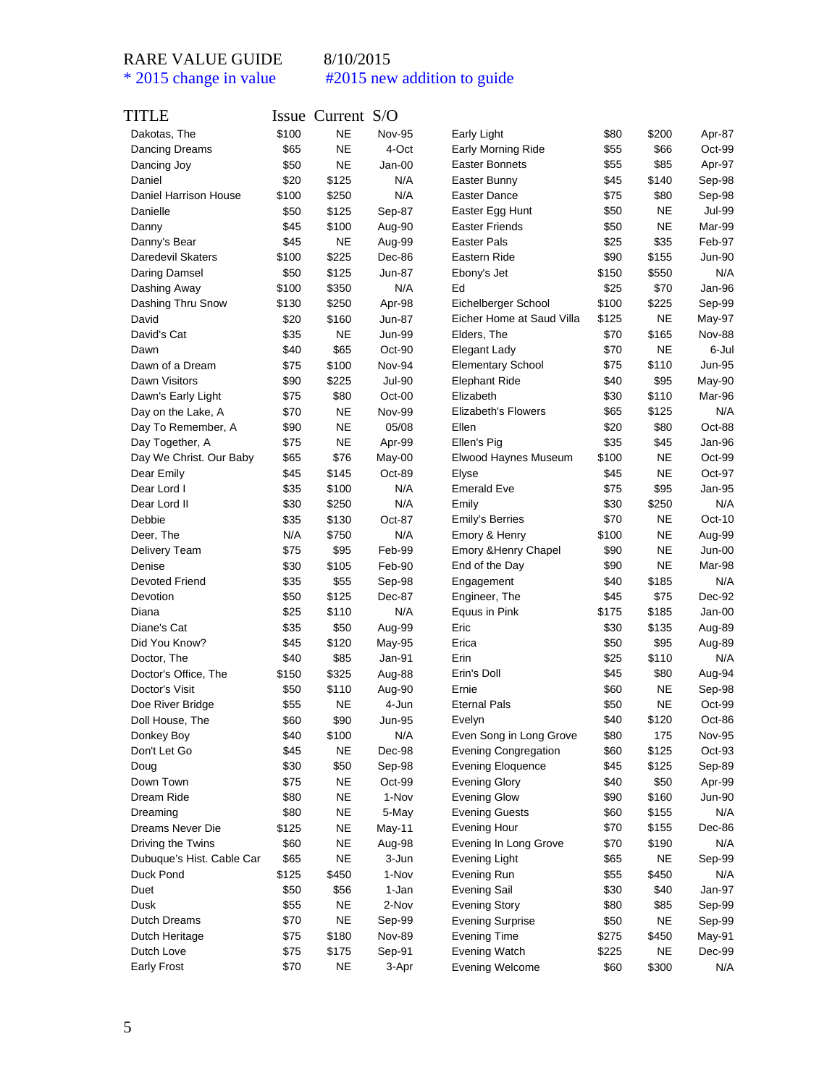| TITLE                     |       | Issue Current S/O |               |                             |       |           |               |
|---------------------------|-------|-------------------|---------------|-----------------------------|-------|-----------|---------------|
| Dakotas, The              | \$100 | <b>NE</b>         | <b>Nov-95</b> | Early Light                 | \$80  | \$200     | Apr-87        |
| Dancing Dreams            | \$65  | <b>NE</b>         | 4-Oct         | <b>Early Morning Ride</b>   | \$55  | \$66      | Oct-99        |
| Dancing Joy               | \$50  | <b>NE</b>         | Jan-00        | <b>Easter Bonnets</b>       | \$55  | \$85      | Apr-97        |
| Daniel                    | \$20  | \$125             | N/A           | Easter Bunny                | \$45  | \$140     | Sep-98        |
| Daniel Harrison House     | \$100 | \$250             | N/A           | <b>Easter Dance</b>         | \$75  | \$80      | Sep-98        |
| Danielle                  | \$50  | \$125             | Sep-87        | Easter Egg Hunt             | \$50  | NE        | Jul-99        |
| Danny                     | \$45  | \$100             | Aug-90        | <b>Easter Friends</b>       | \$50  | <b>NE</b> | Mar-99        |
| Danny's Bear              | \$45  | NE                | Aug-99        | Easter Pals                 | \$25  | \$35      | Feb-97        |
| Daredevil Skaters         | \$100 | \$225             | Dec-86        | Eastern Ride                | \$90  | \$155     | Jun-90        |
| Daring Damsel             | \$50  | \$125             | Jun-87        | Ebony's Jet                 | \$150 | \$550     | N/A           |
| Dashing Away              | \$100 | \$350             | N/A           | Ed                          | \$25  | \$70      | Jan-96        |
| Dashing Thru Snow         | \$130 | \$250             | Apr-98        | Eichelberger School         | \$100 | \$225     | Sep-99        |
| David                     | \$20  | \$160             | Jun-87        | Eicher Home at Saud Villa   | \$125 | NE        | May-97        |
| David's Cat               | \$35  | <b>NE</b>         | Jun-99        | Elders, The                 | \$70  | \$165     | <b>Nov-88</b> |
| Dawn                      | \$40  | \$65              | Oct-90        | Elegant Lady                | \$70  | <b>NE</b> | 6-Jul         |
| Dawn of a Dream           | \$75  | \$100             | Nov-94        | <b>Elementary School</b>    | \$75  | \$110     | Jun-95        |
| Dawn Visitors             | \$90  | \$225             | <b>Jul-90</b> | <b>Elephant Ride</b>        | \$40  | \$95      | May-90        |
| Dawn's Early Light        | \$75  | \$80              | Oct-00        | Elizabeth                   | \$30  | \$110     | Mar-96        |
| Day on the Lake, A        | \$70  | NE                | <b>Nov-99</b> | <b>Elizabeth's Flowers</b>  | \$65  | \$125     | N/A           |
| Day To Remember, A        | \$90  | NE                | 05/08         | Ellen                       | \$20  | \$80      | Oct-88        |
|                           | \$75  | NE                | Apr-99        | Ellen's Pig                 | \$35  | \$45      | Jan-96        |
| Day Together, A           |       |                   |               |                             |       |           | Oct-99        |
| Day We Christ. Our Baby   | \$65  | \$76              | May-00        | Elwood Haynes Museum        | \$100 | <b>NE</b> |               |
| Dear Emily                | \$45  | \$145             | Oct-89        | Elyse                       | \$45  | <b>NE</b> | Oct-97        |
| Dear Lord I               | \$35  | \$100             | N/A           | <b>Emerald Eve</b>          | \$75  | \$95      | Jan-95        |
| Dear Lord II              | \$30  | \$250             | N/A           | Emily                       | \$30  | \$250     | N/A           |
| Debbie                    | \$35  | \$130             | Oct-87        | Emily's Berries             | \$70  | <b>NE</b> | $Oct-10$      |
| Deer, The                 | N/A   | \$750             | N/A           | Emory & Henry               | \$100 | <b>NE</b> | Aug-99        |
| <b>Delivery Team</b>      | \$75  | \$95              | Feb-99        | Emory & Henry Chapel        | \$90  | <b>NE</b> | Jun-00        |
| Denise                    | \$30  | \$105             | Feb-90        | End of the Day              | \$90  | <b>NE</b> | Mar-98        |
| <b>Devoted Friend</b>     | \$35  | \$55              | Sep-98        | Engagement                  | \$40  | \$185     | N/A           |
| Devotion                  | \$50  | \$125             | Dec-87        | Engineer, The               | \$45  | \$75      | Dec-92        |
| Diana                     | \$25  | \$110             | N/A           | Equus in Pink               | \$175 | \$185     | Jan-00        |
| Diane's Cat               | \$35  | \$50              | Aug-99        | Eric                        | \$30  | \$135     | Aug-89        |
| Did You Know?             | \$45  | \$120             | May-95        | Erica                       | \$50  | \$95      | Aug-89        |
| Doctor, The               | \$40  | \$85              | Jan-91        | Erin                        | \$25  | \$110     | N/A           |
| Doctor's Office, The      | \$150 | \$325             | Aug-88        | Erin's Doll                 | \$45  | \$80      | Aug-94        |
| Doctor's Visit            | \$50  | \$110             | Aug-90        | Ernie                       | \$60  | <b>NE</b> | Sep-98        |
| Doe River Bridge          | \$55  | <b>NE</b>         | 4-Jun         | <b>Eternal Pals</b>         | \$50  | NE        | Oct-99        |
| Doll House, The           | \$60  | \$90              | <b>Jun-95</b> | Evelyn                      | \$40  | \$120     | Oct-86        |
| Donkey Boy                | \$40  | \$100             | N/A           | Even Song in Long Grove     | \$80  | 175       | <b>Nov-95</b> |
| Don't Let Go              | \$45  | <b>NE</b>         | Dec-98        | <b>Evening Congregation</b> | \$60  | \$125     | Oct-93        |
| Doug                      | \$30  | \$50              | Sep-98        | <b>Evening Eloquence</b>    | \$45  | \$125     | Sep-89        |
| Down Town                 | \$75  | <b>NE</b>         | Oct-99        | <b>Evening Glory</b>        | \$40  | \$50      | Apr-99        |
| Dream Ride                | \$80  | <b>NE</b>         | 1-Nov         | <b>Evening Glow</b>         | \$90  | \$160     | Jun-90        |
| Dreaming                  | \$80  | <b>NE</b>         | 5-May         | <b>Evening Guests</b>       | \$60  | \$155     | N/A           |
| Dreams Never Die          | \$125 | <b>NE</b>         | May-11        | <b>Evening Hour</b>         | \$70  | \$155     | Dec-86        |
| Driving the Twins         | \$60  | <b>NE</b>         | Aug-98        | Evening In Long Grove       | \$70  | \$190     | N/A           |
|                           |       |                   |               |                             |       |           |               |
| Dubuque's Hist. Cable Car | \$65  | <b>NE</b>         | 3-Jun         | Evening Light               | \$65  | <b>NE</b> | Sep-99        |
| Duck Pond                 | \$125 | \$450             | 1-Nov         | Evening Run                 | \$55  | \$450     | N/A           |
| Duet                      | \$50  | \$56              | 1-Jan         | <b>Evening Sail</b>         | \$30  | \$40      | Jan-97        |
| Dusk                      | \$55  | <b>NE</b>         | 2-Nov         | <b>Evening Story</b>        | \$80  | \$85      | Sep-99        |
| Dutch Dreams              | \$70  | <b>NE</b>         | Sep-99        | <b>Evening Surprise</b>     | \$50  | <b>NE</b> | Sep-99        |
| Dutch Heritage            | \$75  | \$180             | <b>Nov-89</b> | <b>Evening Time</b>         | \$275 | \$450     | May-91        |
| Dutch Love                | \$75  | \$175             | Sep-91        | Evening Watch               | \$225 | <b>NE</b> | Dec-99        |
| <b>Early Frost</b>        | \$70  | <b>NE</b>         | 3-Apr         | <b>Evening Welcome</b>      | \$60  | \$300     | N/A           |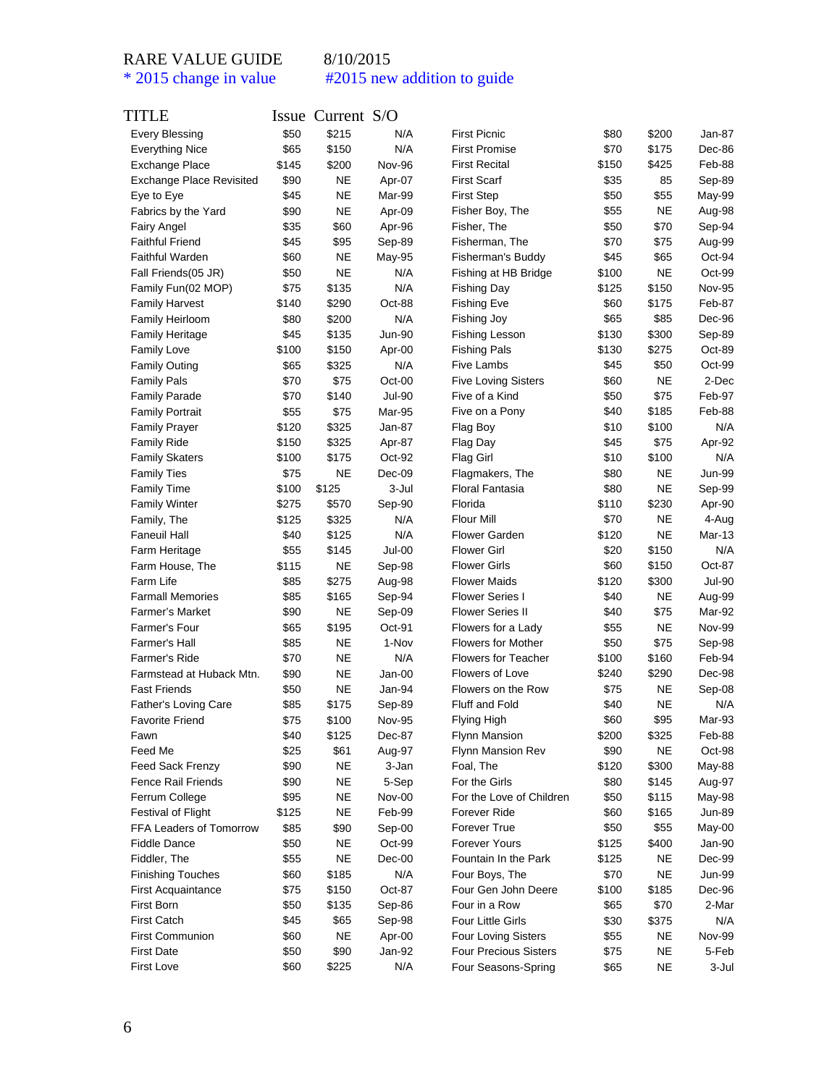| TITLE                                |       | Issue Current S/O  |                 |                                                 |              |           |                 |
|--------------------------------------|-------|--------------------|-----------------|-------------------------------------------------|--------------|-----------|-----------------|
| <b>Every Blessing</b>                | \$50  | \$215              | N/A             | <b>First Picnic</b>                             | \$80         | \$200     | Jan-87          |
| <b>Everything Nice</b>               | \$65  | \$150              | N/A             | <b>First Promise</b>                            | \$70         | \$175     | Dec-86          |
| <b>Exchange Place</b>                | \$145 | \$200              | Nov-96          | <b>First Recital</b>                            | \$150        | \$425     | Feb-88          |
| <b>Exchange Place Revisited</b>      | \$90  | <b>NE</b>          | Apr-07          | <b>First Scarf</b>                              | \$35         | 85        | Sep-89          |
| Eye to Eye                           | \$45  | NE                 | Mar-99          | <b>First Step</b>                               | \$50         | \$55      | May-99          |
| Fabrics by the Yard                  | \$90  | <b>NE</b>          | Apr-09          | Fisher Boy, The                                 | \$55         | NE        | Aug-98          |
| <b>Fairy Angel</b>                   | \$35  | \$60               | Apr-96          | Fisher, The                                     | \$50         | \$70      | Sep-94          |
| <b>Faithful Friend</b>               | \$45  | \$95               | Sep-89          | Fisherman, The                                  | \$70         | \$75      | Aug-99          |
| <b>Faithful Warden</b>               | \$60  | <b>NE</b>          | May-95          | Fisherman's Buddy                               | \$45         | \$65      | Oct-94          |
| Fall Friends(05 JR)                  | \$50  | NE                 | N/A             | Fishing at HB Bridge                            | \$100        | NE        | Oct-99          |
| Family Fun(02 MOP)                   | \$75  | \$135              | N/A             | <b>Fishing Day</b>                              | \$125        | \$150     | Nov-95          |
| <b>Family Harvest</b>                | \$140 | \$290              | Oct-88          | <b>Fishing Eve</b>                              | \$60         | \$175     | Feb-87          |
| Family Heirloom                      | \$80  | \$200              | N/A             | Fishing Joy                                     | \$65         | \$85      | Dec-96          |
| <b>Family Heritage</b>               | \$45  | \$135              | <b>Jun-90</b>   | Fishing Lesson                                  | \$130        | \$300     | Sep-89          |
| <b>Family Love</b>                   | \$100 | \$150              | Apr-00          | <b>Fishing Pals</b>                             | \$130        | \$275     | Oct-89          |
| <b>Family Outing</b>                 | \$65  | \$325              | N/A             | Five Lambs                                      | \$45         | \$50      | Oct-99          |
| <b>Family Pals</b>                   | \$70  | \$75               | Oct-00          | <b>Five Loving Sisters</b>                      | \$60         | <b>NE</b> | 2-Dec           |
| <b>Family Parade</b>                 | \$70  | \$140              | <b>Jul-90</b>   | Five of a Kind                                  | \$50         | \$75      | Feb-97          |
| <b>Family Portrait</b>               | \$55  | \$75               | Mar-95          | Five on a Pony                                  | \$40         | \$185     | Feb-88          |
| <b>Family Prayer</b>                 | \$120 | \$325              | Jan-87          | Flag Boy                                        | \$10         | \$100     | N/A             |
| <b>Family Ride</b>                   | \$150 | \$325              | Apr-87          | Flag Day                                        | \$45         | \$75      | Apr-92          |
| <b>Family Skaters</b>                | \$100 | \$175              | Oct-92          | Flag Girl                                       | \$10         | \$100     | N/A             |
| <b>Family Ties</b>                   | \$75  | <b>NE</b>          | Dec-09          | Flagmakers, The                                 | \$80         | NE        | <b>Jun-99</b>   |
| <b>Family Time</b>                   | \$100 | \$125              | 3-Jul           | <b>Floral Fantasia</b>                          | \$80         | NE        | Sep-99          |
| <b>Family Winter</b>                 | \$275 | \$570              | Sep-90          | Florida                                         | \$110        | \$230     | Apr-90          |
|                                      | \$125 | \$325              | N/A             | <b>Flour Mill</b>                               | \$70         | NE        |                 |
| Family, The<br><b>Faneuil Hall</b>   | \$40  | \$125              | N/A             | <b>Flower Garden</b>                            | \$120        | NE        | 4-Aug<br>Mar-13 |
|                                      | \$55  |                    | Jul-00          | <b>Flower Girl</b>                              |              | \$150     | N/A             |
| Farm Heritage                        | \$115 | \$145<br><b>NE</b> |                 | <b>Flower Girls</b>                             | \$20<br>\$60 | \$150     | Oct-87          |
| Farm House, The                      | \$85  | \$275              | Sep-98          | <b>Flower Maids</b>                             | \$120        | \$300     | Jul-90          |
| Farm Life<br><b>Farmall Memories</b> | \$85  | \$165              | Aug-98          | <b>Flower Series I</b>                          | \$40         | NE        |                 |
|                                      |       |                    | Sep-94          |                                                 |              |           | Aug-99          |
| <b>Farmer's Market</b>               | \$90  | <b>NE</b>          | Sep-09          | <b>Flower Series II</b>                         | \$40         | \$75      | Mar-92          |
| Farmer's Four                        | \$65  | \$195              | Oct-91<br>1-Nov | Flowers for a Lady<br><b>Flowers for Mother</b> | \$55         | <b>NE</b> | Nov-99          |
| Farmer's Hall                        | \$85  | <b>NE</b>          |                 |                                                 | \$50         | \$75      | Sep-98          |
| <b>Farmer's Ride</b>                 | \$70  | NE                 | N/A             | <b>Flowers for Teacher</b>                      | \$100        | \$160     | Feb-94          |
| Farmstead at Huback Mtn.             | \$90  | <b>NE</b>          | Jan-00          | Flowers of Love                                 | \$240        | \$290     | Dec-98          |
| <b>Fast Friends</b>                  | \$50  | NE                 | Jan-94          | Flowers on the Row                              | \$75         | NE        | Sep-08          |
| <b>Father's Loving Care</b>          | \$85  | \$175              | Sep-89          | Fluff and Fold                                  | \$40         | <b>NE</b> | N/A             |
| <b>Favorite Friend</b>               | \$75  | \$100              | Nov-95          | Flying High                                     | \$60         | \$95      | Mar-93          |
| Fawn                                 | \$40  | \$125              | Dec-87          | <b>Flynn Mansion</b>                            | \$200        | \$325     | Feb-88          |
| Feed Me                              | \$25  | \$61               | Aug-97          | Flynn Mansion Rev                               | \$90         | <b>NE</b> | Oct-98          |
| <b>Feed Sack Frenzy</b>              | \$90  | <b>NE</b>          | 3-Jan           | Foal, The                                       | \$120        | \$300     | May-88          |
| <b>Fence Rail Friends</b>            | \$90  | <b>NE</b>          | 5-Sep           | For the Girls                                   | \$80         | \$145     | Aug-97          |
| Ferrum College                       | \$95  | <b>NE</b>          | Nov-00          | For the Love of Children                        | \$50         | \$115     | May-98          |
| <b>Festival of Flight</b>            | \$125 | <b>NE</b>          | Feb-99          | Forever Ride                                    | \$60         | \$165     | <b>Jun-89</b>   |
| FFA Leaders of Tomorrow              | \$85  | \$90               | Sep-00          | Forever True                                    | \$50         | \$55      | May-00          |
| <b>Fiddle Dance</b>                  | \$50  | <b>NE</b>          | Oct-99          | <b>Forever Yours</b>                            | \$125        | \$400     | Jan-90          |
| Fiddler, The                         | \$55  | <b>NE</b>          | Dec-00          | Fountain In the Park                            | \$125        | NE        | Dec-99          |
| <b>Finishing Touches</b>             | \$60  | \$185              | N/A             | Four Boys, The                                  | \$70         | <b>NE</b> | <b>Jun-99</b>   |
| <b>First Acquaintance</b>            | \$75  | \$150              | Oct-87          | Four Gen John Deere                             | \$100        | \$185     | Dec-96          |
| First Born                           | \$50  | \$135              | Sep-86          | Four in a Row                                   | \$65         | \$70      | 2-Mar           |
| <b>First Catch</b>                   | \$45  | \$65               | Sep-98          | Four Little Girls                               | \$30         | \$375     | N/A             |
| <b>First Communion</b>               | \$60  | <b>NE</b>          | Apr-00          | <b>Four Loving Sisters</b>                      | \$55         | NE        | Nov-99          |
| <b>First Date</b>                    | \$50  | \$90               | Jan-92          | <b>Four Precious Sisters</b>                    | \$75         | NE        | 5-Feb           |
| <b>First Love</b>                    | \$60  | \$225              | N/A             | Four Seasons-Spring                             | \$65         | NE        | 3-Jul           |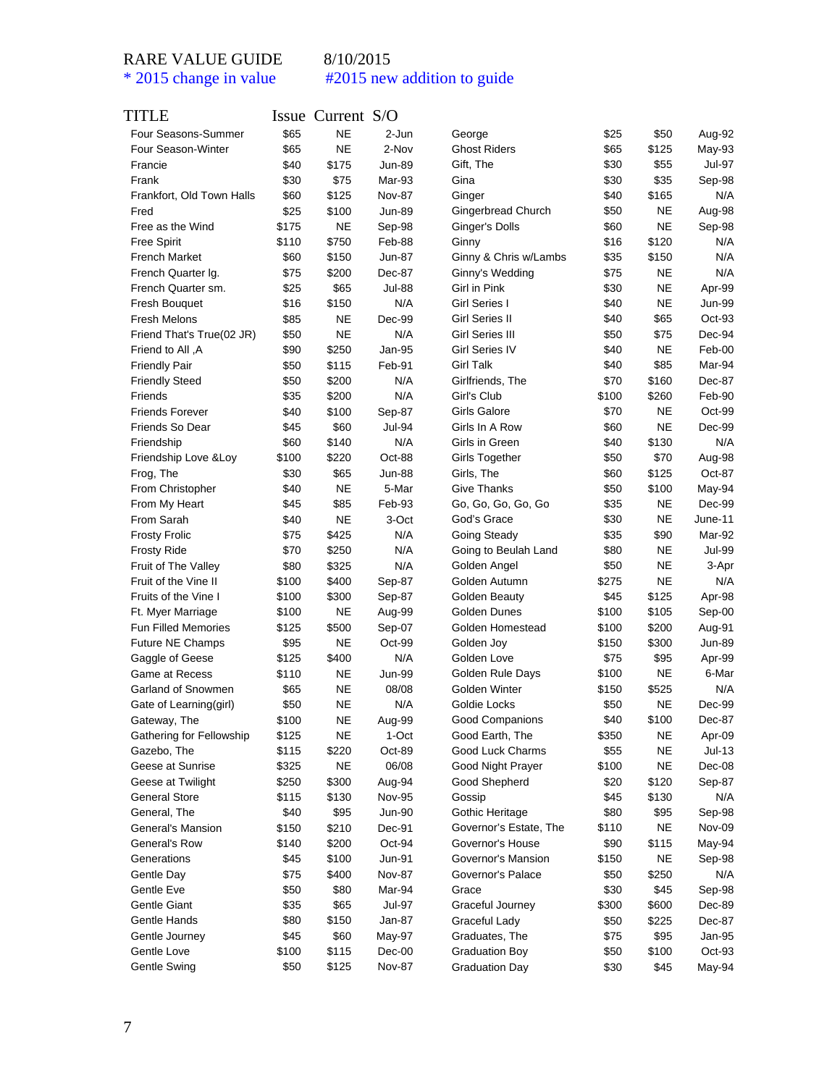| TITLE                                    |       | Issue Current S/O |               |                                   |               |           |                  |
|------------------------------------------|-------|-------------------|---------------|-----------------------------------|---------------|-----------|------------------|
| Four Seasons-Summer                      | \$65  | <b>NE</b>         | 2-Jun         | George                            | \$25          | \$50      | Aug-92           |
| Four Season-Winter                       | \$65  | <b>NE</b>         | 2-Nov         | <b>Ghost Riders</b>               | \$65          | \$125     | May-93           |
| Francie                                  | \$40  | \$175             | <b>Jun-89</b> | Gift, The                         | \$30          | \$55      | Jul-97           |
| Frank                                    | \$30  | \$75              | Mar-93        | Gina                              | \$30          | \$35      | Sep-98           |
| Frankfort, Old Town Halls                | \$60  | \$125             | <b>Nov-87</b> | Ginger                            | \$40          | \$165     | N/A              |
| Fred                                     | \$25  | \$100             | Jun-89        | Gingerbread Church                | \$50          | NE        | Aug-98           |
| Free as the Wind                         | \$175 | <b>NE</b>         | Sep-98        | Ginger's Dolls                    | \$60          | <b>NE</b> | Sep-98           |
| Free Spirit                              | \$110 | \$750             | Feb-88        | Ginny                             | \$16          | \$120     | N/A              |
| <b>French Market</b>                     | \$60  | \$150             | Jun-87        | Ginny & Chris w/Lambs             | \$35          | \$150     | N/A              |
| French Quarter Ig.                       | \$75  | \$200             | Dec-87        | Ginny's Wedding                   | \$75          | <b>NE</b> | N/A              |
| French Quarter sm.                       | \$25  | \$65              | Jul-88        | Girl in Pink                      | \$30          | <b>NE</b> | Apr-99           |
| Fresh Bouquet                            | \$16  | \$150             | N/A           | Girl Series I                     | \$40          | <b>NE</b> | Jun-99           |
| <b>Fresh Melons</b>                      | \$85  | NE                | Dec-99        | Girl Series II                    | \$40          | \$65      | Oct-93           |
| Friend That's True(02 JR)                | \$50  | <b>NE</b>         | N/A           | Girl Series III                   | \$50          | \$75      | Dec-94           |
| A, Friend to All                         | \$90  | \$250             | Jan-95        | <b>Girl Series IV</b>             | \$40          | <b>NE</b> | Feb-00           |
| <b>Friendly Pair</b>                     | \$50  | \$115             | Feb-91        | <b>Girl Talk</b>                  | \$40          | \$85      | Mar-94           |
| <b>Friendly Steed</b>                    | \$50  | \$200             | N/A           | Girlfriends, The                  | \$70          | \$160     | Dec-87           |
| Friends                                  | \$35  | \$200             | N/A           | Girl's Club                       | \$100         | \$260     | Feb-90           |
| <b>Friends Forever</b>                   | \$40  | \$100             | Sep-87        | Girls Galore                      | \$70          | <b>NE</b> | Oct-99           |
| Friends So Dear                          | \$45  | \$60              | Jul-94        | Girls In A Row                    | \$60          | <b>NE</b> | Dec-99           |
| Friendship                               | \$60  | \$140             | N/A           | Girls in Green                    | \$40          | \$130     | N/A              |
| Friendship Love & Loy                    | \$100 | \$220             | Oct-88        | <b>Girls Together</b>             | \$50          | \$70      | Aug-98           |
| Frog, The                                | \$30  | \$65              | <b>Jun-88</b> | Girls, The                        | \$60          | \$125     | Oct-87           |
| From Christopher                         | \$40  | NE                | 5-Mar         | Give Thanks                       | \$50          | \$100     | May-94           |
| From My Heart                            | \$45  | \$85              | Feb-93        | Go, Go, Go, Go, Go                | \$35          | NE        | Dec-99           |
| From Sarah                               | \$40  | NE                | 3-Oct         | God's Grace                       | \$30          | NE        | June-11          |
| <b>Frosty Frolic</b>                     | \$75  | \$425             | N/A           | Going Steady                      | \$35          | \$90      | Mar-92           |
| <b>Frosty Ride</b>                       | \$70  | \$250             | N/A           | Going to Beulah Land              | \$80          | <b>NE</b> | Jul-99           |
| Fruit of The Valley                      | \$80  | \$325             | N/A           | Golden Angel                      | \$50          | <b>NE</b> |                  |
| Fruit of the Vine II                     | \$100 | \$400             | Sep-87        | Golden Autumn                     | \$275         | <b>NE</b> | 3-Apr<br>N/A     |
| Fruits of the Vine I                     | \$100 | \$300             | Sep-87        | Golden Beauty                     | \$45          | \$125     | Apr-98           |
| Ft. Myer Marriage                        | \$100 | NE                | Aug-99        | Golden Dunes                      | \$100         | \$105     | Sep-00           |
| <b>Fun Filled Memories</b>               | \$125 | \$500             | Sep-07        | Golden Homestead                  | \$100         | \$200     | Aug-91           |
|                                          | \$95  | NE                | Oct-99        |                                   |               | \$300     |                  |
| Future NE Champs                         | \$125 | \$400             | N/A           | Golden Joy<br>Golden Love         | \$150<br>\$75 | \$95      | Jun-89<br>Apr-99 |
| Gaggle of Geese<br><b>Game at Recess</b> |       | NE                | <b>Jun-99</b> |                                   | \$100         | <b>NE</b> | 6-Mar            |
|                                          | \$110 |                   | 08/08         | Golden Rule Days<br>Golden Winter |               |           |                  |
| Garland of Snowmen                       | \$65  | <b>NE</b>         |               |                                   | \$150         | \$525     | N/A              |
| Gate of Learning(girl)                   | \$50  | NE                | N/A           | Goldie Locks                      | \$50          | <b>NE</b> | Dec-99           |
| Gateway, The                             | \$100 | <b>NE</b>         | Aug-99        | Good Companions                   | \$40          | \$100     | Dec-87           |
| Gathering for Fellowship                 | \$125 | NE                | 1-Oct         | Good Earth, The                   | \$350         | NE        | Apr-09           |
| Gazebo, The                              | \$115 | \$220             | Oct-89        | Good Luck Charms                  | \$55          | <b>NE</b> | Jul-13           |
| Geese at Sunrise                         | \$325 | <b>NE</b>         | 06/08         | Good Night Prayer                 | \$100         | <b>NE</b> | Dec-08           |
| Geese at Twilight                        | \$250 | \$300             | Aug-94        | Good Shepherd                     | \$20          | \$120     | Sep-87           |
| General Store                            | \$115 | \$130             | <b>Nov-95</b> | Gossip                            | \$45          | \$130     | N/A              |
| General, The                             | \$40  | \$95              | <b>Jun-90</b> | Gothic Heritage                   | \$80          | \$95      | Sep-98           |
| General's Mansion                        | \$150 | \$210             | Dec-91        | Governor's Estate, The            | \$110         | NE        | Nov-09           |
| General's Row                            | \$140 | \$200             | Oct-94        | Governor's House                  | \$90          | \$115     | May-94           |
| Generations                              | \$45  | \$100             | Jun-91        | Governor's Mansion                | \$150         | NE        | Sep-98           |
| Gentle Day                               | \$75  | \$400             | <b>Nov-87</b> | Governor's Palace                 | \$50          | \$250     | N/A              |
| Gentle Eve                               | \$50  | \$80              | Mar-94        | Grace                             | \$30          | \$45      | Sep-98           |
| Gentle Giant                             | \$35  | \$65              | Jul-97        | Graceful Journey                  | \$300         | \$600     | Dec-89           |
| Gentle Hands                             | \$80  | \$150             | Jan-87        | Graceful Lady                     | \$50          | \$225     | Dec-87           |
| Gentle Journey                           | \$45  | \$60              | May-97        | Graduates, The                    | \$75          | \$95      | Jan-95           |
| Gentle Love                              | \$100 | \$115             | Dec-00        | <b>Graduation Boy</b>             | \$50          | \$100     | Oct-93           |
| Gentle Swing                             | \$50  | \$125             | <b>Nov-87</b> | <b>Graduation Day</b>             | \$30          | \$45      | May-94           |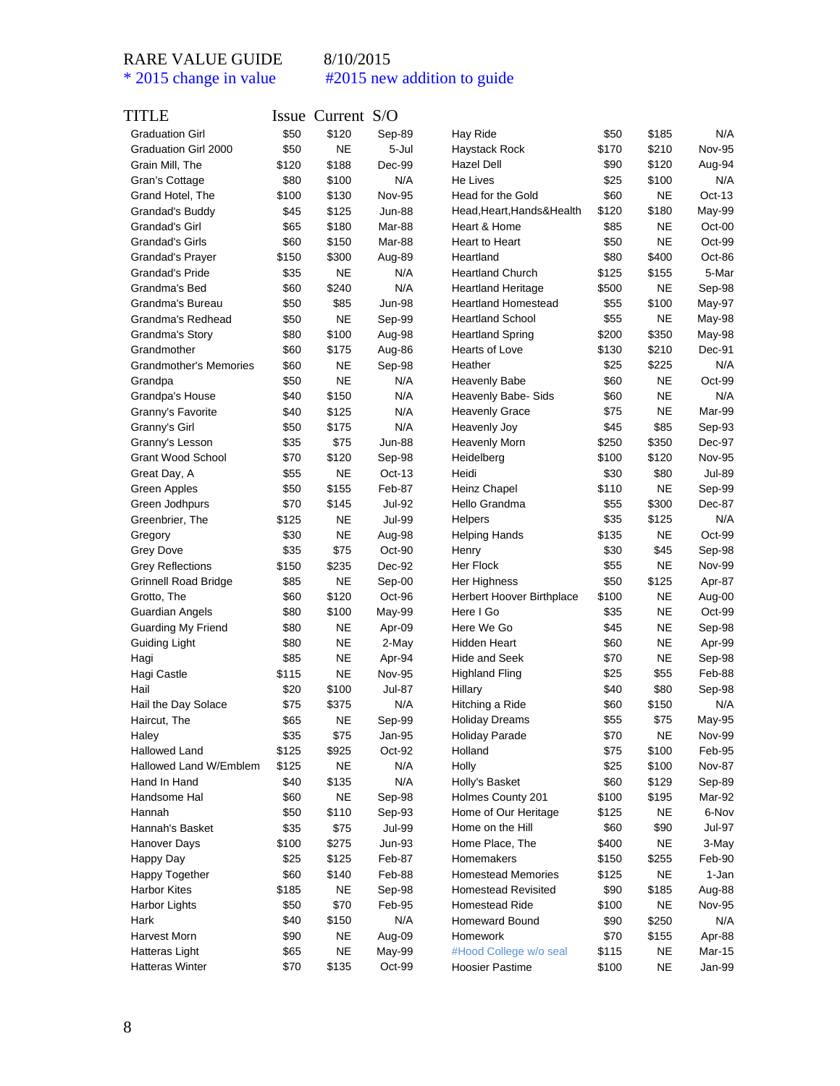| TITLE                         |       | $I$ ssue Current $S/O$ |               |                                  |       |                   |               |
|-------------------------------|-------|------------------------|---------------|----------------------------------|-------|-------------------|---------------|
| <b>Graduation Girl</b>        | \$50  | \$120                  | Sep-89        | Hay Ride                         | \$50  | \$185             | N/A           |
| Graduation Girl 2000          | \$50  | <b>NE</b>              | 5-Jul         | Haystack Rock                    | \$170 | \$210             | <b>Nov-95</b> |
| Grain Mill, The               | \$120 | \$188                  | Dec-99        | Hazel Dell                       | \$90  | \$120             | Aug-94        |
| Gran's Cottage                | \$80  | \$100                  | N/A           | He Lives                         | \$25  | \$100             | N/A           |
| Grand Hotel, The              | \$100 | \$130                  | <b>Nov-95</b> | Head for the Gold                | \$60  | <b>NE</b>         | $Oct-13$      |
| Grandad's Buddy               | \$45  | \$125                  | <b>Jun-88</b> | Head, Heart, Hands& Health       | \$120 | \$180             | May-99        |
| Grandad's Girl                | \$65  | \$180                  | Mar-88        | Heart & Home                     | \$85  | <b>NE</b>         | Oct-00        |
| Grandad's Girls               | \$60  | \$150                  | Mar-88        | Heart to Heart                   | \$50  | <b>NE</b>         | Oct-99        |
| Grandad's Prayer              | \$150 | \$300                  | Aug-89        | Heartland                        | \$80  | \$400             | Oct-86        |
| Grandad's Pride               | \$35  | <b>NE</b>              | N/A           | <b>Heartland Church</b>          | \$125 | \$155             | 5-Mar         |
| Grandma's Bed                 | \$60  | \$240                  | N/A           | <b>Heartland Heritage</b>        | \$500 | <b>NE</b>         | Sep-98        |
| Grandma's Bureau              | \$50  | \$85                   | <b>Jun-98</b> | <b>Heartland Homestead</b>       | \$55  | \$100             | May-97        |
| Grandma's Redhead             | \$50  | <b>NE</b>              | Sep-99        | <b>Heartland School</b>          | \$55  | <b>NE</b>         | May-98        |
| Grandma's Story               | \$80  | \$100                  | Aug-98        | <b>Heartland Spring</b>          | \$200 | \$350             | May-98        |
| Grandmother                   | \$60  | \$175                  | Aug-86        | Hearts of Love                   | \$130 | \$210             | Dec-91        |
| <b>Grandmother's Memories</b> | \$60  | NE                     | Sep-98        | Heather                          | \$25  | \$225             | N/A           |
| Grandpa                       | \$50  | <b>NE</b>              | N/A           | <b>Heavenly Babe</b>             | \$60  | <b>NE</b>         | Oct-99        |
| Grandpa's House               | \$40  | \$150                  | N/A           | Heavenly Babe- Sids              | \$60  | <b>NE</b>         | N/A           |
| Granny's Favorite             | \$40  | \$125                  | N/A           | <b>Heavenly Grace</b>            | \$75  | <b>NE</b>         | Mar-99        |
| Granny's Girl                 | \$50  | \$175                  | N/A           | Heavenly Joy                     | \$45  | \$85              | Sep-93        |
| Granny's Lesson               | \$35  | \$75                   | <b>Jun-88</b> | Heavenly Morn                    | \$250 | \$350             | Dec-97        |
| <b>Grant Wood School</b>      | \$70  | \$120                  | Sep-98        | Heidelberg                       | \$100 | \$120             | <b>Nov-95</b> |
| Great Day, A                  | \$55  | NE                     | $Oct-13$      | Heidi                            | \$30  | \$80              | Jul-89        |
| Green Apples                  | \$50  | \$155                  | Feb-87        | Heinz Chapel                     | \$110 | <b>NE</b>         | Sep-99        |
| Green Jodhpurs                | \$70  | \$145                  | Jul-92        | Hello Grandma                    | \$55  | \$300             | Dec-87        |
| Greenbrier, The               | \$125 | NE                     | Jul-99        | <b>Helpers</b>                   | \$35  | \$125             | N/A           |
| Gregory                       | \$30  | <b>NE</b>              | Aug-98        | <b>Helping Hands</b>             | \$135 | <b>NE</b>         | $Oct-99$      |
| <b>Grey Dove</b>              | \$35  | \$75                   | Oct-90        | Henry                            | \$30  | \$45              | Sep-98        |
| <b>Grey Reflections</b>       | \$150 | \$235                  | Dec-92        | Her Flock                        | \$55  | <b>NE</b>         | <b>Nov-99</b> |
| <b>Grinnell Road Bridge</b>   | \$85  | <b>NE</b>              | Sep-00        | Her Highness                     | \$50  | \$125             | Apr-87        |
| Grotto, The                   | \$60  | \$120                  | Oct-96        | Herbert Hoover Birthplace        | \$100 | NE                | Aug-00        |
| Guardian Angels               | \$80  | \$100                  | May-99        | Here I Go                        | \$35  | <b>NE</b>         | Oct-99        |
| Guarding My Friend            | \$80  | <b>NE</b>              | Apr-09        | Here We Go                       | \$45  | <b>NE</b>         | Sep-98        |
| Guiding Light                 | \$80  | <b>NE</b>              | 2-May         | Hidden Heart                     | \$60  | <b>NE</b>         | Apr-99        |
| Hagi                          | \$85  | <b>NE</b>              | Apr-94        | <b>Hide and Seek</b>             | \$70  | <b>NE</b>         | Sep-98        |
| Hagi Castle                   | \$115 | <b>NE</b>              | Nov-95        | <b>Highland Fling</b>            | \$25  | \$55              | Feb-88        |
| Hail                          | \$20  | \$100                  | <b>Jul-87</b> | Hillary                          | \$40  | \$80              | Sep-98        |
| Hail the Day Solace           | \$75  | \$375                  | N/A           | Hitching a Ride                  | \$60  | \$150             | N/A           |
|                               | \$65  |                        |               |                                  |       |                   |               |
| Haircut, The<br>Haley         |       | <b>NE</b>              | Sep-99        | <b>Holiday Dreams</b>            | \$55  | \$75<br><b>NE</b> | May-95        |
|                               | \$35  | \$75                   | Jan-95        | <b>Holiday Parade</b><br>Holland | \$70  |                   | Nov-99        |
| Hallowed Land                 | \$125 | \$925                  | Oct-92        |                                  | \$75  | \$100             | Feb-95        |
| Hallowed Land W/Emblem        | \$125 | <b>NE</b>              | N/A           | Holly                            | \$25  | \$100             | Nov-87        |
| Hand In Hand                  | \$40  | \$135                  | N/A           | Holly's Basket                   | \$60  | \$129             | Sep-89        |
| Handsome Hal                  | \$60  | <b>NE</b>              | Sep-98        | Holmes County 201                | \$100 | \$195             | Mar-92        |
| Hannah                        | \$50  | \$110                  | Sep-93        | Home of Our Heritage             | \$125 | <b>NE</b>         | 6-Nov         |
| Hannah's Basket               | \$35  | \$75                   | Jul-99        | Home on the Hill                 | \$60  | \$90              | Jul-97        |
| Hanover Days                  | \$100 | \$275                  | Jun-93        | Home Place, The                  | \$400 | <b>NE</b>         | 3-May         |
| Happy Day                     | \$25  | \$125                  | Feb-87        | Homemakers                       | \$150 | \$255             | Feb-90        |
| Happy Together                | \$60  | \$140                  | Feb-88        | <b>Homestead Memories</b>        | \$125 | <b>NE</b>         | 1-Jan         |
| <b>Harbor Kites</b>           | \$185 | <b>NE</b>              | Sep-98        | <b>Homestead Revisited</b>       | \$90  | \$185             | Aug-88        |
| Harbor Lights                 | \$50  | \$70                   | Feb-95        | Homestead Ride                   | \$100 | <b>NE</b>         | <b>Nov-95</b> |
| Hark                          | \$40  | \$150                  | N/A           | Homeward Bound                   | \$90  | \$250             | N/A           |
| Harvest Morn                  | \$90  | <b>NE</b>              | Aug-09        | Homework                         | \$70  | \$155             | Apr-88        |
| Hatteras Light                | \$65  | NE                     | May-99        | #Hood College w/o seal           | \$115 | NE                | Mar-15        |
| Hatteras Winter               | \$70  | \$135                  | Oct-99        | <b>Hoosier Pastime</b>           | \$100 | <b>NE</b>         | Jan-99        |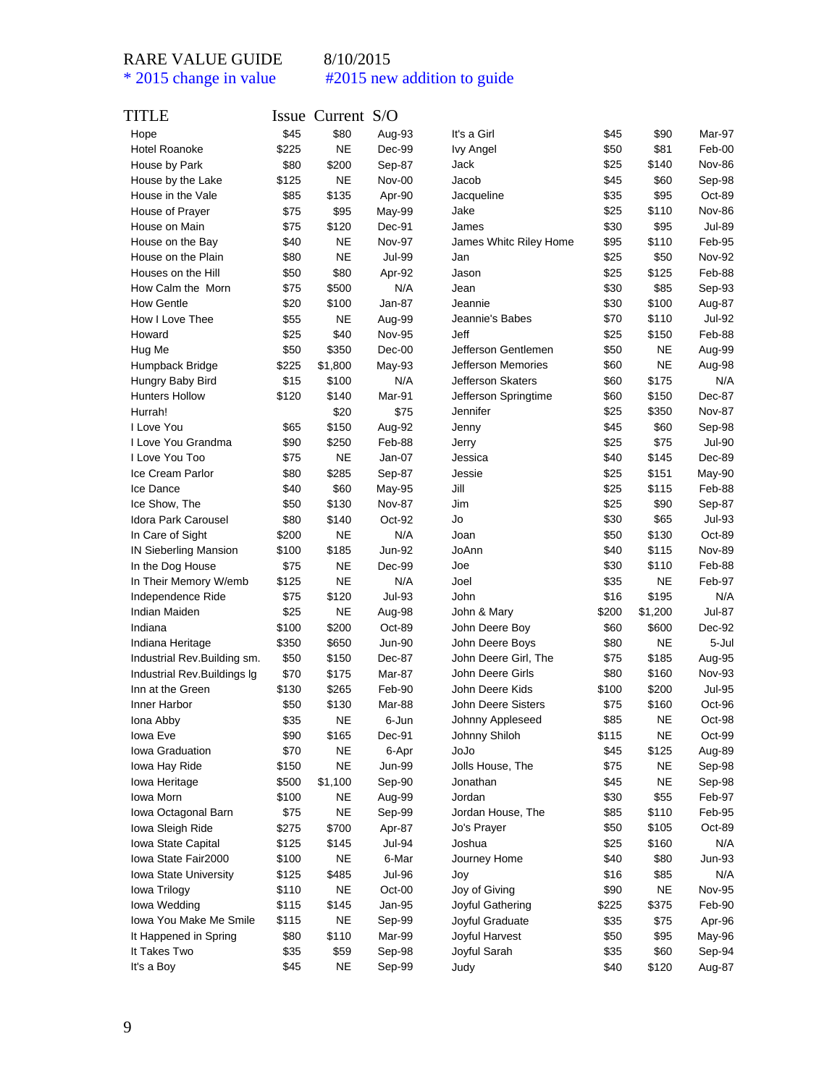| TITLE                        |       | Issue Current S/O |               |                           |       |           |               |
|------------------------------|-------|-------------------|---------------|---------------------------|-------|-----------|---------------|
| Hope                         | \$45  | \$80              | Aug-93        | It's a Girl               | \$45  | \$90      | Mar-97        |
| <b>Hotel Roanoke</b>         | \$225 | <b>NE</b>         | Dec-99        | <b>Ivy Angel</b>          | \$50  | \$81      | Feb-00        |
| House by Park                | \$80  | \$200             | Sep-87        | Jack                      | \$25  | \$140     | <b>Nov-86</b> |
| House by the Lake            | \$125 | NE                | Nov-00        | Jacob                     | \$45  | \$60      | Sep-98        |
| House in the Vale            | \$85  | \$135             | Apr-90        | Jacqueline                | \$35  | \$95      | Oct-89        |
| House of Prayer              | \$75  | \$95              | May-99        | Jake                      | \$25  | \$110     | <b>Nov-86</b> |
| House on Main                | \$75  | \$120             | Dec-91        | James                     | \$30  | \$95      | <b>Jul-89</b> |
| House on the Bay             | \$40  | NE                | <b>Nov-97</b> | James Whitc Riley Home    | \$95  | \$110     | Feb-95        |
| House on the Plain           | \$80  | <b>NE</b>         | <b>Jul-99</b> | Jan                       | \$25  | \$50      | <b>Nov-92</b> |
| Houses on the Hill           | \$50  | \$80              | Apr-92        | Jason                     | \$25  | \$125     | Feb-88        |
| How Calm the Morn            | \$75  | \$500             | N/A           | Jean                      | \$30  | \$85      | Sep-93        |
| <b>How Gentle</b>            | \$20  | \$100             | Jan-87        | Jeannie                   | \$30  | \$100     | Aug-87        |
| How I Love Thee              | \$55  | <b>NE</b>         | Aug-99        | Jeannie's Babes           | \$70  | \$110     | <b>Jul-92</b> |
| Howard                       | \$25  | \$40              | <b>Nov-95</b> | Jeff                      | \$25  | \$150     | Feb-88        |
| Hug Me                       | \$50  | \$350             | $Dec-00$      | Jefferson Gentlemen       | \$50  | <b>NE</b> | Aug-99        |
| Humpback Bridge              | \$225 | \$1,800           | May-93        | Jefferson Memories        | \$60  | <b>NE</b> | Aug-98        |
| Hungry Baby Bird             | \$15  | \$100             | N/A           | Jefferson Skaters         | \$60  | \$175     | N/A           |
| <b>Hunters Hollow</b>        | \$120 | \$140             | Mar-91        | Jefferson Springtime      | \$60  | \$150     | Dec-87        |
| Hurrah!                      |       | \$20              | \$75          | Jennifer                  | \$25  | \$350     | <b>Nov-87</b> |
| I Love You                   | \$65  | \$150             | Aug-92        | Jenny                     | \$45  | \$60      | Sep-98        |
| I Love You Grandma           | \$90  | \$250             | Feb-88        | Jerry                     | \$25  | \$75      | <b>Jul-90</b> |
| I Love You Too               | \$75  | NE                | Jan-07        | Jessica                   | \$40  | \$145     | Dec-89        |
| Ice Cream Parlor             | \$80  | \$285             | Sep-87        | Jessie                    | \$25  | \$151     | May-90        |
| Ice Dance                    | \$40  | \$60              | May-95        | Jill                      | \$25  | \$115     | Feb-88        |
| Ice Show, The                | \$50  | \$130             | <b>Nov-87</b> | Jim                       | \$25  | \$90      | Sep-87        |
| <b>Idora Park Carousel</b>   | \$80  | \$140             | Oct-92        | Jo                        | \$30  | \$65      | <b>Jul-93</b> |
| In Care of Sight             | \$200 | <b>NE</b>         | N/A           | Joan                      | \$50  | \$130     | Oct-89        |
| <b>IN Sieberling Mansion</b> | \$100 | \$185             | Jun-92        | JoAnn                     | \$40  | \$115     | <b>Nov-89</b> |
|                              | \$75  | <b>NE</b>         | Dec-99        | Joe                       | \$30  | \$110     | Feb-88        |
| In the Dog House             |       | <b>NE</b>         | N/A           | Joel                      | \$35  | <b>NE</b> | Feb-97        |
| In Their Memory W/emb        | \$125 |                   |               |                           |       |           |               |
| Independence Ride            | \$75  | \$120             | <b>Jul-93</b> | John                      | \$16  | \$195     | N/A           |
| Indian Maiden                | \$25  | NE                | Aug-98        | John & Mary               | \$200 | \$1,200   | Jul-87        |
| Indiana                      | \$100 | \$200             | Oct-89        | John Deere Boy            | \$60  | \$600     | Dec-92        |
| Indiana Heritage             | \$350 | \$650             | Jun-90        | John Deere Boys           | \$80  | <b>NE</b> | 5-Jul         |
| Industrial Rev. Building sm. | \$50  | \$150             | Dec-87        | John Deere Girl, The      | \$75  | \$185     | Aug-95        |
| Industrial Rev. Buildings Ig | \$70  | \$175             | Mar-87        | John Deere Girls          | \$80  | \$160     | Nov-93        |
| Inn at the Green             | \$130 | \$265             | Feb-90        | John Deere Kids           | \$100 | \$200     | <b>Jul-95</b> |
| Inner Harbor                 | \$50  | \$130             | Mar-88        | <b>John Deere Sisters</b> | \$75  | \$160     | Oct-96        |
| lona Abby                    | \$35  | ΝE                | 6-Jun         | Johnny Appleseed          | \$85  | NE        | Oct-98        |
| Iowa Eve                     | \$90  | \$165             | Dec-91        | Johnny Shiloh             | \$115 | <b>NE</b> | Oct-99        |
| Iowa Graduation              | \$70  | <b>NE</b>         | 6-Apr         | JoJo                      | \$45  | \$125     | Aug-89        |
| lowa Hay Ride                | \$150 | <b>NE</b>         | Jun-99        | Jolls House, The          | \$75  | <b>NE</b> | Sep-98        |
| lowa Heritage                | \$500 | \$1,100           | Sep-90        | Jonathan                  | \$45  | <b>NE</b> | Sep-98        |
| Iowa Morn                    | \$100 | <b>NE</b>         | Aug-99        | Jordan                    | \$30  | \$55      | Feb-97        |
| Iowa Octagonal Barn          | \$75  | <b>NE</b>         | Sep-99        | Jordan House, The         | \$85  | \$110     | Feb-95        |
| Iowa Sleigh Ride             | \$275 | \$700             | Apr-87        | Jo's Prayer               | \$50  | \$105     | Oct-89        |
| Iowa State Capital           | \$125 | \$145             | Jul-94        | Joshua                    | \$25  | \$160     | N/A           |
| Iowa State Fair2000          | \$100 | NE                | 6-Mar         | Journey Home              | \$40  | \$80      | Jun-93        |
| Iowa State University        | \$125 | \$485             | <b>Jul-96</b> | Joy                       | \$16  | \$85      | N/A           |
| lowa Trilogy                 | \$110 | <b>NE</b>         | Oct-00        | Joy of Giving             | \$90  | <b>NE</b> | <b>Nov-95</b> |
| lowa Wedding                 | \$115 | \$145             | Jan-95        | Joyful Gathering          | \$225 | \$375     | Feb-90        |
| Iowa You Make Me Smile       | \$115 | <b>NE</b>         | Sep-99        | Joyful Graduate           | \$35  | \$75      | Apr-96        |
| It Happened in Spring        | \$80  | \$110             | Mar-99        | Joyful Harvest            | \$50  | \$95      | May-96        |
| It Takes Two                 | \$35  | \$59              | Sep-98        | Joyful Sarah              | \$35  | \$60      | Sep-94        |
| It's a Boy                   | \$45  | NE                | Sep-99        | Judy                      | \$40  | \$120     | Aug-87        |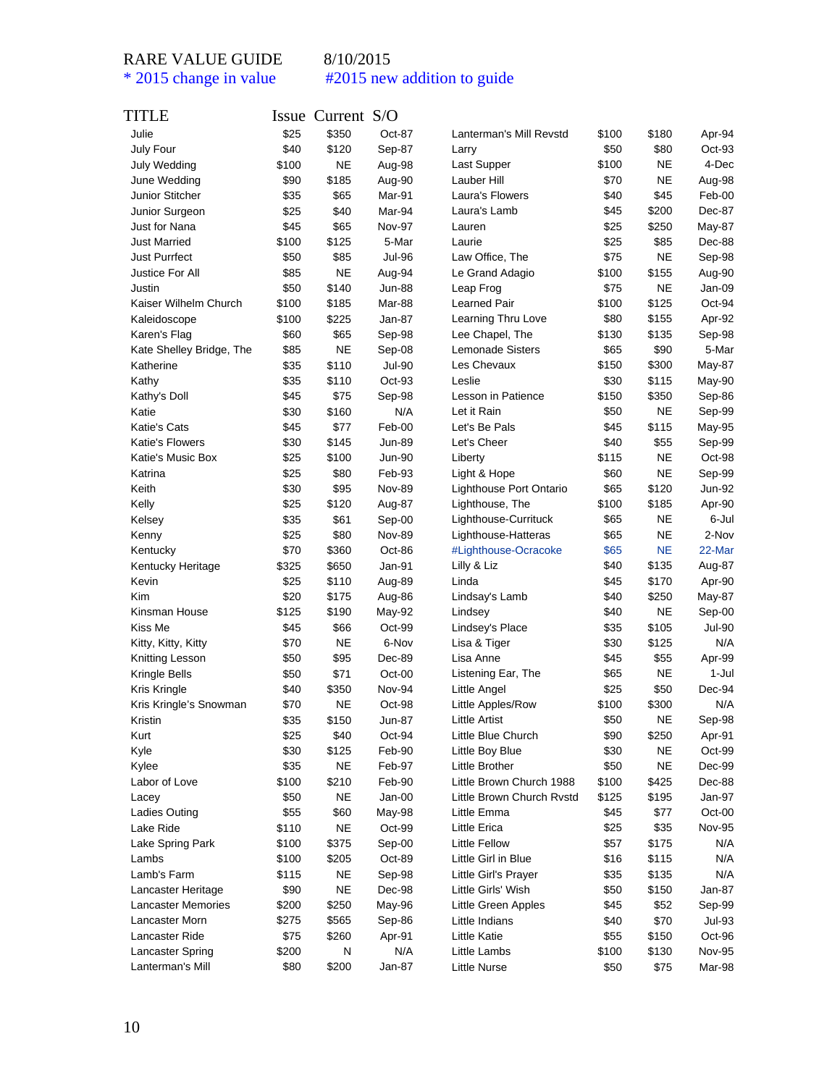### RARE VALUE GUIDE 8/10/2015

\* 2015 change in value #2015 new addition to guide

### TITLE Issue Current S/O Julie \$25 \$350 Oct-87 July Four **\$40** \$120 Sep-87 July Wedding \$100 NE Aug-98 June Wedding  $$90$  \$185 Aug-90 Junior Stitcher  $$35$  \$65 Mar-91 Junior Surgeon  $$25$  \$40 Mar-94 Just for Nana  $$45$  \$65 Nov-97 Just Married \$100 \$125 5-Mar Just Purrfect \$50 \$85 Jul-96 Justice For All \$85 NE Aug-94 Justin \$50 \$140 Jun-88 Kaiser Wilhelm Church \$100 \$185 Mar-88 Kaleidoscope \$100 \$225 Jan-87 Karen's Flag  $$60$  \$65 Sep-98 Kate Shelley Bridge, The \$85 NE Sep-08 Katherine \$35 \$110 Jul-90 Kathy \$35 \$110 Oct-93 Kathy's Doll \$45 \$75 Sep-98 Katie 1990 (1930 \$160 N/A Katie's Cats **\$45** \$77 Feb-00 Katie's Flowers  $$30$  \$145 Jun-89 Katie's Music Box \$25 \$100 Jun-90 Katrina **\$25** \$80 Feb-93 Keith \$30 \$95 Nov-89 Kelly **\$25** \$120 Aug-87 Kelsey **\$35** \$61 Sep-00 Kenny **\$25** \$80 Nov-89 Kentucky \$70 \$360 Oct-86 Kentucky Heritage  $$325$  \$650 Jan-91 Kevin **\$25** \$110 Aug-89 Kim  $$20$  \$175 Aug-86 Kinsman House  $$125$  \$190 May-92 Kiss Me  $$45$   $$66$  Oct-99 Kitty, Kitty, Kitty **\$70** NE 6-Nov Knitting Lesson \$50 \$95 Dec-89 Kringle Bells  $$50$  \$71 Oct-00 Kris Kringle **\$40** \$350 Nov-94 Kris Kringle's Snowman \$70 NE Oct-98 Kristin \$35 \$150 Jun-87 Kurt \$25 \$40 Oct-94 Kyle \$30 \$125 Feb-90 Kylee \$35 NE Feb-97 Labor of Love  $$100$  \$210 Feb-90 Lacey **\$50** NE Jan-00 Ladies Outing  $$55$   $$60$  May-98 Lake Ride  $$110$  NE Oct-99 Lake Spring Park  $$100$  \$375 Sep-00 Lambs \$100 \$205 Oct-89 Lamb's Farm \$115 NE Sep-98 Lancaster Heritage  $$90$  NE Dec-98 Lancaster Memories  $$200$  \$250 May-96 Lancaster Morn  $$275$  \$565 Sep-86 Lancaster Ride  $$75$  \$260 Apr-91 Lancaster Spring  $$200$  N N/A Lanterman's Mill  $$80$  \$200 Jan-87 Lanterman's Mill Revstd \$100 \$180 Apr-94 Larry 550 \$80 Oct-93 Last Supper  $$100$  NE 4-Dec Lauber Hill **\$70** NE Aug-98 Laura's Flowers  $$40$  \$45 Feb-00 Laura's Lamb  $$45$  \$200 Dec-87 Lauren **\$25** \$250 May-87 Laurie **\$25** \$85 Dec-88 Law Office, The  $$75$  NE Sep-98 Le Grand Adagio  $$100$  \$155 Aug-90 Leap Frog  $$75$  NE Jan-09 Learned Pair  $$100$  \$125 Oct-94 Learning Thru Love \$80 \$155 Apr-92 Lee Chapel, The  $$130$  \$135 Sep-98 Lemonade Sisters  $$65$  \$90 5-Mar Les Chevaux  $$150$   $$300$  May-87 Leslie \$30 \$115 May-90 Lesson in Patience  $$150$  \$350 Sep-86 Let it Rain  $$50$  NE Sep-99 Let's Be Pals \$45 \$115 May-95 Let's Cheer \$40 \$55 Sep-99 Liberty \$115 NE Oct-98 Light & Hope  $$60$  NE Sep-99 Lighthouse Port Ontario  $$65$  \$120 Jun-92 Lighthouse, The  $$100$  \$185 Apr-90 Lighthouse-Currituck \$65 NE 6-Jul Lighthouse-Hatteras \$65 NE 2-Nov #Lighthouse-Ocracoke \$65 NE 22-Mar Lilly & Liz **\$40** \$135 Aug-87 Linda \$45 \$170 Apr-90 Lindsay's Lamb  $$40$  \$250 May-87 Lindsey \$40 NE Sep-00 Lindsey's Place  $$35$  \$105 Jul-90 Lisa & Tiger  $$30$  \$125 N/A Lisa Anne **\$45** \$55 Apr-99 Listening Ear, The \$65 NE 1-Jul Little Angel  $$25$  \$50 Dec-94 Little Apples/Row \$100 \$300 N/A Little Artist  $$50$  NE Sep-98 Little Blue Church  $$90$  \$250 Apr-91 Little Boy Blue  $$30$  NE Oct-99 Little Brother  $$50$  NE Dec-99 Little Brown Church 1988 \$100 \$425 Dec-88 Little Brown Church Rystd \$125 \$195 Jan-97 Little Emma  $$45$  \$77 Oct-00 Little Erica  $$25$  \$35 Nov-95 Little Fellow  $$57$  \$175 N/A Little Girl in Blue 516 \$115 N/A Little Girl's Prayer  $$35$  \$135 N/A Little Girls' Wish  $$50$  \$150 Jan-87 Little Green Apples  $$45$  \$52 Sep-99 Little Indians  $$40$  \$70 Jul-93 Little Katie **\$55** \$150 Oct-96 Little Lambs \$100 \$130 Nov-95 Little Nurse  $$50$  \$75 Mar-98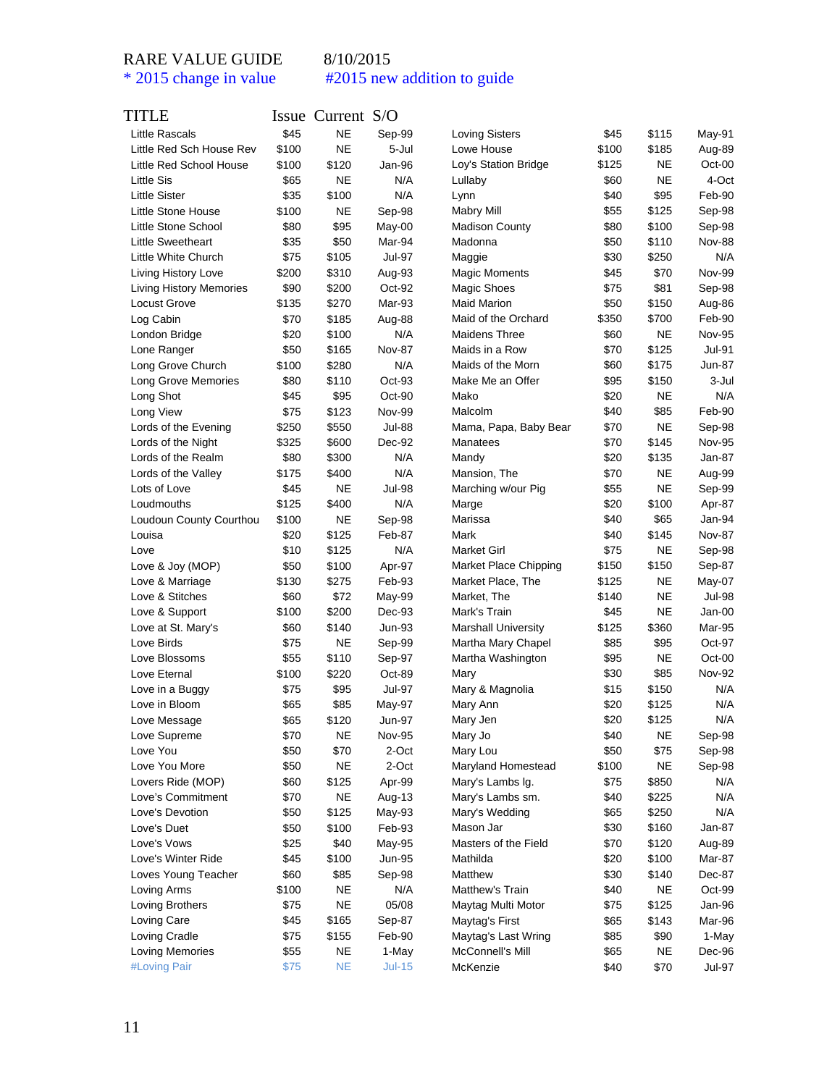| TITLE                          |       | Issue Current S/O |               |                            |       |             |               |
|--------------------------------|-------|-------------------|---------------|----------------------------|-------|-------------|---------------|
| <b>Little Rascals</b>          | \$45  | <b>NE</b>         | Sep-99        | <b>Loving Sisters</b>      | \$45  | \$115       | May-91        |
| Little Red Sch House Rev       | \$100 | <b>NE</b>         | 5-Jul         | Lowe House                 | \$100 | \$185       | Aug-89        |
| Little Red School House        | \$100 | \$120             | Jan-96        | Loy's Station Bridge       | \$125 | NE          | Oct-00        |
| <b>Little Sis</b>              | \$65  | ΝE                | N/A           | Lullaby                    | \$60  | NE          | 4-Oct         |
| <b>Little Sister</b>           | \$35  | \$100             | N/A           | Lynn                       | \$40  | \$95        | Feb-90        |
| Little Stone House             | \$100 | ΝE                | Sep-98        | <b>Mabry Mill</b>          | \$55  | \$125       | Sep-98        |
| Little Stone School            | \$80  | \$95              | May-00        | <b>Madison County</b>      | \$80  | \$100       | Sep-98        |
| <b>Little Sweetheart</b>       | \$35  | \$50              | Mar-94        | Madonna                    | \$50  | \$110       | <b>Nov-88</b> |
| Little White Church            | \$75  | \$105             | <b>Jul-97</b> | Maggie                     | \$30  | \$250       | N/A           |
| Living History Love            | \$200 | \$310             | Aug-93        | <b>Magic Moments</b>       | \$45  | \$70        | Nov-99        |
| <b>Living History Memories</b> | \$90  | \$200             | Oct-92        | Magic Shoes                | \$75  | \$81        | Sep-98        |
| Locust Grove                   | \$135 | \$270             | Mar-93        | <b>Maid Marion</b>         | \$50  | \$150       | Aug-86        |
| Log Cabin                      | \$70  | \$185             | Aug-88        | Maid of the Orchard        | \$350 | \$700       | Feb-90        |
| London Bridge                  | \$20  | \$100             | N/A           | Maidens Three              | \$60  | NE          | <b>Nov-95</b> |
| Lone Ranger                    | \$50  | \$165             | <b>Nov-87</b> | Maids in a Row             | \$70  | \$125       | <b>Jul-91</b> |
| Long Grove Church              | \$100 | \$280             | N/A           | Maids of the Morn          | \$60  | \$175       | Jun-87        |
| Long Grove Memories            | \$80  | \$110             | Oct-93        | Make Me an Offer           | \$95  | \$150       | 3-Jul         |
| Long Shot                      | \$45  | \$95              | Oct-90        | Mako                       | \$20  | NE          | N/A           |
| Long View                      | \$75  | \$123             | <b>Nov-99</b> | Malcolm                    | \$40  | \$85        | Feb-90        |
| Lords of the Evening           | \$250 | \$550             | <b>Jul-88</b> | Mama, Papa, Baby Bear      | \$70  | NE          | Sep-98        |
| Lords of the Night             | \$325 | \$600             | Dec-92        | Manatees                   | \$70  | \$145       | <b>Nov-95</b> |
| Lords of the Realm             | \$80  | \$300             | N/A           | Mandy                      | \$20  | \$135       | Jan-87        |
| Lords of the Valley            | \$175 | \$400             | N/A           | Mansion, The               | \$70  | NE          | Aug-99        |
| Lots of Love                   | \$45  | NE                | <b>Jul-98</b> | Marching w/our Pig         | \$55  | NE          | Sep-99        |
| Loudmouths                     | \$125 | \$400             | N/A           | Marge                      | \$20  | \$100       | Apr-87        |
| Loudoun County Courthou        | \$100 | ΝE                | Sep-98        | Marissa                    | \$40  | \$65        | Jan-94        |
| Louisa                         | \$20  | \$125             | Feb-87        | Mark                       | \$40  | \$145       | <b>Nov-87</b> |
| Love                           | \$10  | \$125             | N/A           | Market Girl                | \$75  | NE          | Sep-98        |
| Love & Joy (MOP)               | \$50  | \$100             | Apr-97        | Market Place Chipping      | \$150 | \$150       | Sep-87        |
| Love & Marriage                | \$130 | \$275             | Feb-93        | Market Place, The          | \$125 | NE          | May-07        |
| Love & Stitches                | \$60  | \$72              | May-99        | Market, The                | \$140 | <b>NE</b>   | Jul-98        |
| Love & Support                 | \$100 | \$200             | Dec-93        | Mark's Train               | \$45  | NE          | Jan-00        |
| Love at St. Mary's             | \$60  | \$140             | Jun-93        | <b>Marshall University</b> | \$125 | \$360       | Mar-95        |
| Love Birds                     | \$75  | ΝE                | Sep-99        | Martha Mary Chapel         | \$85  | \$95        | Oct-97        |
| Love Blossoms                  | \$55  | \$110             | Sep-97        | Martha Washington          | \$95  | NE          | Oct-00        |
| Love Eternal                   | \$100 | \$220             | Oct-89        | Mary                       | \$30  | \$85        | <b>Nov-92</b> |
| Love in a Buggy                | \$75  | \$95              | <b>Jul-97</b> | Mary & Magnolia            | \$15  | \$150       | N/A           |
| Love in Bloom                  | \$65  | \$85              | May-97        | Mary Ann                   | \$20  | \$125       | N/A           |
| Love Message                   | \$65  | \$120             | Jun-97        | Mary Jen                   | \$20  | \$125       | N/A           |
| Love Supreme                   | \$70  | <b>NE</b>         | Nov-95        | Mary Jo                    | \$40  | NE          | Sep-98        |
| Love You                       | \$50  | \$70              | 2-Oct         | Mary Lou                   | \$50  | \$75        | Sep-98        |
| Love You More                  | \$50  | <b>NE</b>         | 2-Oct         | Maryland Homestead         | \$100 | $_{\sf NE}$ | Sep-98        |
| Lovers Ride (MOP)              | \$60  | \$125             | Apr-99        | Mary's Lambs Ig.           | \$75  | \$850       | N/A           |
| Love's Commitment              | \$70  | <b>NE</b>         | Aug-13        | Mary's Lambs sm.           | \$40  | \$225       | N/A           |
| Love's Devotion                | \$50  | \$125             | May-93        | Mary's Wedding             | \$65  | \$250       | N/A           |
| Love's Duet                    | \$50  | \$100             | Feb-93        | Mason Jar                  | \$30  | \$160       | Jan-87        |
| Love's Vows                    | \$25  | \$40              | May-95        | Masters of the Field       | \$70  | \$120       | Aug-89        |
| Love's Winter Ride             | \$45  | \$100             | <b>Jun-95</b> | Mathilda                   | \$20  | \$100       | Mar-87        |
| Loves Young Teacher            | \$60  | \$85              | Sep-98        | Matthew                    | \$30  | \$140       | Dec-87        |
| Loving Arms                    | \$100 | <b>NE</b>         | N/A           | Matthew's Train            | \$40  | NE          | Oct-99        |
| Loving Brothers                | \$75  | <b>NE</b>         | 05/08         | Maytag Multi Motor         | \$75  | \$125       | Jan-96        |
| Loving Care                    | \$45  | \$165             | Sep-87        | Maytag's First             | \$65  | \$143       | Mar-96        |
| Loving Cradle                  | \$75  | \$155             | Feb-90        | Maytag's Last Wring        | \$85  | \$90        | 1-May         |
| <b>Loving Memories</b>         | \$55  | NE                | 1-May         | McConnell's Mill           | \$65  | NE          | Dec-96        |
| #Loving Pair                   | \$75  | <b>NE</b>         | $Jul-15$      | McKenzie                   | \$40  | \$70        | Jul-97        |
|                                |       |                   |               |                            |       |             |               |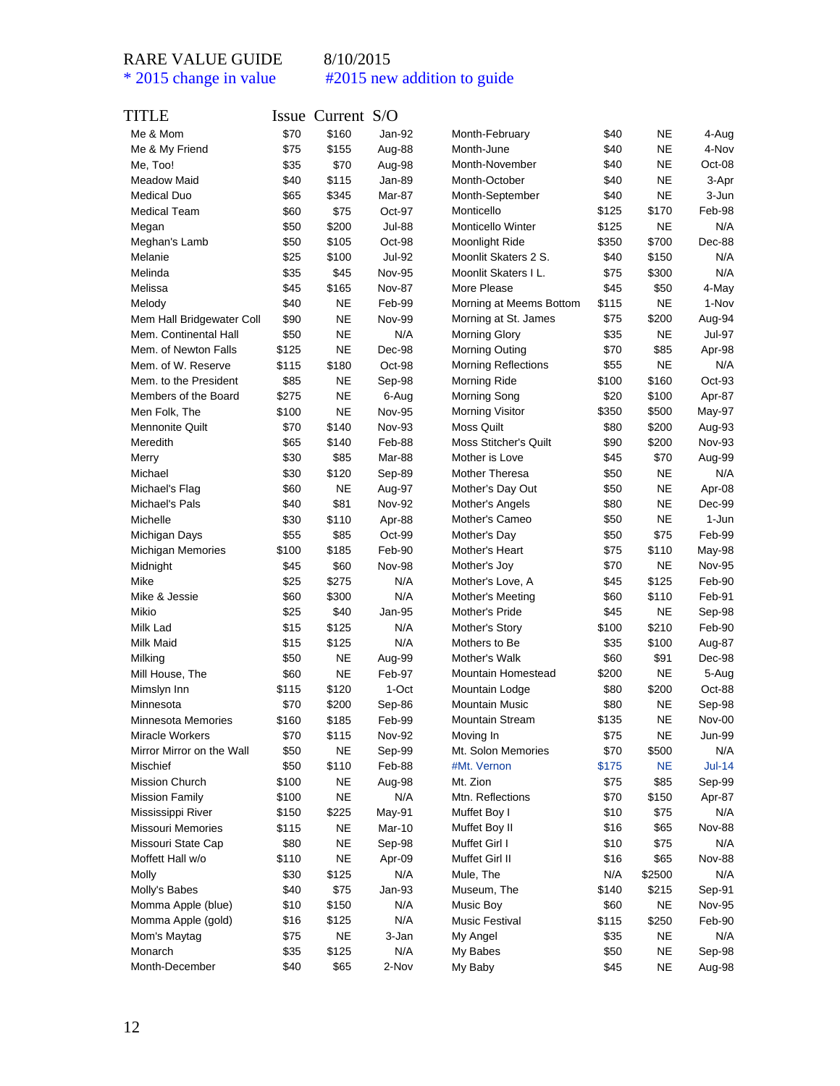| TITLE                     |                | Issue Current S/O  |                  |                                |              |           |                  |
|---------------------------|----------------|--------------------|------------------|--------------------------------|--------------|-----------|------------------|
| Me & Mom                  | \$70           | \$160              | Jan-92           | Month-February                 | \$40         | <b>NE</b> | 4-Aug            |
| Me & My Friend            | \$75           | \$155              | Aug-88           | Month-June                     | \$40         | <b>NE</b> | 4-Nov            |
| Me, Too!                  | \$35           | \$70               | Aug-98           | Month-November                 | \$40         | <b>NE</b> | Oct-08           |
| <b>Meadow Maid</b>        | \$40           | \$115              | Jan-89           | Month-October                  | \$40         | <b>NE</b> | 3-Apr            |
| <b>Medical Duo</b>        | \$65           | \$345              | Mar-87           | Month-September                | \$40         | <b>NE</b> | 3-Jun            |
| <b>Medical Team</b>       | \$60           | \$75               | Oct-97           | Monticello                     | \$125        | \$170     | Feb-98           |
| Megan                     | \$50           | \$200              | Jul-88           | <b>Monticello Winter</b>       | \$125        | <b>NE</b> | N/A              |
| Meghan's Lamb             | \$50           | \$105              | Oct-98           | Moonlight Ride                 | \$350        | \$700     | Dec-88           |
| Melanie                   | \$25           | \$100              | Jul-92           | Moonlit Skaters 2 S.           | \$40         | \$150     | N/A              |
| Melinda                   | \$35           | \$45               | <b>Nov-95</b>    | Moonlit Skaters I L.           | \$75         | \$300     | N/A              |
| Melissa                   | \$45           | \$165              | <b>Nov-87</b>    | More Please                    | \$45         | \$50      | 4-May            |
| Melody                    | \$40           | <b>NE</b>          | Feb-99           | Morning at Meems Bottom        | \$115        | <b>NE</b> | 1-Nov            |
| Mem Hall Bridgewater Coll | \$90           | NE                 | <b>Nov-99</b>    | Morning at St. James           | \$75         | \$200     | Aug-94           |
| Mem. Continental Hall     | \$50           | <b>NE</b>          | N/A              | <b>Morning Glory</b>           | \$35         | <b>NE</b> | Jul-97           |
| Mem. of Newton Falls      | \$125          | NE                 | Dec-98           | <b>Morning Outing</b>          | \$70         | \$85      | Apr-98           |
| Mem. of W. Reserve        | \$115          | \$180              | Oct-98           | <b>Morning Reflections</b>     | \$55         | <b>NE</b> | N/A              |
| Mem. to the President     | \$85           | NE                 | Sep-98           | Morning Ride                   | \$100        | \$160     | $Oct-93$         |
| Members of the Board      | \$275          | <b>NE</b>          | 6-Aug            | <b>Morning Song</b>            | \$20         | \$100     | Apr-87           |
| Men Folk, The             | \$100          | <b>NE</b>          | <b>Nov-95</b>    | <b>Morning Visitor</b>         | \$350        | \$500     | May-97           |
| <b>Mennonite Quilt</b>    | \$70           | \$140              | Nov-93           | <b>Moss Quilt</b>              | \$80         | \$200     | Aug-93           |
| Meredith                  | \$65           | \$140              | Feb-88           | <b>Moss Stitcher's Quilt</b>   | \$90         | \$200     | <b>Nov-93</b>    |
| Merry                     | \$30           | \$85               | Mar-88           | Mother is Love                 | \$45         | \$70      | Aug-99           |
| Michael                   | \$30           | \$120              | Sep-89           | <b>Mother Theresa</b>          | \$50         | <b>NE</b> | N/A              |
| Michael's Flag            | \$60           | ΝE                 | Aug-97           | Mother's Day Out               | \$50         | <b>NE</b> | Apr-08           |
| Michael's Pals            | \$40           | \$81               | <b>Nov-92</b>    | Mother's Angels                | \$80         | <b>NE</b> | Dec-99           |
| Michelle                  | \$30           | \$110              | Apr-88           | Mother's Cameo                 | \$50         | <b>NE</b> | 1-Jun            |
| Michigan Days             | \$55           | \$85               | Oct-99           | Mother's Day                   | \$50         | \$75      | Feb-99           |
| <b>Michigan Memories</b>  | \$100          | \$185              | Feb-90           | Mother's Heart                 | \$75         | \$110     | May-98           |
| Midnight                  | \$45           | \$60               | Nov-98           | Mother's Joy                   | \$70         | NE        | <b>Nov-95</b>    |
| Mike                      | \$25           | \$275              | N/A              | Mother's Love, A               | \$45         | \$125     | Feb-90           |
| Mike & Jessie             | \$60           | \$300              | N/A              | Mother's Meeting               | \$60         | \$110     | Feb-91           |
| Mikio                     | \$25           | \$40               | Jan-95           | Mother's Pride                 | \$45         | <b>NE</b> | Sep-98           |
| Milk Lad                  | \$15           | \$125              | N/A              | Mother's Story                 | \$100        | \$210     | Feb-90           |
| Milk Maid                 | \$15           | \$125              | N/A              | Mothers to Be                  | \$35         | \$100     | Aug-87           |
| Milking                   | \$50           | <b>NE</b>          | Aug-99           | Mother's Walk                  | \$60         | \$91      | Dec-98           |
| Mill House, The           | \$60           | <b>NE</b>          | Feb-97           | Mountain Homestead             | \$200        | <b>NE</b> | 5-Aug            |
| Mimslyn Inn               | \$115          | \$120              | 1-Oct            | Mountain Lodge                 | \$80         | \$200     | Oct-88           |
| Minnesota                 | \$70           | \$200              | Sep-86           | <b>Mountain Music</b>          | \$80         | <b>NE</b> | Sep-98           |
| Minnesota Memories        | \$160          | \$185              | Feb-99           | <b>Mountain Stream</b>         | \$135        | <b>NE</b> | Nov-00           |
| Miracle Workers           | \$70           | \$115              | <b>Nov-92</b>    | Moving In                      | \$75         | <b>NE</b> | <b>Jun-99</b>    |
| Mirror Mirror on the Wall | \$50           | <b>NE</b>          | Sep-99           | Mt. Solon Memories             | \$70         | \$500     | N/A              |
| Mischief                  | \$50           | \$110              | Feb-88           | #Mt. Vernon                    | \$175        | <b>NE</b> | $Jul-14$         |
| Mission Church            | \$100          | <b>NE</b>          |                  | Mt. Zion                       | \$75         | \$85      |                  |
| <b>Mission Family</b>     | \$100          | <b>NE</b>          | Aug-98<br>N/A    | Mtn. Reflections               | \$70         | \$150     | Sep-99<br>Apr-87 |
|                           |                |                    |                  |                                |              | \$75      | N/A              |
| Mississippi River         | \$150<br>\$115 | \$225<br><b>NE</b> | May-91<br>Mar-10 | Muffet Boy I                   | \$10<br>\$16 | \$65      | Nov-88           |
| Missouri Memories         |                | <b>NE</b>          |                  | Muffet Boy II<br>Muffet Girl I |              |           |                  |
| Missouri State Cap        | \$80           |                    | Sep-98           |                                | \$10         | \$75      | N/A              |
| Moffett Hall w/o          | \$110          | <b>NE</b>          | Apr-09           | Muffet Girl II                 | \$16         | \$65      | Nov-88           |
| Molly                     | \$30           | \$125              | N/A              | Mule, The                      | N/A          | \$2500    | N/A              |
| Molly's Babes             | \$40           | \$75               | $Jan-93$         | Museum, The                    | \$140        | \$215     | Sep-91           |
| Momma Apple (blue)        | \$10           | \$150              | N/A              | Music Boy                      | \$60         | <b>NE</b> | Nov-95           |
| Momma Apple (gold)        | \$16           | \$125              | N/A              | <b>Music Festival</b>          | \$115        | \$250     | Feb-90           |
| Mom's Maytag              | \$75           | <b>NE</b>          | 3-Jan            | My Angel                       | \$35         | <b>NE</b> | N/A              |
| Monarch                   | \$35           | \$125              | N/A              | My Babes                       | \$50         | <b>NE</b> | Sep-98           |
| Month-December            | \$40           | \$65               | 2-Nov            | My Baby                        | \$45         | <b>NE</b> | Aug-98           |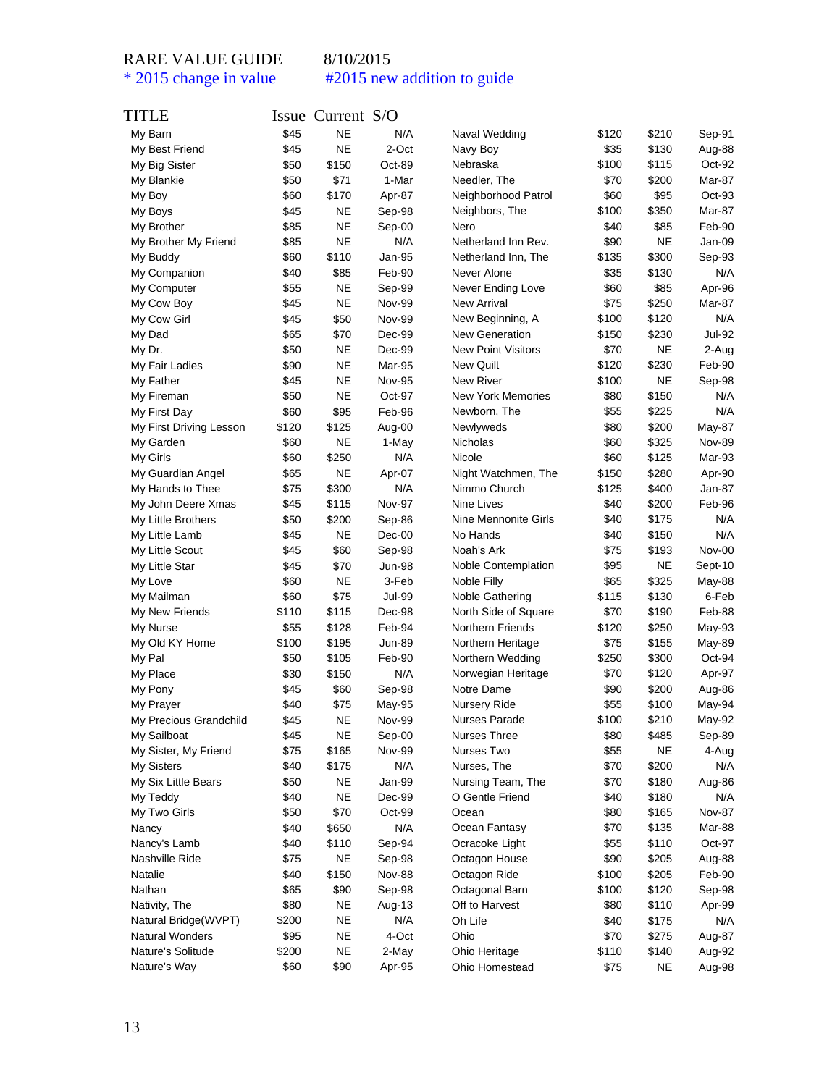| TITLE                   |       | Issue Current S/O |               |                           |       |           |               |
|-------------------------|-------|-------------------|---------------|---------------------------|-------|-----------|---------------|
| My Barn                 | \$45  | <b>NE</b>         | N/A           | Naval Wedding             | \$120 | \$210     | Sep-91        |
| My Best Friend          | \$45  | <b>NE</b>         | 2-Oct         | Navy Boy                  | \$35  | \$130     | Aug-88        |
| My Big Sister           | \$50  | \$150             | Oct-89        | Nebraska                  | \$100 | \$115     | Oct-92        |
| My Blankie              | \$50  | \$71              | 1-Mar         | Needler, The              | \$70  | \$200     | Mar-87        |
| My Boy                  | \$60  | \$170             | Apr-87        | Neighborhood Patrol       | \$60  | \$95      | $Oct-93$      |
| My Boys                 | \$45  | NE                | Sep-98        | Neighbors, The            | \$100 | \$350     | Mar-87        |
| My Brother              | \$85  | <b>NE</b>         | Sep-00        | Nero                      | \$40  | \$85      | Feb-90        |
| My Brother My Friend    | \$85  | <b>NE</b>         | N/A           | Netherland Inn Rev.       | \$90  | <b>NE</b> | Jan-09        |
| My Buddy                | \$60  | \$110             | Jan-95        | Netherland Inn, The       | \$135 | \$300     | Sep-93        |
| My Companion            | \$40  | \$85              | Feb-90        | Never Alone               | \$35  | \$130     | N/A           |
| My Computer             | \$55  | NE                | Sep-99        | Never Ending Love         | \$60  | \$85      | Apr-96        |
| My Cow Boy              | \$45  | <b>NE</b>         | Nov-99        | <b>New Arrival</b>        | \$75  | \$250     | Mar-87        |
| My Cow Girl             | \$45  | \$50              | Nov-99        | New Beginning, A          | \$100 | \$120     | N/A           |
| My Dad                  | \$65  | \$70              | Dec-99        | New Generation            | \$150 | \$230     | Jul-92        |
| My Dr.                  | \$50  | NE                | Dec-99        | <b>New Point Visitors</b> | \$70  | <b>NE</b> | 2-Aug         |
| My Fair Ladies          | \$90  | <b>NE</b>         | Mar-95        | <b>New Quilt</b>          | \$120 | \$230     | Feb-90        |
| My Father               | \$45  | NE                | <b>Nov-95</b> | <b>New River</b>          | \$100 | <b>NE</b> | Sep-98        |
| My Fireman              | \$50  | <b>NE</b>         | Oct-97        | <b>New York Memories</b>  | \$80  | \$150     | N/A           |
| My First Day            | \$60  | \$95              | Feb-96        | Newborn, The              | \$55  | \$225     | N/A           |
| My First Driving Lesson | \$120 | \$125             | Aug-00        | Newlyweds                 | \$80  | \$200     | May-87        |
| My Garden               | \$60  | NE                | 1-May         | Nicholas                  | \$60  | \$325     | <b>Nov-89</b> |
| My Girls                | \$60  | \$250             | N/A           | Nicole                    | \$60  | \$125     | Mar-93        |
| My Guardian Angel       | \$65  | <b>NE</b>         | Apr-07        | Night Watchmen, The       | \$150 | \$280     | Apr-90        |
| My Hands to Thee        | \$75  | \$300             | N/A           | Nimmo Church              | \$125 | \$400     | Jan-87        |
| My John Deere Xmas      | \$45  | \$115             | <b>Nov-97</b> | Nine Lives                | \$40  | \$200     | Feb-96        |
| My Little Brothers      | \$50  | \$200             | Sep-86        | Nine Mennonite Girls      | \$40  | \$175     | N/A           |
| My Little Lamb          | \$45  | <b>NE</b>         | $Dec-00$      | No Hands                  | \$40  | \$150     | N/A           |
| My Little Scout         | \$45  | \$60              | Sep-98        | Noah's Ark                | \$75  | \$193     | Nov-00        |
| My Little Star          | \$45  | \$70              | Jun-98        | Noble Contemplation       | \$95  | <b>NE</b> | Sept-10       |
| My Love                 | \$60  | NE                | 3-Feb         | Noble Filly               | \$65  | \$325     | May-88        |
| My Mailman              | \$60  | \$75              | Jul-99        | Noble Gathering           | \$115 | \$130     | 6-Feb         |
| My New Friends          | \$110 | \$115             | Dec-98        | North Side of Square      | \$70  | \$190     | Feb-88        |
| My Nurse                | \$55  | \$128             | Feb-94        | <b>Northern Friends</b>   | \$120 | \$250     | May-93        |
| My Old KY Home          | \$100 | \$195             | Jun-89        | Northern Heritage         | \$75  | \$155     | May-89        |
| My Pal                  | \$50  | \$105             | Feb-90        | Northern Wedding          | \$250 | \$300     | Oct-94        |
| My Place                | \$30  | \$150             | N/A           | Norwegian Heritage        | \$70  | \$120     | Apr-97        |
| My Pony                 | \$45  | \$60              | Sep-98        | Notre Dame                | \$90  | \$200     | Aug-86        |
| My Prayer               | \$40  | \$75              | May-95        | Nursery Ride              | \$55  | \$100     | May-94        |
| My Precious Grandchild  | \$45  | <b>NE</b>         | <b>Nov-99</b> | Nurses Parade             | \$100 | \$210     | May-92        |
| My Sailboat             | \$45  | NE                | Sep-00        | Nurses Three              | \$80  | \$485     | Sep-89        |
| My Sister, My Friend    | \$75  | \$165             | Nov-99        | Nurses Two                | \$55  | <b>NE</b> | 4-Aug         |
| My Sisters              | \$40  | \$175             | N/A           | Nurses, The               | \$70  | \$200     | N/A           |
| My Six Little Bears     | \$50  | NE                | Jan-99        | Nursing Team, The         | \$70  | \$180     | Aug-86        |
| My Teddy                | \$40  | <b>NE</b>         | Dec-99        | O Gentle Friend           | \$40  | \$180     | N/A           |
| My Two Girls            | \$50  | \$70              | Oct-99        | Ocean                     | \$80  | \$165     | <b>Nov-87</b> |
| Nancy                   | \$40  | \$650             | N/A           | Ocean Fantasy             | \$70  | \$135     | Mar-88        |
| Nancy's Lamb            | \$40  | \$110             | Sep-94        | Ocracoke Light            | \$55  | \$110     | Oct-97        |
| Nashville Ride          | \$75  | <b>NE</b>         | Sep-98        | Octagon House             | \$90  | \$205     | Aug-88        |
| Natalie                 | \$40  | \$150             | <b>Nov-88</b> | Octagon Ride              | \$100 | \$205     | Feb-90        |
| Nathan                  | \$65  | \$90              | Sep-98        | Octagonal Barn            | \$100 | \$120     | Sep-98        |
| Nativity, The           | \$80  | <b>NE</b>         | Aug-13        | Off to Harvest            | \$80  | \$110     | Apr-99        |
| Natural Bridge(WVPT)    | \$200 | <b>NE</b>         | N/A           | Oh Life                   | \$40  | \$175     | N/A           |
| Natural Wonders         | \$95  | <b>NE</b>         | 4-Oct         | Ohio                      | \$70  | \$275     | Aug-87        |
| Nature's Solitude       | \$200 | <b>NE</b>         | 2-May         | Ohio Heritage             | \$110 | \$140     | Aug-92        |
| Nature's Way            | \$60  | \$90              | Apr-95        | Ohio Homestead            | \$75  | <b>NE</b> | Aug-98        |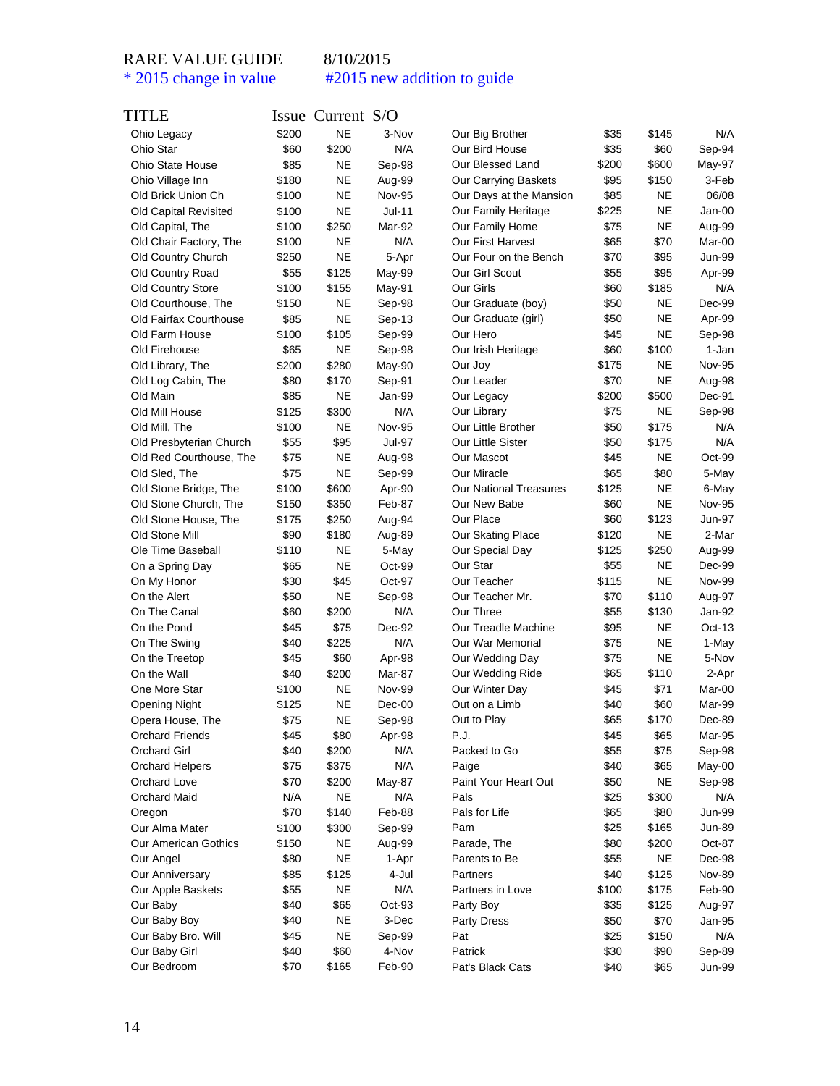| TITLE                       |               | Issue Current S/O |               |                                    |              |           |                 |
|-----------------------------|---------------|-------------------|---------------|------------------------------------|--------------|-----------|-----------------|
| Ohio Legacy                 | \$200         | <b>NE</b>         | 3-Nov         | Our Big Brother                    | \$35         | \$145     | N/A             |
| Ohio Star                   | \$60          | \$200             | N/A           | Our Bird House                     | \$35         | \$60      | Sep-94          |
| <b>Ohio State House</b>     | \$85          | NE                | Sep-98        | Our Blessed Land                   | \$200        | \$600     | May-97          |
| Ohio Village Inn            | \$180         | <b>NE</b>         | Aug-99        | Our Carrying Baskets               | \$95         | \$150     | 3-Feb           |
| Old Brick Union Ch          | \$100         | <b>NE</b>         | <b>Nov-95</b> | Our Days at the Mansion            | \$85         | <b>NE</b> | 06/08           |
| Old Capital Revisited       | \$100         | ΝE                | Jul-11        | Our Family Heritage                | \$225        | <b>NE</b> | Jan-00          |
| Old Capital, The            | \$100         | \$250             | Mar-92        | Our Family Home                    | \$75         | NE        | Aug-99          |
| Old Chair Factory, The      | \$100         | ΝE                | N/A           | <b>Our First Harvest</b>           | \$65         | \$70      | Mar-00          |
| Old Country Church          | \$250         | <b>NE</b>         | 5-Apr         | Our Four on the Bench              | \$70         | \$95      | Jun-99          |
| Old Country Road            | \$55          | \$125             | May-99        | Our Girl Scout                     | \$55         | \$95      | Apr-99          |
| <b>Old Country Store</b>    | \$100         | \$155             | May-91        | Our Girls                          | \$60         | \$185     | N/A             |
| Old Courthouse, The         | \$150         | ΝE                | Sep-98        | Our Graduate (boy)                 | \$50         | NE        | Dec-99          |
| Old Fairfax Courthouse      | \$85          | <b>NE</b>         | Sep-13        | Our Graduate (girl)                | \$50         | <b>NE</b> | Apr-99          |
| Old Farm House              | \$100         | \$105             | Sep-99        | Our Hero                           | \$45         | <b>NE</b> | Sep-98          |
| Old Firehouse               | \$65          | NE                | Sep-98        | Our Irish Heritage                 | \$60         | \$100     | 1-Jan           |
| Old Library, The            | \$200         | \$280             | May-90        | Our Joy                            | \$175        | <b>NE</b> | <b>Nov-95</b>   |
| Old Log Cabin, The          | \$80          | \$170             | Sep-91        | Our Leader                         | \$70         | NE        | Aug-98          |
| Old Main                    | \$85          | ΝE                | Jan-99        | Our Legacy                         | \$200        | \$500     | Dec-91          |
| Old Mill House              | \$125         | \$300             | N/A           | Our Library                        | \$75         | <b>NE</b> | Sep-98          |
| Old Mill, The               | \$100         | <b>NE</b>         | <b>Nov-95</b> | Our Little Brother                 | \$50         | \$175     | N/A             |
| Old Presbyterian Church     | \$55          | \$95              | <b>Jul-97</b> | Our Little Sister                  | \$50         | \$175     | N/A             |
| Old Red Courthouse, The     | \$75          | <b>NE</b>         | Aug-98        | Our Mascot                         | \$45         | <b>NE</b> | Oct-99          |
| Old Sled, The               | \$75          | <b>NE</b>         | Sep-99        | <b>Our Miracle</b>                 | \$65         | \$80      | 5-May           |
| Old Stone Bridge, The       | \$100         | \$600             | Apr-90        | <b>Our National Treasures</b>      | \$125        | <b>NE</b> | 6-May           |
| Old Stone Church, The       | \$150         | \$350             | Feb-87        | Our New Babe                       | \$60         | NE        | Nov-95          |
| Old Stone House, The        | \$175         | \$250             | Aug-94        | Our Place                          | \$60         | \$123     | Jun-97          |
| Old Stone Mill              | \$90          | \$180             | Aug-89        | Our Skating Place                  | \$120        | NE        | 2-Mar           |
| Ole Time Baseball           | \$110         | ΝE                | 5-May         | Our Special Day                    | \$125        | \$250     | Aug-99          |
| On a Spring Day             | \$65          | <b>NE</b>         | Oct-99        | Our Star                           | \$55         | NE        | Dec-99          |
| On My Honor                 | \$30          | \$45              | Oct-97        | Our Teacher                        | \$115        | <b>NE</b> | <b>Nov-99</b>   |
| On the Alert                | \$50          | NE                | Sep-98        | Our Teacher Mr.                    | \$70         | \$110     | Aug-97          |
| On The Canal                | \$60          | \$200             | N/A           | Our Three                          | \$55         | \$130     | Jan-92          |
| On the Pond                 | \$45          | \$75              | Dec-92        | Our Treadle Machine                | \$95         | NE        | Oct-13          |
| On The Swing                | \$40          | \$225             | N/A           | Our War Memorial                   | \$75         | NE        | 1-May           |
| On the Treetop              | \$45          | \$60              | Apr-98        | Our Wedding Day                    | \$75         | <b>NE</b> | 5-Nov           |
| On the Wall                 |               | \$200             |               |                                    |              | \$110     |                 |
|                             | \$40<br>\$100 | NE                | Mar-87        | Our Wedding Ride<br>Our Winter Day | \$65<br>\$45 | \$71      | 2-Apr<br>Mar-00 |
| One More Star               |               |                   | Nov-99        |                                    |              |           |                 |
| Opening Night               | \$125         | ΝE<br><b>NE</b>   | Dec-00        | Out on a Limb                      | \$40         | \$60      | Mar-99          |
| Opera House, The            | \$75          |                   | Sep-98        | Out to Play                        | \$65         | \$170     | Dec-89          |
| <b>Orchard Friends</b>      | \$45          | \$80              | Apr-98        | P.J.                               | \$45         | \$65      | Mar-95          |
| <b>Orchard Girl</b>         | \$40          | \$200             | N/A           | Packed to Go                       | \$55         | \$75      | Sep-98          |
| <b>Orchard Helpers</b>      | \$75          | \$375             | N/A           | Paige                              | \$40         | \$65      | May-00          |
| Orchard Love                | \$70          | \$200             | May-87        | Paint Your Heart Out               | \$50         | <b>NE</b> | Sep-98          |
| <b>Orchard Maid</b>         | N/A           | <b>NE</b>         | N/A           | Pals                               | \$25         | \$300     | N/A             |
| Oregon                      | \$70          | \$140             | Feb-88        | Pals for Life                      | \$65         | \$80      | <b>Jun-99</b>   |
| Our Alma Mater              | \$100         | \$300             | Sep-99        | Pam                                | \$25         | \$165     | <b>Jun-89</b>   |
| <b>Our American Gothics</b> | \$150         | <b>NE</b>         | Aug-99        | Parade, The                        | \$80         | \$200     | Oct-87          |
| Our Angel                   | \$80          | <b>NE</b>         | 1-Apr         | Parents to Be                      | \$55         | <b>NE</b> | Dec-98          |
| Our Anniversary             | \$85          | \$125             | 4-Jul         | Partners                           | \$40         | \$125     | Nov-89          |
| Our Apple Baskets           | \$55          | <b>NE</b>         | N/A           | Partners in Love                   | \$100        | \$175     | Feb-90          |
| Our Baby                    | \$40          | \$65              | Oct-93        | Party Boy                          | \$35         | \$125     | Aug-97          |
| Our Baby Boy                | \$40          | NE                | 3-Dec         | <b>Party Dress</b>                 | \$50         | \$70      | Jan-95          |
| Our Baby Bro. Will          | \$45          | NE                | Sep-99        | Pat                                | \$25         | \$150     | N/A             |
| Our Baby Girl               | \$40          | \$60              | 4-Nov         | Patrick                            | \$30         | \$90      | Sep-89          |
| Our Bedroom                 | \$70          | \$165             | Feb-90        | Pat's Black Cats                   | \$40         | \$65      | Jun-99          |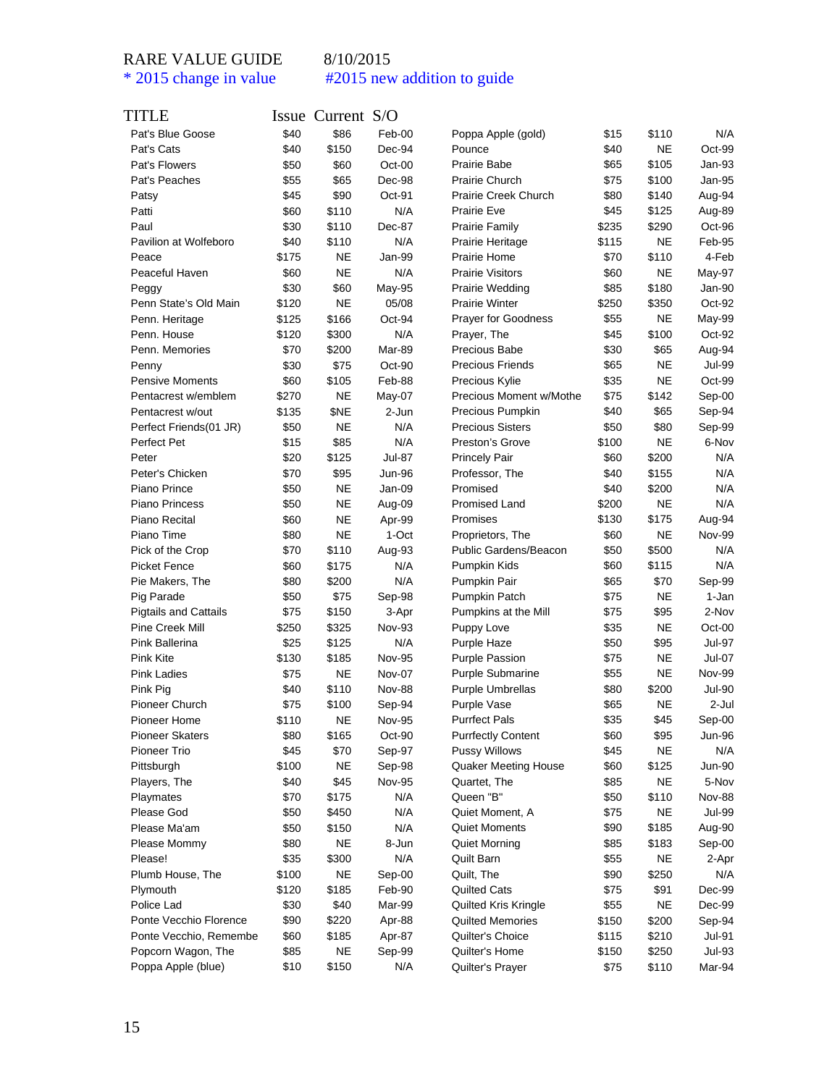| TITLE                                  |       | Issue Current S/O |               |                             |              |           |               |
|----------------------------------------|-------|-------------------|---------------|-----------------------------|--------------|-----------|---------------|
| Pat's Blue Goose                       | \$40  | \$86              | Feb-00        | Poppa Apple (gold)          | \$15         | \$110     | N/A           |
| Pat's Cats                             | \$40  | \$150             | Dec-94        | Pounce                      | \$40         | <b>NE</b> | Oct-99        |
| Pat's Flowers                          | \$50  | \$60              | Oct-00        | <b>Prairie Babe</b>         | \$65         | \$105     | Jan-93        |
| Pat's Peaches                          | \$55  | \$65              | Dec-98        | <b>Prairie Church</b>       | \$75         | \$100     | Jan-95        |
| Patsy                                  | \$45  | \$90              | Oct-91        | Prairie Creek Church        | \$80         | \$140     | Aug-94        |
| Patti                                  | \$60  | \$110             | N/A           | Prairie Eve                 | \$45         | \$125     | Aug-89        |
| Paul                                   | \$30  | \$110             | Dec-87        | <b>Prairie Family</b>       | \$235        | \$290     | Oct-96        |
| Pavilion at Wolfeboro                  | \$40  | \$110             | N/A           | Prairie Heritage            | \$115        | <b>NE</b> | Feb-95        |
| Peace                                  | \$175 | NE                | Jan-99        | Prairie Home                | \$70         | \$110     | 4-Feb         |
| Peaceful Haven                         | \$60  | <b>NE</b>         | N/A           | <b>Prairie Visitors</b>     | \$60         | NE        | May-97        |
| Peggy                                  | \$30  | \$60              | May-95        | Prairie Wedding             | \$85         | \$180     | Jan-90        |
| Penn State's Old Main                  | \$120 | <b>NE</b>         | 05/08         | <b>Prairie Winter</b>       | \$250        | \$350     | Oct-92        |
| Penn. Heritage                         | \$125 | \$166             | Oct-94        | <b>Prayer for Goodness</b>  | \$55         | NE        | May-99        |
| Penn. House                            | \$120 | \$300             | N/A           | Prayer, The                 | \$45         | \$100     | Oct-92        |
| Penn. Memories                         | \$70  | \$200             | Mar-89        | Precious Babe               | \$30         | \$65      | Aug-94        |
| Penny                                  | \$30  | \$75              | Oct-90        | <b>Precious Friends</b>     | \$65         | <b>NE</b> | Jul-99        |
| <b>Pensive Moments</b>                 | \$60  | \$105             | Feb-88        | Precious Kylie              | \$35         | <b>NE</b> | Oct-99        |
| Pentacrest w/emblem                    | \$270 | <b>NE</b>         | May-07        | Precious Moment w/Mothe     | \$75         | \$142     | Sep-00        |
| Pentacrest w/out                       | \$135 | \$NE              | 2-Jun         | Precious Pumpkin            | \$40         | \$65      | Sep-94        |
| Perfect Friends(01 JR)                 | \$50  | <b>NE</b>         | N/A           | <b>Precious Sisters</b>     | \$50         | \$80      | Sep-99        |
| Perfect Pet                            | \$15  | \$85              | N/A           | Preston's Grove             | \$100        | <b>NE</b> | 6-Nov         |
| Peter                                  | \$20  | \$125             | Jul-87        | <b>Princely Pair</b>        | \$60         | \$200     | N/A           |
| Peter's Chicken                        | \$70  | \$95              | Jun-96        | Professor, The              | \$40         | \$155     | N/A           |
| Piano Prince                           | \$50  | <b>NE</b>         | Jan-09        | Promised                    | \$40         | \$200     | N/A           |
| Piano Princess                         | \$50  | NE                | Aug-09        | Promised Land               | \$200        | <b>NE</b> | N/A           |
| Piano Recital                          | \$60  | <b>NE</b>         | Apr-99        | Promises                    | \$130        | \$175     | Aug-94        |
| Piano Time                             | \$80  | NE                | 1-Oct         | Proprietors, The            | \$60         | <b>NE</b> | <b>Nov-99</b> |
| Pick of the Crop                       | \$70  | \$110             | Aug-93        | Public Gardens/Beacon       | \$50         | \$500     | N/A           |
| <b>Picket Fence</b>                    | \$60  | \$175             | N/A           | Pumpkin Kids                | \$60         | \$115     | N/A           |
| Pie Makers, The                        | \$80  | \$200             | N/A           | Pumpkin Pair                | \$65         | \$70      | Sep-99        |
| Pig Parade                             | \$50  | \$75              | Sep-98        | Pumpkin Patch               | \$75         | <b>NE</b> | 1-Jan         |
| <b>Pigtails and Cattails</b>           | \$75  | \$150             | 3-Apr         | Pumpkins at the Mill        | \$75         | \$95      | 2-Nov         |
| Pine Creek Mill                        | \$250 | \$325             | Nov-93        | Puppy Love                  | \$35         | <b>NE</b> | $Oct-00$      |
| Pink Ballerina                         | \$25  | \$125             | N/A           | Purple Haze                 | \$50         | \$95      | Jul-97        |
| Pink Kite                              | \$130 | \$185             | <b>Nov-95</b> | <b>Purple Passion</b>       | \$75         | <b>NE</b> | Jul-07        |
| <b>Pink Ladies</b>                     | \$75  | <b>NE</b>         | Nov-07        | <b>Purple Submarine</b>     | \$55         | <b>NE</b> | Nov-99        |
| Pink Pig                               | \$40  | \$110             | <b>Nov-88</b> | Purple Umbrellas            | \$80         | \$200     | Jul-90        |
| Pioneer Church                         | \$75  | \$100             |               |                             | \$65         | <b>NE</b> | 2-Jul         |
|                                        |       |                   | Sep-94        | Purple Vase                 |              |           | Sep-00        |
| Pioneer Home<br><b>Pioneer Skaters</b> | \$110 | <b>NE</b>         | <b>Nov-95</b> | <b>Purrfect Pals</b>        | \$35<br>\$60 | \$45      |               |
|                                        | \$80  | \$165             | Oct-90        | <b>Purrfectly Content</b>   |              | \$95      | Jun-96        |
| Pioneer Trio                           | \$45  | \$70              | Sep-97        | <b>Pussy Willows</b>        | \$45         | <b>NE</b> | N/A           |
| Pittsburgh                             | \$100 | <b>NE</b>         | Sep-98        | <b>Quaker Meeting House</b> | \$60         | \$125     | Jun-90        |
| Players, The                           | \$40  | \$45              | <b>Nov-95</b> | Quartet, The                | \$85         | <b>NE</b> | 5-Nov         |
| Playmates                              | \$70  | \$175             | N/A           | Queen "B"                   | \$50         | \$110     | Nov-88        |
| Please God                             | \$50  | \$450             | N/A           | Quiet Moment, A             | \$75         | <b>NE</b> | <b>Jul-99</b> |
| Please Ma'am                           | \$50  | \$150             | N/A           | <b>Quiet Moments</b>        | \$90         | \$185     | Aug-90        |
| Please Mommy                           | \$80  | <b>NE</b>         | 8-Jun         | <b>Quiet Morning</b>        | \$85         | \$183     | Sep-00        |
| Please!                                | \$35  | \$300             | N/A           | Quilt Barn                  | \$55         | <b>NE</b> | 2-Apr         |
| Plumb House, The                       | \$100 | <b>NE</b>         | Sep-00        | Quilt, The                  | \$90         | \$250     | N/A           |
| Plymouth                               | \$120 | \$185             | Feb-90        | <b>Quilted Cats</b>         | \$75         | \$91      | Dec-99        |
| Police Lad                             | \$30  | \$40              | Mar-99        | Quilted Kris Kringle        | \$55         | <b>NE</b> | Dec-99        |
| Ponte Vecchio Florence                 | \$90  | \$220             | Apr-88        | <b>Quilted Memories</b>     | \$150        | \$200     | Sep-94        |
| Ponte Vecchio, Remembe                 | \$60  | \$185             | Apr-87        | Quilter's Choice            | \$115        | \$210     | <b>Jul-91</b> |
| Popcorn Wagon, The                     | \$85  | NE                | Sep-99        | Quilter's Home              | \$150        | \$250     | Jul-93        |
| Poppa Apple (blue)                     | \$10  | \$150             | N/A           | Quilter's Prayer            | \$75         | \$110     | Mar-94        |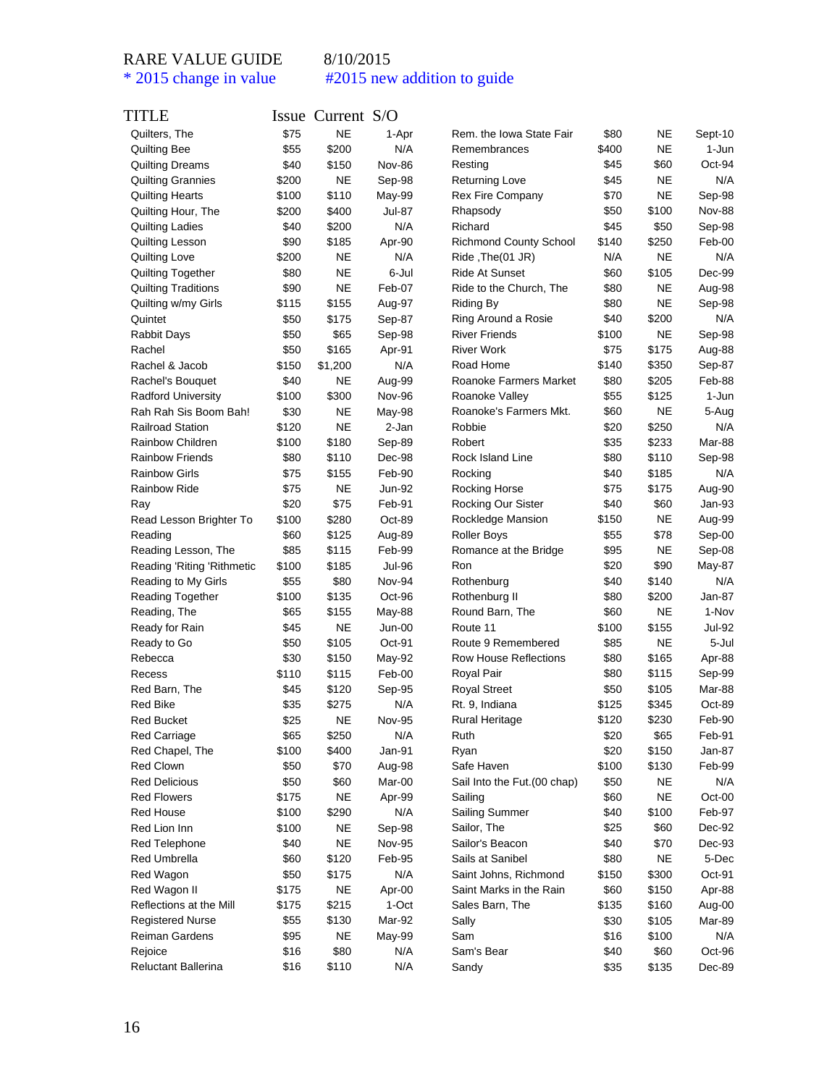| TITLE                      |       | Issue Current S/O |               |                               |       |           |         |
|----------------------------|-------|-------------------|---------------|-------------------------------|-------|-----------|---------|
| Quilters, The              | \$75  | <b>NE</b>         | 1-Apr         | Rem. the Iowa State Fair      | \$80  | NE        | Sept-10 |
| <b>Quilting Bee</b>        | \$55  | \$200             | N/A           | Remembrances                  | \$400 | <b>NE</b> | 1-Jun   |
| <b>Quilting Dreams</b>     | \$40  | \$150             | <b>Nov-86</b> | Resting                       | \$45  | \$60      | Oct-94  |
| <b>Quilting Grannies</b>   | \$200 | NE                | Sep-98        | <b>Returning Love</b>         | \$45  | NE        | N/A     |
| <b>Quilting Hearts</b>     | \$100 | \$110             | May-99        | <b>Rex Fire Company</b>       | \$70  | NE        | Sep-98  |
| Quilting Hour, The         | \$200 | \$400             | <b>Jul-87</b> | Rhapsody                      | \$50  | \$100     | Nov-88  |
| <b>Quilting Ladies</b>     | \$40  | \$200             | N/A           | Richard                       | \$45  | \$50      | Sep-98  |
| Quilting Lesson            | \$90  | \$185             | Apr-90        | <b>Richmond County School</b> | \$140 | \$250     | Feb-00  |
| Quilting Love              | \$200 | NE                | N/A           | Ride, The(01 JR)              | N/A   | NE        | N/A     |
| Quilting Together          | \$80  | <b>NE</b>         | 6-Jul         | <b>Ride At Sunset</b>         | \$60  | \$105     | Dec-99  |
| Quilting Traditions        | \$90  | NE                | Feb-07        | Ride to the Church, The       | \$80  | NE        | Aug-98  |
| Quilting w/my Girls        | \$115 | \$155             | Aug-97        | Riding By                     | \$80  | NE        | Sep-98  |
| Quintet                    | \$50  | \$175             | Sep-87        | Ring Around a Rosie           | \$40  | \$200     | N/A     |
| <b>Rabbit Days</b>         | \$50  | \$65              | Sep-98        | <b>River Friends</b>          | \$100 | NE        | Sep-98  |
| Rachel                     | \$50  | \$165             | Apr-91        | <b>River Work</b>             | \$75  | \$175     | Aug-88  |
| Rachel & Jacob             | \$150 | \$1,200           | N/A           | Road Home                     | \$140 | \$350     | Sep-87  |
| Rachel's Bouquet           | \$40  | NE                | Aug-99        | Roanoke Farmers Market        | \$80  | \$205     | Feb-88  |
| <b>Radford University</b>  | \$100 | \$300             | <b>Nov-96</b> | Roanoke Valley                | \$55  | \$125     | 1-Jun   |
| Rah Rah Sis Boom Bah!      | \$30  | <b>NE</b>         | May-98        | Roanoke's Farmers Mkt.        | \$60  | <b>NE</b> | 5-Aug   |
| <b>Railroad Station</b>    | \$120 | NE                | 2-Jan         | Robbie                        | \$20  | \$250     | N/A     |
|                            |       | \$180             |               | Robert                        |       |           |         |
| Rainbow Children           | \$100 |                   | Sep-89        | Rock Island Line              | \$35  | \$233     | Mar-88  |
| <b>Rainbow Friends</b>     | \$80  | \$110             | Dec-98        |                               | \$80  | \$110     | Sep-98  |
| <b>Rainbow Girls</b>       | \$75  | \$155             | Feb-90        | Rocking                       | \$40  | \$185     | N/A     |
| <b>Rainbow Ride</b>        | \$75  | NE                | <b>Jun-92</b> | Rocking Horse                 | \$75  | \$175     | Aug-90  |
| Ray                        | \$20  | \$75              | Feb-91        | Rocking Our Sister            | \$40  | \$60      | Jan-93  |
| Read Lesson Brighter To    | \$100 | \$280             | Oct-89        | Rockledge Mansion             | \$150 | NE        | Aug-99  |
| Reading                    | \$60  | \$125             | Aug-89        | <b>Roller Boys</b>            | \$55  | \$78      | Sep-00  |
| Reading Lesson, The        | \$85  | \$115             | Feb-99        | Romance at the Bridge         | \$95  | NE        | Sep-08  |
| Reading 'Riting 'Rithmetic | \$100 | \$185             | Jul-96        | Ron                           | \$20  | \$90      | May-87  |
| Reading to My Girls        | \$55  | \$80              | Nov-94        | Rothenburg                    | \$40  | \$140     | N/A     |
| <b>Reading Together</b>    | \$100 | \$135             | Oct-96        | Rothenburg II                 | \$80  | \$200     | Jan-87  |
| Reading, The               | \$65  | \$155             | May-88        | Round Barn, The               | \$60  | NE        | 1-Nov   |
| Ready for Rain             | \$45  | NE                | Jun-00        | Route 11                      | \$100 | \$155     | Jul-92  |
| Ready to Go                | \$50  | \$105             | Oct-91        | Route 9 Remembered            | \$85  | NE        | 5-Jul   |
| Rebecca                    | \$30  | \$150             | May-92        | <b>Row House Reflections</b>  | \$80  | \$165     | Apr-88  |
| Recess                     | \$110 | \$115             | Feb-00        | Royal Pair                    | \$80  | \$115     | Sep-99  |
| Red Barn, The              | \$45  | \$120             | Sep-95        | <b>Royal Street</b>           | \$50  | \$105     | Mar-88  |
| Red Bike                   | \$35  | \$275             | N/A           | Rt. 9, Indiana                | \$125 | \$345     | Oct-89  |
| <b>Red Bucket</b>          | \$25  | NE                | <b>Nov-95</b> | Rural Heritage                | \$120 | \$230     | Feb-90  |
| Red Carriage               | \$65  | \$250             | N/A           | Ruth                          | \$20  | \$65      | Feb-91  |
| Red Chapel, The            | \$100 | \$400             | Jan-91        | Ryan                          | \$20  | \$150     | Jan-87  |
| Red Clown                  | \$50  | \$70              | Aug-98        | Safe Haven                    | \$100 | \$130     | Feb-99  |
| <b>Red Delicious</b>       | \$50  | \$60              | Mar-00        | Sail Into the Fut. (00 chap)  | \$50  | NE        | N/A     |
| <b>Red Flowers</b>         | \$175 | <b>NE</b>         | Apr-99        | Sailing                       | \$60  | <b>NE</b> | Oct-00  |
| Red House                  | \$100 | \$290             | N/A           | <b>Sailing Summer</b>         | \$40  | \$100     | Feb-97  |
| Red Lion Inn               | \$100 | NE                | Sep-98        | Sailor, The                   | \$25  | \$60      | Dec-92  |
| Red Telephone              | \$40  | NE                | Nov-95        | Sailor's Beacon               | \$40  | \$70      | Dec-93  |
| Red Umbrella               | \$60  | \$120             | Feb-95        | Sails at Sanibel              | \$80  | NE        | 5-Dec   |
| Red Wagon                  | \$50  | \$175             | N/A           | Saint Johns, Richmond         | \$150 | \$300     | Oct-91  |
| Red Wagon II               | \$175 | <b>NE</b>         | Apr-00        | Saint Marks in the Rain       | \$60  | \$150     | Apr-88  |
| Reflections at the Mill    | \$175 | \$215             | 1-Oct         | Sales Barn, The               | \$135 | \$160     | Aug-00  |
| <b>Registered Nurse</b>    | \$55  | \$130             | Mar-92        | Sally                         | \$30  | \$105     | Mar-89  |
| Reiman Gardens             | \$95  | NE                | May-99        | Sam                           | \$16  | \$100     | N/A     |
| Rejoice                    | \$16  | \$80              | N/A           | Sam's Bear                    | \$40  | \$60      | Oct-96  |
| Reluctant Ballerina        | \$16  | \$110             | N/A           | Sandy                         | \$35  | \$135     | Dec-89  |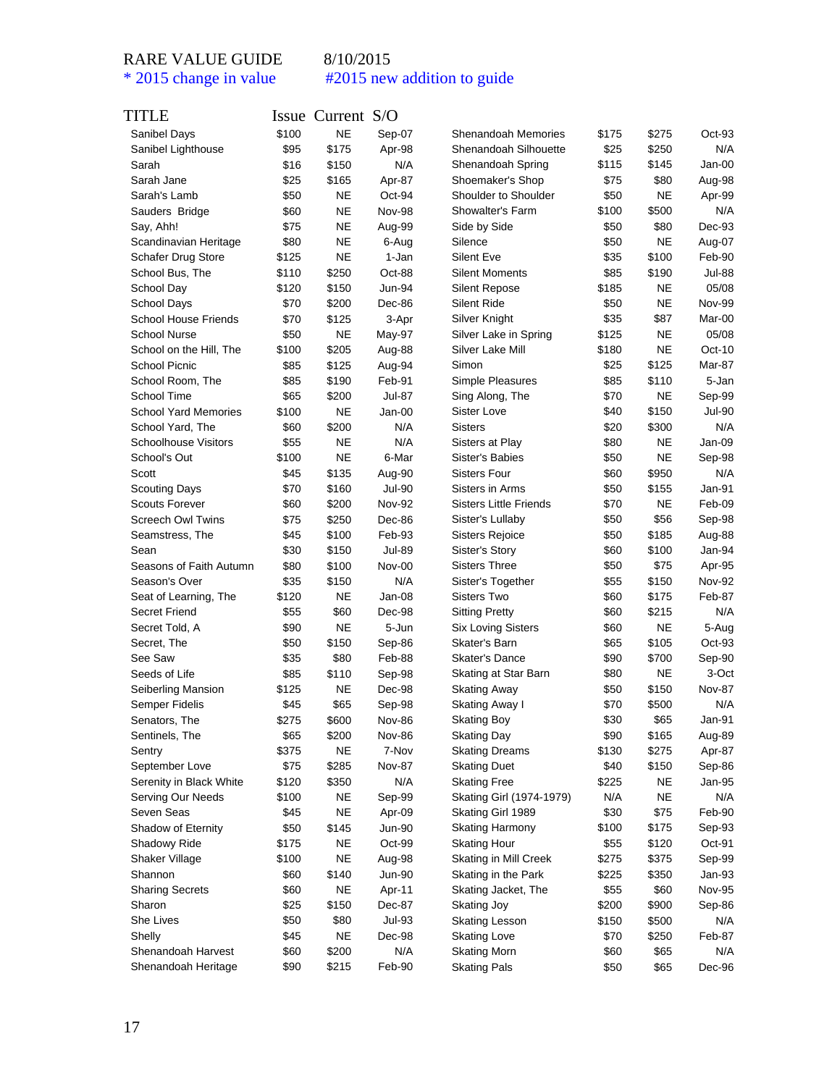| TITLE                       |       | Issue Current S/O |               |                               |       |           |               |
|-----------------------------|-------|-------------------|---------------|-------------------------------|-------|-----------|---------------|
| Sanibel Days                | \$100 | <b>NE</b>         | Sep-07        | Shenandoah Memories           | \$175 | \$275     | $Oct-93$      |
| Sanibel Lighthouse          | \$95  | \$175             | Apr-98        | Shenandoah Silhouette         | \$25  | \$250     | N/A           |
| Sarah                       | \$16  | \$150             | N/A           | Shenandoah Spring             | \$115 | \$145     | Jan-00        |
| Sarah Jane                  | \$25  | \$165             | Apr-87        | Shoemaker's Shop              | \$75  | \$80      | Aug-98        |
| Sarah's Lamb                | \$50  | NE                | Oct-94        | Shoulder to Shoulder          | \$50  | NE        | Apr-99        |
| Sauders Bridge              | \$60  | <b>NE</b>         | <b>Nov-98</b> | Showalter's Farm              | \$100 | \$500     | N/A           |
| Say, Ahh!                   | \$75  | <b>NE</b>         | Aug-99        | Side by Side                  | \$50  | \$80      | Dec-93        |
| Scandinavian Heritage       | \$80  | <b>NE</b>         | 6-Aug         | Silence                       | \$50  | <b>NE</b> | Aug-07        |
| Schafer Drug Store          | \$125 | <b>NE</b>         | 1-Jan         | Silent Eve                    | \$35  | \$100     | Feb-90        |
| School Bus, The             | \$110 | \$250             | Oct-88        | <b>Silent Moments</b>         | \$85  | \$190     | Jul-88        |
| School Day                  | \$120 | \$150             | Jun-94        | <b>Silent Repose</b>          | \$185 | NE        | 05/08         |
| School Days                 | \$70  | \$200             | Dec-86        | <b>Silent Ride</b>            | \$50  | <b>NE</b> | <b>Nov-99</b> |
| <b>School House Friends</b> | \$70  | \$125             | 3-Apr         | Silver Knight                 | \$35  | \$87      | Mar-00        |
| School Nurse                | \$50  | NE                | May-97        | Silver Lake in Spring         | \$125 | <b>NE</b> | 05/08         |
| School on the Hill, The     | \$100 | \$205             | Aug-88        | Silver Lake Mill              | \$180 | <b>NE</b> | $Oct-10$      |
| School Picnic               | \$85  | \$125             | Aug-94        | Simon                         | \$25  | \$125     | Mar-87        |
| School Room, The            | \$85  | \$190             | Feb-91        | Simple Pleasures              | \$85  | \$110     | 5-Jan         |
| School Time                 | \$65  | \$200             | <b>Jul-87</b> | Sing Along, The               | \$70  | <b>NE</b> | Sep-99        |
| <b>School Yard Memories</b> | \$100 | NE                | Jan-00        | Sister Love                   | \$40  | \$150     | Jul-90        |
| School Yard, The            | \$60  | \$200             | N/A           | Sisters                       | \$20  | \$300     | N/A           |
| <b>Schoolhouse Visitors</b> | \$55  | NE                | N/A           | Sisters at Play               | \$80  | <b>NE</b> | Jan-09        |
| School's Out                | \$100 | <b>NE</b>         | 6-Mar         | Sister's Babies               | \$50  | <b>NE</b> | Sep-98        |
| Scott                       | \$45  | \$135             | Aug-90        | <b>Sisters Four</b>           | \$60  | \$950     | N/A           |
| <b>Scouting Days</b>        | \$70  | \$160             | Jul-90        | Sisters in Arms               | \$50  | \$155     | Jan-91        |
| <b>Scouts Forever</b>       | \$60  | \$200             | <b>Nov-92</b> | <b>Sisters Little Friends</b> | \$70  | <b>NE</b> | Feb-09        |
| <b>Screech Owl Twins</b>    | \$75  | \$250             | Dec-86        | Sister's Lullaby              | \$50  | \$56      | Sep-98        |
| Seamstress, The             | \$45  | \$100             | Feb-93        | <b>Sisters Rejoice</b>        | \$50  | \$185     | Aug-88        |
| Sean                        | \$30  | \$150             | Jul-89        | Sister's Story                | \$60  | \$100     | Jan-94        |
| Seasons of Faith Autumn     | \$80  | \$100             | Nov-00        | <b>Sisters Three</b>          | \$50  | \$75      | Apr-95        |
| Season's Over               | \$35  | \$150             | N/A           | Sister's Together             | \$55  | \$150     | Nov-92        |
| Seat of Learning, The       | \$120 | NE                | Jan-08        | Sisters Two                   | \$60  | \$175     | Feb-87        |
| <b>Secret Friend</b>        | \$55  | \$60              | Dec-98        | <b>Sitting Pretty</b>         | \$60  | \$215     | N/A           |
| Secret Told, A              | \$90  | <b>NE</b>         | 5-Jun         | <b>Six Loving Sisters</b>     | \$60  | <b>NE</b> | 5-Aug         |
| Secret, The                 | \$50  | \$150             | Sep-86        | Skater's Barn                 | \$65  | \$105     | $Oct-93$      |
| See Saw                     | \$35  | \$80              | Feb-88        | <b>Skater's Dance</b>         | \$90  | \$700     | Sep-90        |
| Seeds of Life               | \$85  | \$110             | Sep-98        | Skating at Star Barn          | \$80  | <b>NE</b> | 3-Oct         |
| Seiberling Mansion          | \$125 | NE                | Dec-98        | <b>Skating Away</b>           | \$50  | \$150     | <b>Nov-87</b> |
| <b>Semper Fidelis</b>       | \$45  | \$65              | Sep-98        | Skating Away I                | \$70  | \$500     | N/A           |
| Senators, The               | \$275 | \$600             | <b>Nov-86</b> | Skating Boy                   | \$30  | \$65      | Jan-91        |
| Sentinels, The              | \$65  | \$200             | Nov-86        | Skating Day                   | \$90  | \$165     | Aug-89        |
| Sentry                      | \$375 | <b>NE</b>         | 7-Nov         | <b>Skating Dreams</b>         | \$130 | \$275     | Apr-87        |
| September Love              | \$75  | \$285             | <b>Nov-87</b> | <b>Skating Duet</b>           | \$40  | \$150     | Sep-86        |
| Serenity in Black White     | \$120 | \$350             | N/A           | <b>Skating Free</b>           | \$225 | <b>NE</b> | Jan-95        |
| Serving Our Needs           | \$100 | NE                | Sep-99        | Skating Girl (1974-1979)      | N/A   | <b>NE</b> | N/A           |
| Seven Seas                  | \$45  | <b>NE</b>         | Apr-09        | Skating Girl 1989             | \$30  | \$75      | Feb-90        |
| Shadow of Eternity          | \$50  | \$145             | <b>Jun-90</b> | <b>Skating Harmony</b>        | \$100 | \$175     | Sep-93        |
| Shadowy Ride                | \$175 | <b>NE</b>         | Oct-99        | <b>Skating Hour</b>           | \$55  | \$120     | Oct-91        |
| Shaker Village              | \$100 | NE                | Aug-98        | Skating in Mill Creek         | \$275 | \$375     | Sep-99        |
| Shannon                     | \$60  | \$140             | Jun-90        | Skating in the Park           | \$225 | \$350     | Jan-93        |
| <b>Sharing Secrets</b>      | \$60  | NE                | Apr-11        | Skating Jacket, The           | \$55  | \$60      | Nov-95        |
| Sharon                      | \$25  | \$150             | Dec-87        | Skating Joy                   | \$200 | \$900     | Sep-86        |
| She Lives                   | \$50  | \$80              | Jul-93        | <b>Skating Lesson</b>         | \$150 | \$500     | N/A           |
| Shelly                      | \$45  | <b>NE</b>         | Dec-98        | <b>Skating Love</b>           | \$70  | \$250     | Feb-87        |
| Shenandoah Harvest          | \$60  | \$200             | N/A           | <b>Skating Morn</b>           | \$60  | \$65      | N/A           |
| Shenandoah Heritage         | \$90  | \$215             | Feb-90        | <b>Skating Pals</b>           | \$50  | \$65      | Dec-96        |
|                             |       |                   |               |                               |       |           |               |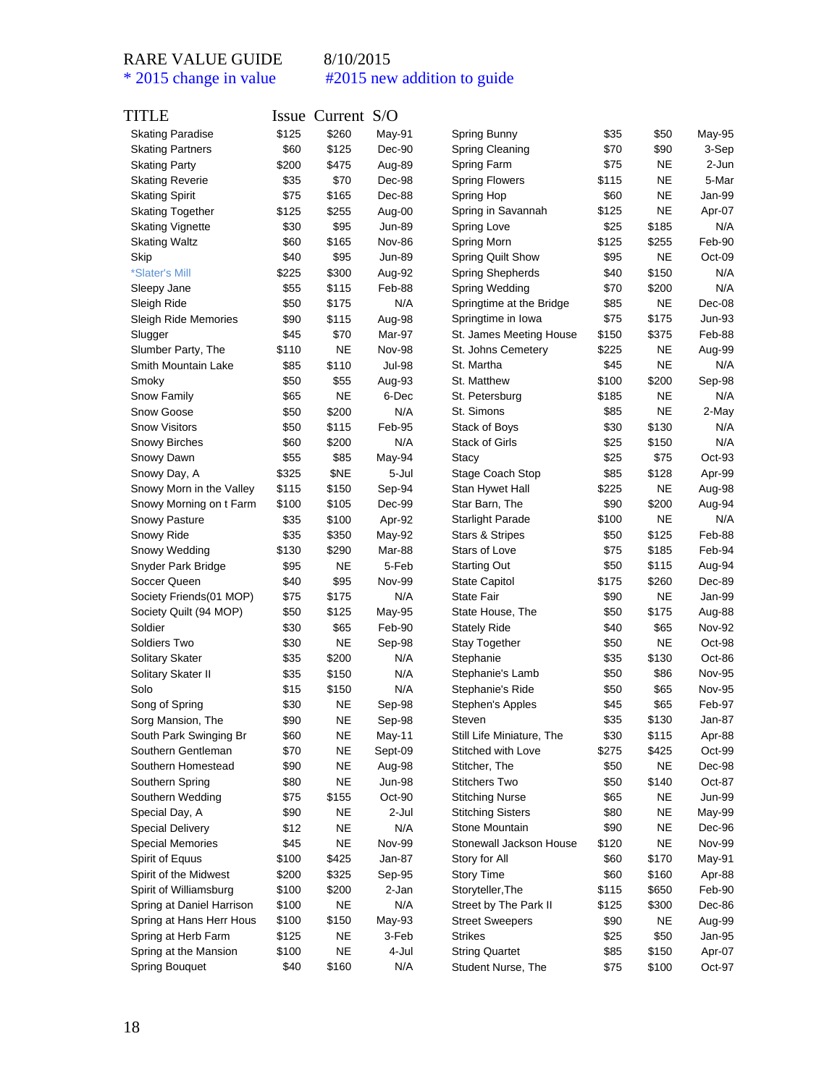| TITLE                     |       | Issue Current S/O |               |                            |       |           |                  |
|---------------------------|-------|-------------------|---------------|----------------------------|-------|-----------|------------------|
| <b>Skating Paradise</b>   | \$125 | \$260             | May-91        | Spring Bunny               | \$35  | \$50      | May-95           |
| <b>Skating Partners</b>   | \$60  | \$125             | Dec-90        | Spring Cleaning            | \$70  | \$90      | 3-Sep            |
| <b>Skating Party</b>      | \$200 | \$475             | Aug-89        | Spring Farm                | \$75  | <b>NE</b> | 2-Jun            |
| <b>Skating Reverie</b>    | \$35  | \$70              | Dec-98        | <b>Spring Flowers</b>      | \$115 | <b>NE</b> | 5-Mar            |
| <b>Skating Spirit</b>     | \$75  | \$165             | Dec-88        | Spring Hop                 | \$60  | <b>NE</b> | Jan-99           |
| <b>Skating Together</b>   | \$125 | \$255             | Aug-00        | Spring in Savannah         | \$125 | <b>NE</b> | Apr-07           |
| <b>Skating Vignette</b>   | \$30  | \$95              | Jun-89        | Spring Love                | \$25  | \$185     | N/A              |
| <b>Skating Waltz</b>      | \$60  | \$165             | <b>Nov-86</b> | Spring Morn                | \$125 | \$255     | Feb-90           |
| Skip                      | \$40  | \$95              | Jun-89        | Spring Quilt Show          | \$95  | <b>NE</b> | Oct-09           |
| *Slater's Mill            | \$225 | \$300             | Aug-92        | Spring Shepherds           | \$40  | \$150     | N/A              |
| Sleepy Jane               | \$55  | \$115             | Feb-88        | Spring Wedding             | \$70  | \$200     | N/A              |
| Sleigh Ride               | \$50  | \$175             | N/A           | Springtime at the Bridge   | \$85  | <b>NE</b> | Dec-08           |
| Sleigh Ride Memories      | \$90  | \$115             | Aug-98        | Springtime in Iowa         | \$75  | \$175     | Jun-93           |
| Slugger                   | \$45  | \$70              | Mar-97        | St. James Meeting House    | \$150 | \$375     | Feb-88           |
| Slumber Party, The        | \$110 | NE                | <b>Nov-98</b> | St. Johns Cemetery         | \$225 | <b>NE</b> | Aug-99           |
| Smith Mountain Lake       | \$85  | \$110             | <b>Jul-98</b> | St. Martha                 | \$45  | <b>NE</b> | N/A              |
| Smoky                     | \$50  | \$55              | Aug-93        | St. Matthew                | \$100 | \$200     | Sep-98           |
| Snow Family               | \$65  | <b>NE</b>         | 6-Dec         | St. Petersburg             | \$185 | <b>NE</b> | N/A              |
| Snow Goose                | \$50  | \$200             | N/A           | St. Simons                 | \$85  | <b>NE</b> | 2-May            |
| <b>Snow Visitors</b>      | \$50  | \$115             | Feb-95        | Stack of Boys              | \$30  | \$130     | N/A              |
| <b>Snowy Birches</b>      | \$60  | \$200             | N/A           | <b>Stack of Girls</b>      | \$25  | \$150     | N/A              |
| Snowy Dawn                | \$55  | \$85              | May-94        | Stacy                      | \$25  | \$75      | $Oct-93$         |
| Snowy Day, A              | \$325 | \$NE              | 5-Jul         | Stage Coach Stop           | \$85  | \$128     | Apr-99           |
| Snowy Morn in the Valley  | \$115 | \$150             | Sep-94        | Stan Hywet Hall            | \$225 | ΝE        | Aug-98           |
| Snowy Morning on t Farm   | \$100 | \$105             | Dec-99        | Star Barn, The             | \$90  | \$200     | Aug-94           |
| <b>Snowy Pasture</b>      | \$35  | \$100             | Apr-92        | <b>Starlight Parade</b>    | \$100 | ΝE        | N/A              |
| Snowy Ride                | \$35  | \$350             | May-92        | <b>Stars &amp; Stripes</b> | \$50  | \$125     | Feb-88           |
| Snowy Wedding             | \$130 | \$290             | Mar-88        | Stars of Love              | \$75  | \$185     | Feb-94           |
| Snyder Park Bridge        | \$95  | <b>NE</b>         | 5-Feb         | <b>Starting Out</b>        | \$50  | \$115     | Aug-94           |
| Soccer Queen              | \$40  | \$95              | <b>Nov-99</b> | <b>State Capitol</b>       | \$175 | \$260     | Dec-89           |
| Society Friends(01 MOP)   | \$75  | \$175             | N/A           | <b>State Fair</b>          | \$90  | <b>NE</b> | Jan-99           |
| Society Quilt (94 MOP)    | \$50  | \$125             | May-95        | State House, The           | \$50  | \$175     | Aug-88           |
| Soldier                   | \$30  | \$65              | Feb-90        | <b>Stately Ride</b>        | \$40  | \$65      | <b>Nov-92</b>    |
| Soldiers Two              | \$30  | NE                | Sep-98        | <b>Stay Together</b>       | \$50  | <b>NE</b> | Oct-98           |
| Solitary Skater           | \$35  | \$200             | N/A           | Stephanie                  | \$35  | \$130     | Oct-86           |
| Solitary Skater II        | \$35  | \$150             | N/A           | Stephanie's Lamb           | \$50  | \$86      | <b>Nov-95</b>    |
| Solo                      | \$15  | \$150             | N/A           | Stephanie's Ride           | \$50  | \$65      | <b>Nov-95</b>    |
| Song of Spring            | \$30  | ΝE                | Sep-98        | Stephen's Apples           | \$45  | \$65      | Feb-97           |
| Sorg Mansion, The         | \$90  | <b>NE</b>         | Sep-98        | Steven                     | \$35  | \$130     | Jan-87           |
| South Park Swinging Br    | \$60  | <b>NE</b>         | May-11        | Still Life Miniature, The  | \$30  | \$115     | Apr-88           |
| Southern Gentleman        | \$70  | <b>NE</b>         | Sept-09       | Stitched with Love         | \$275 | \$425     | Oct-99           |
| Southern Homestead        | \$90  | <b>NE</b>         | Aug-98        | Stitcher, The              | \$50  | <b>NE</b> | Dec-98           |
| Southern Spring           | \$80  | <b>NE</b>         | Jun-98        | <b>Stitchers Two</b>       | \$50  | \$140     | Oct-87           |
| Southern Wedding          | \$75  | \$155             | Oct-90        | <b>Stitching Nurse</b>     | \$65  | <b>NE</b> | Jun-99           |
| Special Day, A            | \$90  | <b>NE</b>         | 2-Jul         | <b>Stitching Sisters</b>   | \$80  | <b>NE</b> | May-99           |
| <b>Special Delivery</b>   | \$12  | NE                | N/A           | Stone Mountain             | \$90  | <b>NE</b> | Dec-96           |
| <b>Special Memories</b>   | \$45  | <b>NE</b>         | <b>Nov-99</b> | Stonewall Jackson House    | \$120 | <b>NE</b> | <b>Nov-99</b>    |
| Spirit of Equus           | \$100 | \$425             | Jan-87        | Story for All              | \$60  | \$170     | May-91           |
| Spirit of the Midwest     | \$200 | \$325             | Sep-95        | <b>Story Time</b>          | \$60  | \$160     | Apr-88           |
| Spirit of Williamsburg    | \$100 | \$200             | 2-Jan         | Storyteller, The           | \$115 | \$650     | Feb-90           |
| Spring at Daniel Harrison | \$100 | <b>NE</b>         | N/A           | Street by The Park II      | \$125 | \$300     | Dec-86           |
| Spring at Hans Herr Hous  | \$100 | \$150             | May-93        | <b>Street Sweepers</b>     | \$90  | <b>NE</b> | Aug-99           |
| Spring at Herb Farm       | \$125 | NE                | 3-Feb         | <b>Strikes</b>             | \$25  | \$50      | Jan-95           |
| Spring at the Mansion     | \$100 | NE                | 4-Jul         | <b>String Quartet</b>      | \$85  | \$150     |                  |
|                           |       |                   |               |                            |       |           | Apr-07<br>Oct-97 |
| Spring Bouquet            | \$40  | \$160             | N/A           | Student Nurse, The         | \$75  | \$100     |                  |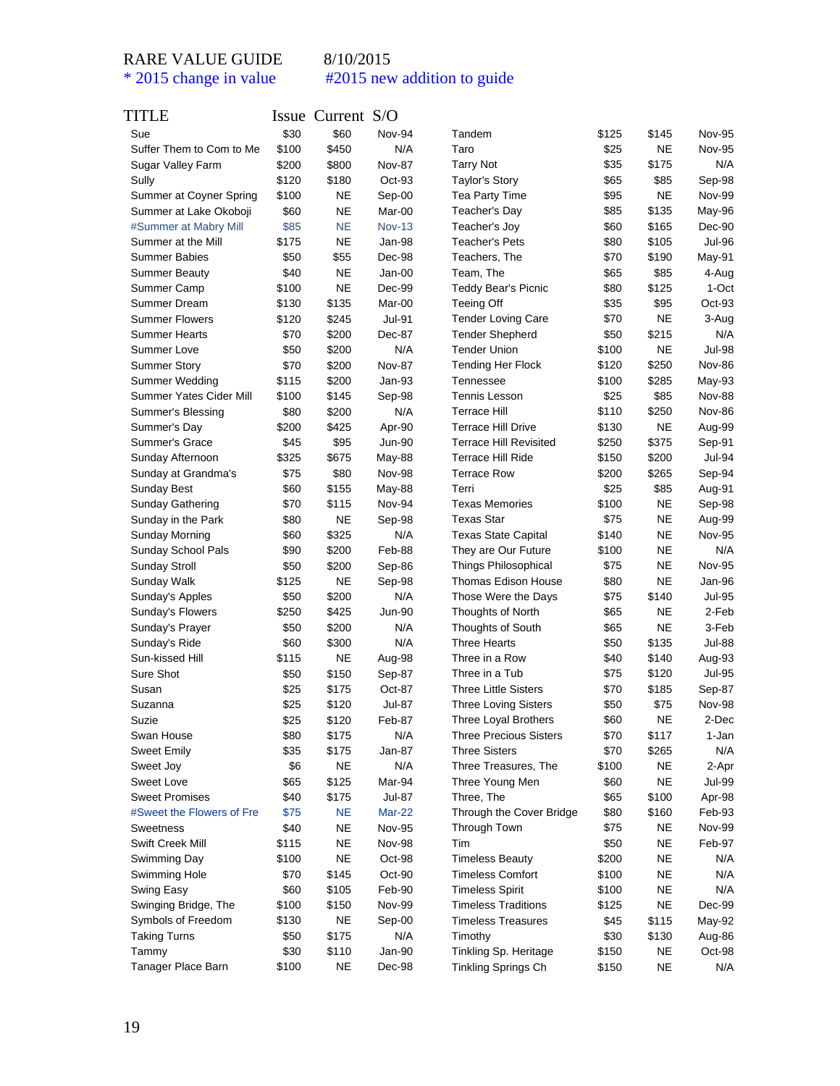| TITLE                     |       | Issue Current S/O |               |                               |       |           |               |
|---------------------------|-------|-------------------|---------------|-------------------------------|-------|-----------|---------------|
| Sue                       | \$30  | \$60              | Nov-94        | Tandem                        | \$125 | \$145     | <b>Nov-95</b> |
| Suffer Them to Com to Me  | \$100 | \$450             | N/A           | Taro                          | \$25  | <b>NE</b> | <b>Nov-95</b> |
| Sugar Valley Farm         | \$200 | \$800             | <b>Nov-87</b> | <b>Tarry Not</b>              | \$35  | \$175     | N/A           |
| Sully                     | \$120 | \$180             | Oct-93        | <b>Taylor's Story</b>         | \$65  | \$85      | Sep-98        |
| Summer at Coyner Spring   | \$100 | <b>NE</b>         | Sep-00        | Tea Party Time                | \$95  | <b>NE</b> | Nov-99        |
| Summer at Lake Okoboji    | \$60  | <b>NE</b>         | Mar-00        | Teacher's Day                 | \$85  | \$135     | May-96        |
| #Summer at Mabry Mill     | \$85  | <b>NE</b>         | <b>Nov-13</b> | Teacher's Joy                 | \$60  | \$165     | Dec-90        |
| Summer at the Mill        | \$175 | <b>NE</b>         | Jan-98        | <b>Teacher's Pets</b>         | \$80  | \$105     | Jul-96        |
| <b>Summer Babies</b>      | \$50  | \$55              | Dec-98        | Teachers, The                 | \$70  | \$190     | May-91        |
| <b>Summer Beauty</b>      | \$40  | <b>NE</b>         | Jan-00        | Team, The                     | \$65  | \$85      | 4-Aug         |
| Summer Camp               | \$100 | <b>NE</b>         | Dec-99        | <b>Teddy Bear's Picnic</b>    | \$80  | \$125     | 1-Oct         |
| Summer Dream              | \$130 | \$135             | Mar-00        | <b>Teeing Off</b>             | \$35  | \$95      | Oct-93        |
| <b>Summer Flowers</b>     | \$120 | \$245             | <b>Jul-91</b> | <b>Tender Loving Care</b>     | \$70  | <b>NE</b> | 3-Aug         |
| <b>Summer Hearts</b>      | \$70  | \$200             | Dec-87        | <b>Tender Shepherd</b>        | \$50  | \$215     | N/A           |
| Summer Love               | \$50  | \$200             | N/A           | <b>Tender Union</b>           | \$100 | <b>NE</b> | Jul-98        |
| <b>Summer Story</b>       | \$70  | \$200             | <b>Nov-87</b> | <b>Tending Her Flock</b>      | \$120 | \$250     | Nov-86        |
| Summer Wedding            | \$115 | \$200             | Jan-93        | Tennessee                     | \$100 | \$285     | May-93        |
| Summer Yates Cider Mill   | \$100 | \$145             | Sep-98        | <b>Tennis Lesson</b>          | \$25  | \$85      | <b>Nov-88</b> |
| Summer's Blessing         | \$80  | \$200             | N/A           | <b>Terrace Hill</b>           | \$110 | \$250     | Nov-86        |
| Summer's Day              | \$200 | \$425             | Apr-90        | <b>Terrace Hill Drive</b>     | \$130 | <b>NE</b> | Aug-99        |
| Summer's Grace            | \$45  | \$95              | <b>Jun-90</b> | <b>Terrace Hill Revisited</b> | \$250 | \$375     | Sep-91        |
| Sunday Afternoon          | \$325 | \$675             | May-88        | <b>Terrace Hill Ride</b>      | \$150 | \$200     | Jul-94        |
| Sunday at Grandma's       | \$75  | \$80              | <b>Nov-98</b> | <b>Terrace Row</b>            | \$200 | \$265     | Sep-94        |
| Sunday Best               | \$60  | \$155             | May-88        | Terri                         | \$25  | \$85      | Aug-91        |
| <b>Sunday Gathering</b>   | \$70  | \$115             | Nov-94        | <b>Texas Memories</b>         | \$100 | <b>NE</b> | Sep-98        |
| Sunday in the Park        | \$80  | <b>NE</b>         | Sep-98        | <b>Texas Star</b>             | \$75  | <b>NE</b> | Aug-99        |
| <b>Sunday Morning</b>     | \$60  | \$325             | N/A           | <b>Texas State Capital</b>    | \$140 | <b>NE</b> | <b>Nov-95</b> |
| Sunday School Pals        | \$90  | \$200             | Feb-88        | They are Our Future           | \$100 | <b>NE</b> | N/A           |
| <b>Sunday Stroll</b>      | \$50  | \$200             | Sep-86        | <b>Things Philosophical</b>   | \$75  | <b>NE</b> | <b>Nov-95</b> |
| Sunday Walk               | \$125 | NE                | Sep-98        | <b>Thomas Edison House</b>    | \$80  | <b>NE</b> | Jan-96        |
| Sunday's Apples           | \$50  | \$200             | N/A           | Those Were the Days           | \$75  | \$140     | <b>Jul-95</b> |
| Sunday's Flowers          | \$250 | \$425             | <b>Jun-90</b> | Thoughts of North             | \$65  | <b>NE</b> | 2-Feb         |
| Sunday's Prayer           | \$50  | \$200             | N/A           | Thoughts of South             | \$65  | <b>NE</b> | 3-Feb         |
| Sunday's Ride             | \$60  | \$300             | N/A           | <b>Three Hearts</b>           | \$50  | \$135     | Jul-88        |
| Sun-kissed Hill           | \$115 | <b>NE</b>         | Aug-98        | Three in a Row                | \$40  | \$140     | Aug-93        |
| Sure Shot                 | \$50  | \$150             | Sep-87        | Three in a Tub                | \$75  | \$120     | <b>Jul-95</b> |
| Susan                     | \$25  | \$175             | Oct-87        | <b>Three Little Sisters</b>   | \$70  | \$185     | Sep-87        |
| Suzanna                   | \$25  | \$120             | Jul-87        | <b>Three Loving Sisters</b>   | \$50  | \$75      | <b>Nov-98</b> |
| Suzie                     | \$25  | \$120             | Feb-87        | Three Loyal Brothers          | \$60  | <b>NE</b> | 2-Dec         |
| Swan House                | \$80  | \$175             | N/A           | <b>Three Precious Sisters</b> | \$70  | \$117     | 1-Jan         |
| <b>Sweet Emily</b>        | \$35  | \$175             | Jan-87        | <b>Three Sisters</b>          | \$70  | \$265     | N/A           |
| Sweet Joy                 | \$6   | <b>NE</b>         | N/A           | Three Treasures, The          | \$100 | <b>NE</b> | 2-Apr         |
| Sweet Love                | \$65  | \$125             | Mar-94        | Three Young Men               | \$60  | <b>NE</b> | Jul-99        |
| <b>Sweet Promises</b>     | \$40  | \$175             | Jul-87        | Three, The                    | \$65  | \$100     | Apr-98        |
| #Sweet the Flowers of Fre | \$75  | <b>NE</b>         | Mar-22        | Through the Cover Bridge      | \$80  | \$160     | Feb-93        |
| Sweetness                 | \$40  | NE                | <b>Nov-95</b> | Through Town                  | \$75  | <b>NE</b> | Nov-99        |
| Swift Creek Mill          | \$115 | <b>NE</b>         | Nov-98        | Tim                           | \$50  | NE        | Feb-97        |
| Swimming Day              | \$100 | <b>NE</b>         | Oct-98        | <b>Timeless Beauty</b>        | \$200 | <b>NE</b> | N/A           |
| Swimming Hole             | \$70  | \$145             | Oct-90        | <b>Timeless Comfort</b>       | \$100 | <b>NE</b> | N/A           |
| Swing Easy                | \$60  | \$105             | Feb-90        | <b>Timeless Spirit</b>        | \$100 | <b>NE</b> | N/A           |
| Swinging Bridge, The      | \$100 | \$150             | <b>Nov-99</b> | <b>Timeless Traditions</b>    | \$125 | <b>NE</b> | Dec-99        |
| Symbols of Freedom        | \$130 | <b>NE</b>         | Sep-00        | <b>Timeless Treasures</b>     | \$45  | \$115     | May-92        |
| <b>Taking Turns</b>       | \$50  | \$175             | N/A           | Timothy                       | \$30  | \$130     | Aug-86        |
| Tammy                     | \$30  | \$110             | Jan-90        | Tinkling Sp. Heritage         | \$150 | NE        | Oct-98        |
| Tanager Place Barn        | \$100 | NE                | Dec-98        | Tinkling Springs Ch           | \$150 | <b>NE</b> | N/A           |
|                           |       |                   |               |                               |       |           |               |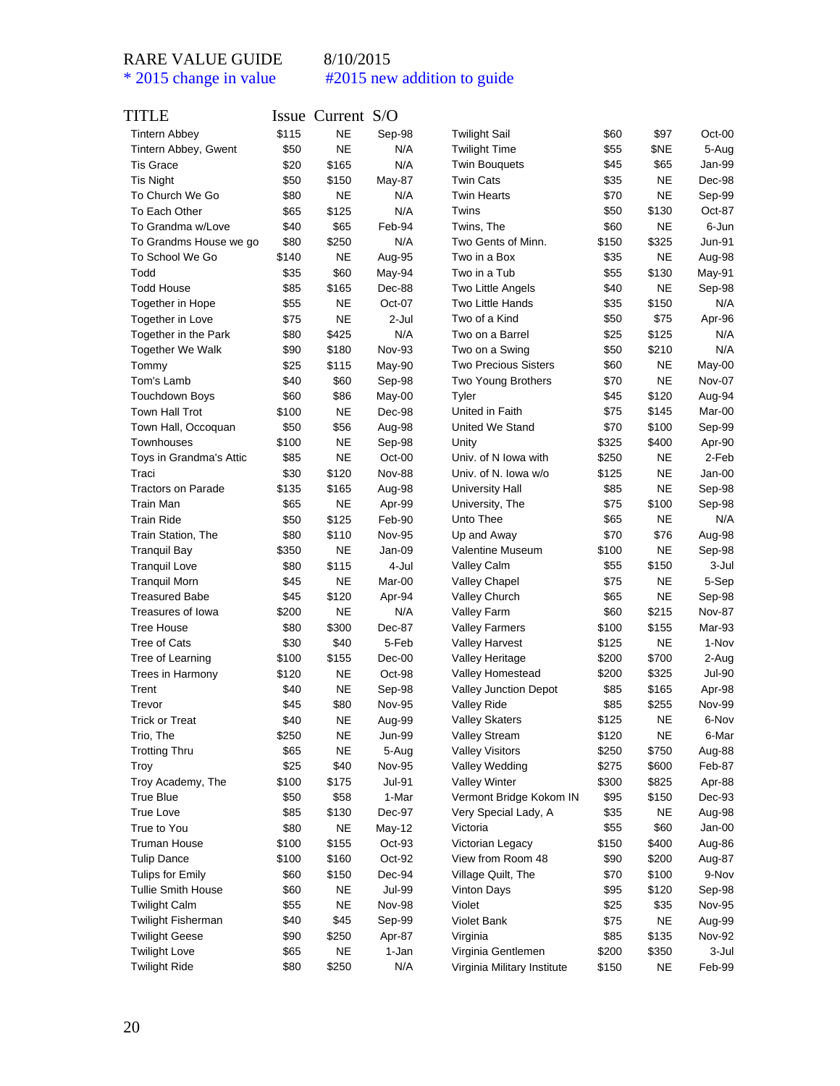| TITLE                     |              | Issue Current S/O      |                                |                              |              |               |                         |
|---------------------------|--------------|------------------------|--------------------------------|------------------------------|--------------|---------------|-------------------------|
| <b>Tintern Abbey</b>      | \$115        | <b>NE</b>              | Sep-98                         | <b>Twilight Sail</b>         | \$60         | \$97          | $Oct-00$                |
| Tintern Abbey, Gwent      | \$50         | <b>NE</b>              | N/A                            | <b>Twilight Time</b>         | \$55         | \$NE          | 5-Aug                   |
| <b>Tis Grace</b>          | \$20         | \$165                  | N/A                            | <b>Twin Bouquets</b>         | \$45         | \$65          | Jan-99                  |
| <b>Tis Night</b>          | \$50         | \$150                  | May-87                         | <b>Twin Cats</b>             | \$35         | <b>NE</b>     | Dec-98                  |
| To Church We Go           | \$80         | <b>NE</b>              | N/A                            | <b>Twin Hearts</b>           | \$70         | <b>NE</b>     | Sep-99                  |
| To Each Other             | \$65         | \$125                  | N/A                            | Twins                        | \$50         | \$130         | Oct-87                  |
| To Grandma w/Love         | \$40         | \$65                   | Feb-94                         | Twins, The                   | \$60         | NΕ            | 6-Jun                   |
| To Grandms House we go    | \$80         | \$250                  | N/A                            | Two Gents of Minn.           | \$150        | \$325         | Jun-91                  |
| To School We Go           | \$140        | <b>NE</b>              | Aug-95                         | Two in a Box                 | \$35         | NE            | Aug-98                  |
| Todd                      | \$35         | \$60                   | May-94                         | Two in a Tub                 | \$55         | \$130         | May-91                  |
| <b>Todd House</b>         | \$85         | \$165                  | Dec-88                         | Two Little Angels            | \$40         | NE            | Sep-98                  |
| Together in Hope          | \$55         | <b>NE</b>              | Oct-07                         | <b>Two Little Hands</b>      | \$35         | \$150         | N/A                     |
| Together in Love          | \$75         | <b>NE</b>              | 2-Jul                          | Two of a Kind                | \$50         | \$75          | Apr-96                  |
| Together in the Park      | \$80         | \$425                  | N/A                            | Two on a Barrel              | \$25         | \$125         | N/A                     |
| <b>Together We Walk</b>   | \$90         | \$180                  | Nov-93                         | Two on a Swing               | \$50         | \$210         | N/A                     |
| Tommy                     | \$25         | \$115                  | May-90                         | <b>Two Precious Sisters</b>  | \$60         | NE            | May-00                  |
| Tom's Lamb                | \$40         | \$60                   | Sep-98                         | Two Young Brothers           | \$70         | <b>NE</b>     | Nov-07                  |
| Touchdown Boys            | \$60         | \$86                   | May-00                         | Tyler                        | \$45         | \$120         | Aug-94                  |
| Town Hall Trot            | \$100        | <b>NE</b>              | Dec-98                         | United in Faith              | \$75         | \$145         | Mar-00                  |
| Town Hall, Occoquan       | \$50         | \$56                   | Aug-98                         | United We Stand              | \$70         | \$100         | Sep-99                  |
| Townhouses                | \$100        | <b>NE</b>              | Sep-98                         | Unity                        | \$325        | \$400         | Apr-90                  |
| Toys in Grandma's Attic   | \$85         | <b>NE</b>              | Oct-00                         | Univ. of N Iowa with         | \$250        | NE            | 2-Feb                   |
| Traci                     | \$30         | \$120                  | <b>Nov-88</b>                  | Univ. of N. Iowa w/o         | \$125        | NE            | $Jan-00$                |
| <b>Tractors on Parade</b> | \$135        | \$165                  | Aug-98                         | University Hall              | \$85         | NE            | Sep-98                  |
| <b>Train Man</b>          | \$65         | ΝE                     | Apr-99                         | University, The              | \$75         | \$100         | Sep-98                  |
| <b>Train Ride</b>         | \$50         | \$125                  | Feb-90                         | Unto Thee                    | \$65         | NE            | N/A                     |
| Train Station, The        | \$80         | \$110                  | <b>Nov-95</b>                  | Up and Away                  | \$70         | \$76          | Aug-98                  |
| <b>Tranquil Bay</b>       | \$350        | <b>NE</b>              | Jan-09                         | Valentine Museum             | \$100        | NE            | Sep-98                  |
| <b>Tranquil Love</b>      | \$80         | \$115                  | 4-Jul                          | <b>Valley Calm</b>           | \$55         | \$150         | 3-Jul                   |
| <b>Tranquil Morn</b>      | \$45         | <b>NE</b>              | Mar-00                         | Valley Chapel                | \$75         | NE            | 5-Sep                   |
| <b>Treasured Babe</b>     | \$45         | \$120                  | Apr-94                         | Valley Church                | \$65         | NE            | Sep-98                  |
| Treasures of Iowa         | \$200        | <b>NE</b>              | N/A                            | Valley Farm                  | \$60         | \$215         | <b>Nov-87</b>           |
| <b>Tree House</b>         | \$80         | \$300                  | Dec-87                         | <b>Valley Farmers</b>        | \$100        | \$155         | Mar-93                  |
| <b>Tree of Cats</b>       | \$30         | \$40                   | 5-Feb                          | <b>Valley Harvest</b>        | \$125        | NE            | 1-Nov                   |
| Tree of Learning          | \$100        | \$155                  | Dec-00                         | Valley Heritage              | \$200        | \$700         | 2-Aug                   |
| Trees in Harmony          | \$120        | <b>NE</b>              | Oct-98                         | Valley Homestead             | \$200        | \$325         | Jul-90                  |
| Trent                     | \$40         | <b>NE</b>              | Sep-98                         | <b>Valley Junction Depot</b> | \$85         | \$165         | Apr-98                  |
| Trevor                    | \$45         | \$80                   | <b>Nov-95</b>                  | Valley Ride                  | \$85         | \$255         | <b>Nov-99</b>           |
| Trick or Treat            | \$40         | NE                     | Aug-99                         | Valley Skaters               | \$125        | NE            | 6-Nov                   |
| Trio, The                 | \$250        | NE                     | Jun-99                         | <b>Valley Stream</b>         | \$120        | <b>NE</b>     | 6-Mar                   |
| <b>Trotting Thru</b>      | \$65         | <b>NE</b>              | 5-Aug                          | <b>Valley Visitors</b>       | \$250        | \$750         | Aug-88                  |
| Troy                      | \$25         | \$40                   | <b>Nov-95</b>                  | Valley Wedding               | \$275        | \$600         | Feb-87                  |
| Troy Academy, The         | \$100        | \$175                  | <b>Jul-91</b>                  | <b>Valley Winter</b>         | \$300        | \$825         | Apr-88                  |
| <b>True Blue</b>          | \$50         | \$58                   | 1-Mar                          | Vermont Bridge Kokom IN      | \$95         | \$150         | Dec-93                  |
| True Love                 | \$85         | \$130                  | Dec-97                         | Very Special Lady, A         | \$35         | <b>NE</b>     | Aug-98                  |
| True to You               | \$80         | <b>NE</b>              | May-12                         | Victoria                     | \$55         | \$60          | Jan-00                  |
| <b>Truman House</b>       | \$100        | \$155                  | Oct-93                         | Victorian Legacy             | \$150        | \$400         | Aug-86                  |
| <b>Tulip Dance</b>        | \$100        | \$160                  | Oct-92                         | View from Room 48            | \$90         | \$200         | Aug-87                  |
| Tulips for Emily          | \$60         | \$150                  | Dec-94                         | Village Quilt, The           | \$70         | \$100         | 9-Nov                   |
| <b>Tullie Smith House</b> |              |                        |                                | <b>Vinton Days</b>           |              |               |                         |
|                           | \$60<br>\$55 | <b>NE</b><br><b>NE</b> | <b>Jul-99</b><br><b>Nov-98</b> | Violet                       | \$95<br>\$25 | \$120<br>\$35 | Sep-98<br><b>Nov-95</b> |
| <b>Twilight Calm</b>      |              |                        |                                |                              |              |               |                         |
| <b>Twilight Fisherman</b> | \$40         | \$45                   | Sep-99                         | <b>Violet Bank</b>           | \$75         | <b>NE</b>     | Aug-99                  |
| <b>Twilight Geese</b>     | \$90         | \$250                  | Apr-87                         | Virginia                     | \$85         | \$135         | <b>Nov-92</b>           |
| <b>Twilight Love</b>      | \$65         | <b>NE</b>              | 1-Jan                          | Virginia Gentlemen           | \$200        | \$350         | 3-Jul                   |
| <b>Twilight Ride</b>      | \$80         | \$250                  | N/A                            | Virginia Military Institute  | \$150        | NE            | Feb-99                  |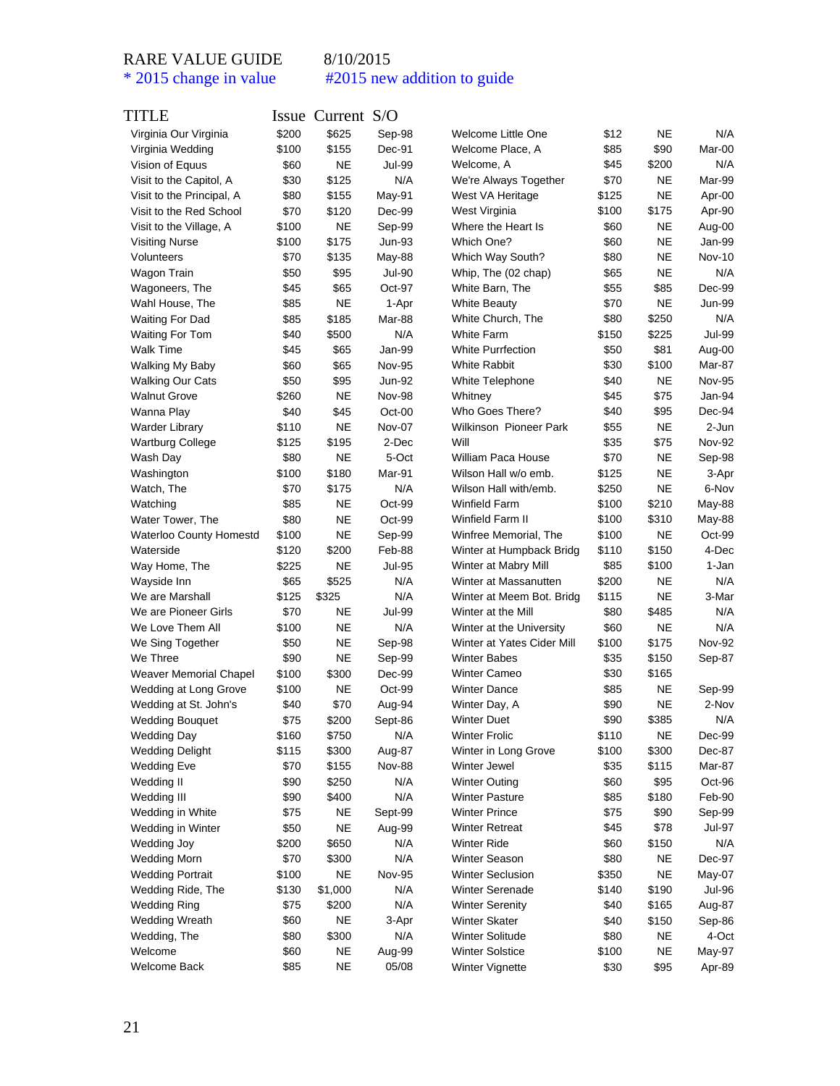| TITLE                     |       | Issue Current S/O |                      |                            |       |                    |               |
|---------------------------|-------|-------------------|----------------------|----------------------------|-------|--------------------|---------------|
| Virginia Our Virginia     | \$200 | \$625             | Sep-98               | Welcome Little One         | \$12  | <b>NE</b>          | N/A           |
| Virginia Wedding          | \$100 | \$155             | Dec-91               | Welcome Place, A           | \$85  | \$90               | Mar-00        |
| Vision of Equus           | \$60  | <b>NE</b>         | Jul-99               | Welcome, A                 | \$45  | \$200              | N/A           |
| Visit to the Capitol, A   | \$30  | \$125             | N/A                  | We're Always Together      | \$70  | <b>NE</b>          | Mar-99        |
| Visit to the Principal, A | \$80  | \$155             | May-91               | West VA Heritage           | \$125 | <b>NE</b>          | Apr-00        |
| Visit to the Red School   | \$70  | \$120             | Dec-99               | West Virginia              | \$100 | \$175              | Apr-90        |
| Visit to the Village, A   | \$100 | NE                | Sep-99               | Where the Heart Is         | \$60  | NE                 | Aug-00        |
| <b>Visiting Nurse</b>     | \$100 | \$175             | Jun-93               | Which One?                 | \$60  | <b>NE</b>          | Jan-99        |
| Volunteers                | \$70  | \$135             | May-88               | Which Way South?           | \$80  | <b>NE</b>          | Nov-10        |
| Wagon Train               | \$50  | \$95              | Jul-90               | Whip, The (02 chap)        | \$65  | <b>NE</b>          | N/A           |
| Wagoneers, The            | \$45  | \$65              | Oct-97               | White Barn, The            | \$55  | \$85               | Dec-99        |
| Wahl House, The           | \$85  | NE                | 1-Apr                | <b>White Beauty</b>        | \$70  | <b>NE</b>          | Jun-99        |
| Waiting For Dad           | \$85  | \$185             | Mar-88               | White Church, The          | \$80  | \$250              | N/A           |
| Waiting For Tom           | \$40  | \$500             | N/A                  | White Farm                 | \$150 | \$225              | Jul-99        |
| <b>Walk Time</b>          | \$45  | \$65              | Jan-99               | <b>White Purrfection</b>   | \$50  | \$81               | Aug-00        |
| Walking My Baby           | \$60  | \$65              | <b>Nov-95</b>        | White Rabbit               | \$30  | \$100              | Mar-87        |
| <b>Walking Our Cats</b>   | \$50  | \$95              | Jun-92               | White Telephone            | \$40  | NE                 | Nov-95        |
| <b>Walnut Grove</b>       | \$260 | NE                | <b>Nov-98</b>        | Whitney                    | \$45  | \$75               | Jan-94        |
| Wanna Play                | \$40  | \$45              | Oct-00               | Who Goes There?            | \$40  | \$95               | Dec-94        |
| <b>Warder Library</b>     | \$110 | NE                | Nov-07               | Wilkinson Pioneer Park     | \$55  | <b>NE</b>          | 2-Jun         |
| <b>Wartburg College</b>   | \$125 | \$195             | 2-Dec                | Will                       | \$35  | \$75               | <b>Nov-92</b> |
| Wash Day                  | \$80  | NE                | 5-Oct                | William Paca House         | \$70  | <b>NE</b>          | Sep-98        |
| Washington                | \$100 | \$180             | Mar-91               | Wilson Hall w/o emb.       | \$125 | <b>NE</b>          | 3-Apr         |
| Watch, The                | \$70  | \$175             | N/A                  | Wilson Hall with/emb.      | \$250 | <b>NE</b>          | 6-Nov         |
| Watching                  | \$85  | NE                | Oct-99               | <b>Winfield Farm</b>       | \$100 | \$210              | May-88        |
| Water Tower, The          | \$80  | NE                | Oct-99               | Winfield Farm II           | \$100 | \$310              | May-88        |
| Waterloo County Homestd   | \$100 | NE                | Sep-99               | Winfree Memorial, The      | \$100 | <b>NE</b>          | Oct-99        |
| Waterside                 | \$120 | \$200             | Feb-88               | Winter at Humpback Bridg   | \$110 | \$150              | 4-Dec         |
| Way Home, The             | \$225 | NΕ                | <b>Jul-95</b>        | Winter at Mabry Mill       | \$85  | \$100              | 1-Jan         |
| Wayside Inn               | \$65  | \$525             | N/A                  | Winter at Massanutten      | \$200 | <b>NE</b>          | N/A           |
| We are Marshall           | \$125 | \$325             | N/A                  | Winter at Meem Bot. Bridg  |       | <b>NE</b>          | 3-Mar         |
|                           |       |                   |                      |                            | \$115 |                    |               |
| We are Pioneer Girls      | \$70  | NE                | <b>Jul-99</b><br>N/A | Winter at the Mill         | \$80  | \$485<br><b>NE</b> | N/A           |
| We Love Them All          | \$100 | NE                |                      | Winter at the University   | \$60  |                    | N/A           |
| We Sing Together          | \$50  | NE                | Sep-98               | Winter at Yates Cider Mill | \$100 | \$175              | Nov-92        |
| We Three                  | \$90  | NE                | Sep-99               | <b>Winter Babes</b>        | \$35  | \$150              | Sep-87        |
| Weaver Memorial Chapel    | \$100 | \$300             | Dec-99               | <b>Winter Cameo</b>        | \$30  | \$165              |               |
| Wedding at Long Grove     | \$100 | NE                | Oct-99               | <b>Winter Dance</b>        | \$85  | NE                 | Sep-99        |
| Wedding at St. John's     | \$40  | \$70              | Aug-94               | Winter Day, A              | \$90  | <b>NE</b>          | 2-Nov         |
| <b>Wedding Bouquet</b>    | \$75  | \$200             | Sept-86              | <b>Winter Duet</b>         | \$90  | \$385              | N/A           |
| <b>Wedding Day</b>        | \$160 | \$750             | N/A                  | <b>Winter Frolic</b>       | \$110 | <b>NE</b>          | Dec-99        |
| <b>Wedding Delight</b>    | \$115 | \$300             | Aug-87               | Winter in Long Grove       | \$100 | \$300              | Dec-87        |
| <b>Wedding Eve</b>        | \$70  | \$155             | <b>Nov-88</b>        | Winter Jewel               | \$35  | \$115              | Mar-87        |
| Wedding II                | \$90  | \$250             | N/A                  | <b>Winter Outing</b>       | \$60  | \$95               | Oct-96        |
| Wedding III               | \$90  | \$400             | N/A                  | <b>Winter Pasture</b>      | \$85  | \$180              | Feb-90        |
| Wedding in White          | \$75  | NE                | Sept-99              | <b>Winter Prince</b>       | \$75  | \$90               | Sep-99        |
| Wedding in Winter         | \$50  | <b>NE</b>         | Aug-99               | Winter Retreat             | \$45  | \$78               | Jul-97        |
| Wedding Joy               | \$200 | \$650             | N/A                  | <b>Winter Ride</b>         | \$60  | \$150              | N/A           |
| <b>Wedding Morn</b>       | \$70  | \$300             | N/A                  | Winter Season              | \$80  | NE                 | Dec-97        |
| <b>Wedding Portrait</b>   | \$100 | <b>NE</b>         | <b>Nov-95</b>        | <b>Winter Seclusion</b>    | \$350 | <b>NE</b>          | May-07        |
| Wedding Ride, The         | \$130 | \$1,000           | N/A                  | Winter Serenade            | \$140 | \$190              | Jul-96        |
| <b>Wedding Ring</b>       | \$75  | \$200             | N/A                  | <b>Winter Serenity</b>     | \$40  | \$165              | Aug-87        |
| <b>Wedding Wreath</b>     | \$60  | NE                | 3-Apr                | <b>Winter Skater</b>       | \$40  | \$150              | Sep-86        |
| Wedding, The              | \$80  | \$300             | N/A                  | <b>Winter Solitude</b>     | \$80  | NE                 | 4-Oct         |
| Welcome                   | \$60  | NE                | Aug-99               | <b>Winter Solstice</b>     | \$100 | <b>NE</b>          | May-97        |
| Welcome Back              | \$85  | <b>NE</b>         | 05/08                | Winter Vignette            | \$30  | \$95               | Apr-89        |